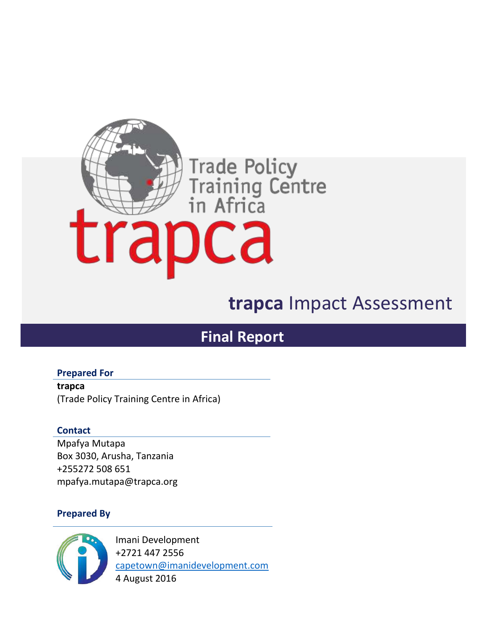

# **trapca** Impact Assessment

# **Final Report**

**Prepared For**

**trapca** (Trade Policy Training Centre in Africa)

### **Contact**

Mpafya Mutapa Box 3030, Arusha, Tanzania +255272 508 651 mpafya.mutapa@trapca.org

### **Prepared By**



Imani Development +2721 447 2556 capetown@imanidevelopment.com 4 August 2016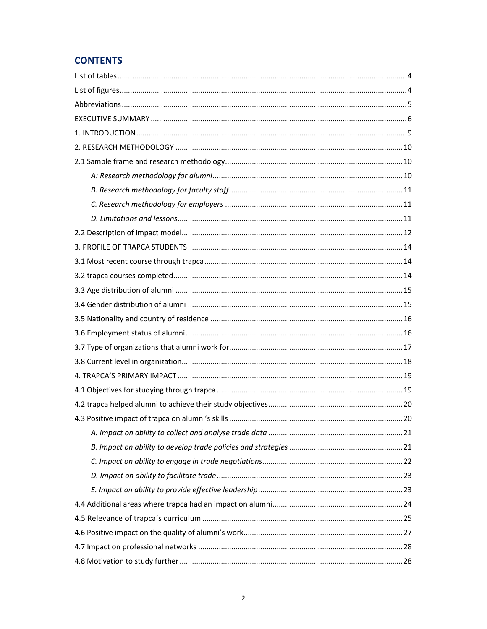## **CONTENTS**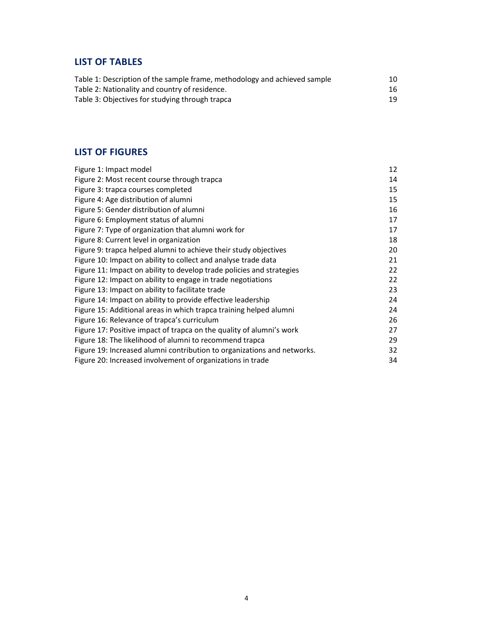## **LIST OF TABLES**

| Table 1: Description of the sample frame, methodology and achieved sample | 10 |
|---------------------------------------------------------------------------|----|
| Table 2: Nationality and country of residence.                            | 16 |
| Table 3: Objectives for studying through trapca                           | 19 |

### **LIST OF FIGURES**

| Figure 1: Impact model                                                  | 12 |
|-------------------------------------------------------------------------|----|
| Figure 2: Most recent course through trapca                             | 14 |
| Figure 3: trapca courses completed                                      | 15 |
| Figure 4: Age distribution of alumni                                    | 15 |
| Figure 5: Gender distribution of alumni                                 | 16 |
| Figure 6: Employment status of alumni                                   | 17 |
| Figure 7: Type of organization that alumni work for                     | 17 |
| Figure 8: Current level in organization                                 | 18 |
| Figure 9: trapca helped alumni to achieve their study objectives        | 20 |
| Figure 10: Impact on ability to collect and analyse trade data          | 21 |
| Figure 11: Impact on ability to develop trade policies and strategies   | 22 |
| Figure 12: Impact on ability to engage in trade negotiations            | 22 |
| Figure 13: Impact on ability to facilitate trade                        | 23 |
| Figure 14: Impact on ability to provide effective leadership            | 24 |
| Figure 15: Additional areas in which trapca training helped alumni      | 24 |
| Figure 16: Relevance of trapca's curriculum                             | 26 |
| Figure 17: Positive impact of trapca on the quality of alumni's work    | 27 |
| Figure 18: The likelihood of alumni to recommend trapca                 | 29 |
| Figure 19: Increased alumni contribution to organizations and networks. | 32 |
| Figure 20: Increased involvement of organizations in trade              | 34 |
|                                                                         |    |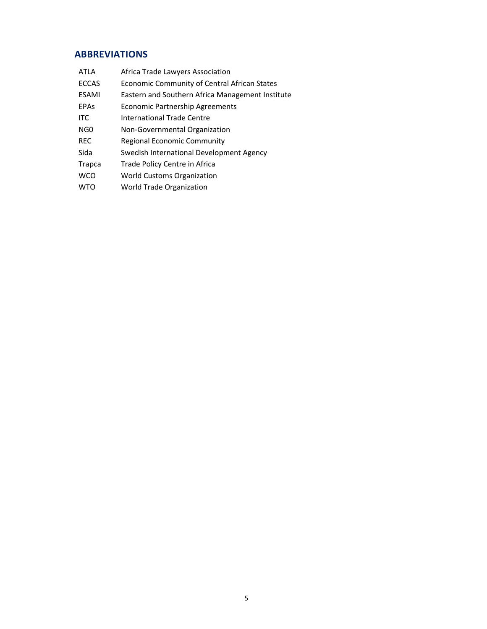# **ABBREVIATIONS**

| <b>ATLA</b>     | Africa Trade Lawyers Association                 |
|-----------------|--------------------------------------------------|
| <b>ECCAS</b>    | Economic Community of Central African States     |
| <b>ESAMI</b>    | Eastern and Southern Africa Management Institute |
| <b>EPAs</b>     | Economic Partnership Agreements                  |
| <b>ITC</b>      | International Trade Centre                       |
| NG <sub>0</sub> | Non-Governmental Organization                    |
| <b>REC</b>      | Regional Economic Community                      |
| Sida            | Swedish International Development Agency         |
| Trapca          | Trade Policy Centre in Africa                    |
| <b>WCO</b>      | World Customs Organization                       |
| WTO             | World Trade Organization                         |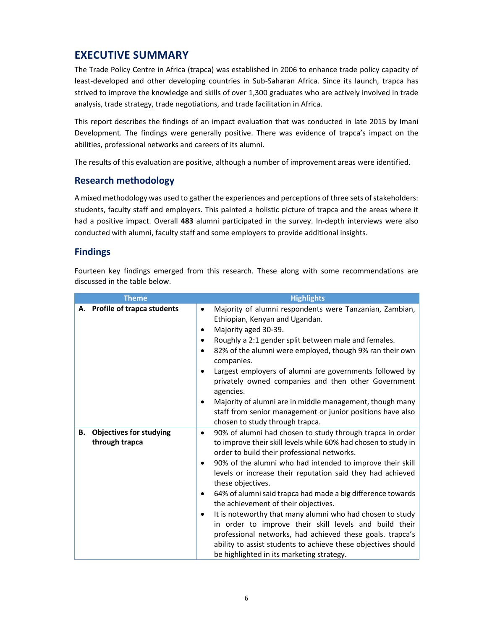# **EXECUTIVE SUMMARY**

The Trade Policy Centre in Africa (trapca) was established in 2006 to enhance trade policy capacity of least-developed and other developing countries in Sub-Saharan Africa. Since its launch, trapca has strived to improve the knowledge and skills of over 1,300 graduates who are actively involved in trade analysis, trade strategy, trade negotiations, and trade facilitation in Africa.

This report describes the findings of an impact evaluation that was conducted in late 2015 by Imani Development. The findings were generally positive. There was evidence of trapca's impact on the abilities, professional networks and careers of its alumni.

The results of this evaluation are positive, although a number of improvement areas were identified.

### **Research methodology**

A mixed methodology was used to gather the experiences and perceptions of three sets of stakeholders: students, faculty staff and employers. This painted a holistic picture of trapca and the areas where it had a positive impact. Overall **483** alumni participated in the survey. In-depth interviews were also conducted with alumni, faculty staff and some employers to provide additional insights.

### **Findings**

Fourteen key findings emerged from this research. These along with some recommendations are discussed in the table below.

| <b>Theme</b>                                           | <b>Highlights</b>                                                                                                                                                                                                                                                                                                                                                                                                                                                                                                                                                                                                                                                                                                                                       |
|--------------------------------------------------------|---------------------------------------------------------------------------------------------------------------------------------------------------------------------------------------------------------------------------------------------------------------------------------------------------------------------------------------------------------------------------------------------------------------------------------------------------------------------------------------------------------------------------------------------------------------------------------------------------------------------------------------------------------------------------------------------------------------------------------------------------------|
| A. Profile of trapca students                          | Majority of alumni respondents were Tanzanian, Zambian,<br>٠<br>Ethiopian, Kenyan and Ugandan.<br>Majority aged 30-39.<br>$\bullet$<br>Roughly a 2:1 gender split between male and females.<br>٠<br>82% of the alumni were employed, though 9% ran their own<br>٠<br>companies.<br>Largest employers of alumni are governments followed by<br>privately owned companies and then other Government<br>agencies.<br>Majority of alumni are in middle management, though many<br>$\bullet$<br>staff from senior management or junior positions have also<br>chosen to study through trapca.                                                                                                                                                                |
| <b>Objectives for studying</b><br>В.<br>through trapca | 90% of alumni had chosen to study through trapca in order<br>٠<br>to improve their skill levels while 60% had chosen to study in<br>order to build their professional networks.<br>90% of the alumni who had intended to improve their skill<br>٠<br>levels or increase their reputation said they had achieved<br>these objectives.<br>64% of alumni said trapca had made a big difference towards<br>٠<br>the achievement of their objectives.<br>It is noteworthy that many alumni who had chosen to study<br>٠<br>in order to improve their skill levels and build their<br>professional networks, had achieved these goals. trapca's<br>ability to assist students to achieve these objectives should<br>be highlighted in its marketing strategy. |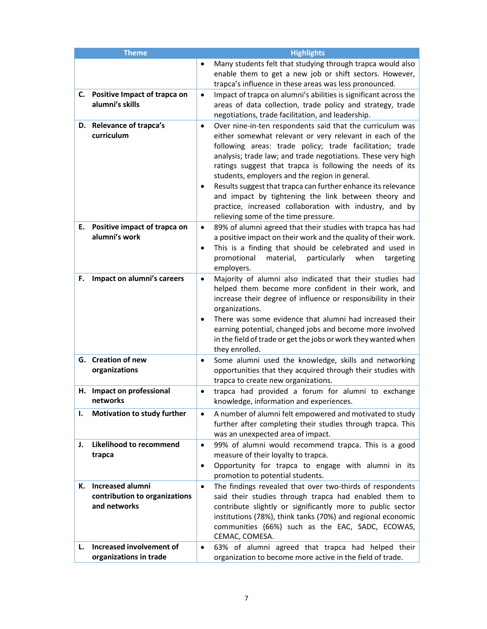|          | <b>Theme</b>                                                                                         | <b>Highlights</b>                                                                                                                                                                                                                                                                                                                                                                                                                                                                                                                                                                                                      |
|----------|------------------------------------------------------------------------------------------------------|------------------------------------------------------------------------------------------------------------------------------------------------------------------------------------------------------------------------------------------------------------------------------------------------------------------------------------------------------------------------------------------------------------------------------------------------------------------------------------------------------------------------------------------------------------------------------------------------------------------------|
|          |                                                                                                      | Many students felt that studying through trapca would also<br>enable them to get a new job or shift sectors. However,<br>trapca's influence in these areas was less pronounced.                                                                                                                                                                                                                                                                                                                                                                                                                                        |
|          | C. Positive Impact of trapca on<br>alumni's skills                                                   | Impact of trapca on alumni's abilities is significant across the<br>٠<br>areas of data collection, trade policy and strategy, trade<br>negotiations, trade facilitation, and leadership.                                                                                                                                                                                                                                                                                                                                                                                                                               |
|          | D. Relevance of trapca's<br>curriculum                                                               | Over nine-in-ten respondents said that the curriculum was<br>$\bullet$<br>either somewhat relevant or very relevant in each of the<br>following areas: trade policy; trade facilitation; trade<br>analysis; trade law; and trade negotiations. These very high<br>ratings suggest that trapca is following the needs of its<br>students, employers and the region in general.<br>Results suggest that trapca can further enhance its relevance<br>$\bullet$<br>and impact by tightening the link between theory and<br>practice, increased collaboration with industry, and by<br>relieving some of the time pressure. |
|          | E. Positive impact of trapca on<br>alumni's work                                                     | 89% of alumni agreed that their studies with trapca has had<br>$\bullet$<br>a positive impact on their work and the quality of their work.<br>This is a finding that should be celebrated and used in<br>$\bullet$<br>promotional<br>material,<br>particularly<br>when<br>targeting<br>employers.                                                                                                                                                                                                                                                                                                                      |
| F.       | Impact on alumni's careers                                                                           | Majority of alumni also indicated that their studies had<br>$\bullet$<br>helped them become more confident in their work, and<br>increase their degree of influence or responsibility in their<br>organizations.<br>There was some evidence that alumni had increased their<br>٠<br>earning potential, changed jobs and become more involved<br>in the field of trade or get the jobs or work they wanted when<br>they enrolled.                                                                                                                                                                                       |
|          | G. Creation of new<br>organizations                                                                  | Some alumni used the knowledge, skills and networking<br>$\bullet$<br>opportunities that they acquired through their studies with<br>trapca to create new organizations.                                                                                                                                                                                                                                                                                                                                                                                                                                               |
|          | H. Impact on professional<br>networks                                                                | trapca had provided a forum for alumni to exchange<br>knowledge, information and experiences.                                                                                                                                                                                                                                                                                                                                                                                                                                                                                                                          |
| ı.       | <b>Motivation to study further</b>                                                                   | A number of alumni felt empowered and motivated to study<br>۰<br>further after completing their studies through trapca. This<br>was an unexpected area of impact.                                                                                                                                                                                                                                                                                                                                                                                                                                                      |
| J.       | Likelihood to recommend<br>trapca                                                                    | 99% of alumni would recommend trapca. This is a good<br>$\bullet$<br>measure of their loyalty to trapca.<br>Opportunity for trapca to engage with alumni in its<br>٠<br>promotion to potential students.                                                                                                                                                                                                                                                                                                                                                                                                               |
| к.<br>L. | <b>Increased alumni</b><br>contribution to organizations<br>and networks<br>Increased involvement of | The findings revealed that over two-thirds of respondents<br>$\bullet$<br>said their studies through trapca had enabled them to<br>contribute slightly or significantly more to public sector<br>institutions (78%), think tanks (70%) and regional economic<br>communities (66%) such as the EAC, SADC, ECOWAS,<br>CEMAC, COMESA.<br>63% of alumni agreed that trapca had helped their                                                                                                                                                                                                                                |
|          | organizations in trade                                                                               | organization to become more active in the field of trade.                                                                                                                                                                                                                                                                                                                                                                                                                                                                                                                                                              |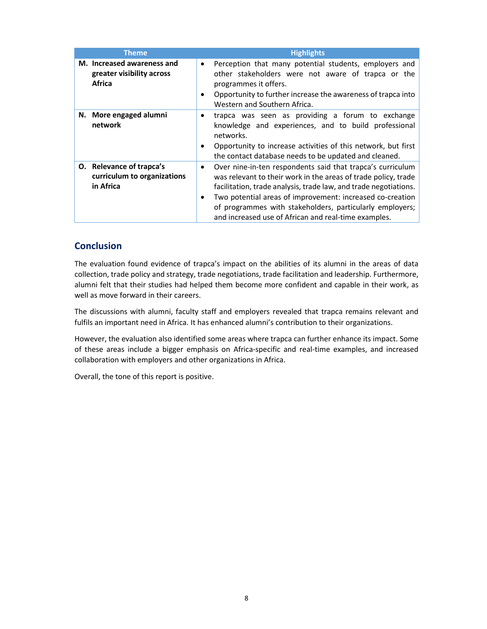| Theme                                                                    | <b>Highlights</b>                                                                                                                                                                                                                                                                                                                                                                                           |
|--------------------------------------------------------------------------|-------------------------------------------------------------------------------------------------------------------------------------------------------------------------------------------------------------------------------------------------------------------------------------------------------------------------------------------------------------------------------------------------------------|
| M. Increased awareness and<br>greater visibility across<br><b>Africa</b> | Perception that many potential students, employers and<br>$\bullet$<br>other stakeholders were not aware of trapca or the<br>programmes it offers.<br>Opportunity to further increase the awareness of trapca into<br>$\bullet$<br>Western and Southern Africa.                                                                                                                                             |
| N. More engaged alumni<br>network                                        | trapca was seen as providing a forum to exchange<br>٠<br>knowledge and experiences, and to build professional<br>networks.<br>Opportunity to increase activities of this network, but first<br>$\bullet$<br>the contact database needs to be updated and cleaned.                                                                                                                                           |
| O. Relevance of trapca's<br>curriculum to organizations<br>in Africa     | Over nine-in-ten respondents said that trapca's curriculum<br>$\bullet$<br>was relevant to their work in the areas of trade policy, trade<br>facilitation, trade analysis, trade law, and trade negotiations.<br>Two potential areas of improvement: increased co-creation<br>$\bullet$<br>of programmes with stakeholders, particularly employers;<br>and increased use of African and real-time examples. |

### **Conclusion**

The evaluation found evidence of trapca's impact on the abilities of its alumni in the areas of data collection, trade policy and strategy, trade negotiations, trade facilitation and leadership. Furthermore, alumni felt that their studies had helped them become more confident and capable in their work, as well as move forward in their careers.

The discussions with alumni, faculty staff and employers revealed that trapca remains relevant and fulfils an important need in Africa. It has enhanced alumni's contribution to their organizations.

However, the evaluation also identified some areas where trapca can further enhance its impact. Some of these areas include a bigger emphasis on Africa-specific and real-time examples, and increased collaboration with employers and other organizations in Africa.

Overall, the tone of this report is positive.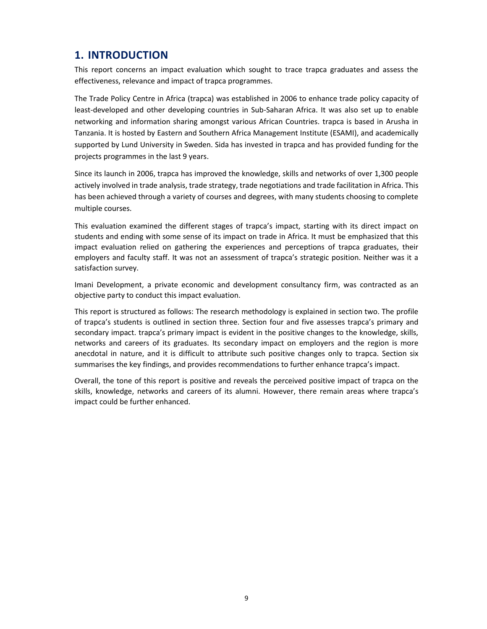# **1. INTRODUCTION**

This report concerns an impact evaluation which sought to trace trapca graduates and assess the effectiveness, relevance and impact of trapca programmes.

The Trade Policy Centre in Africa (trapca) was established in 2006 to enhance trade policy capacity of least-developed and other developing countries in Sub-Saharan Africa. It was also set up to enable networking and information sharing amongst various African Countries. trapca is based in Arusha in Tanzania. It is hosted by Eastern and Southern Africa Management Institute (ESAMI), and academically supported by Lund University in Sweden. Sida has invested in trapca and has provided funding for the projects programmes in the last 9 years.

Since its launch in 2006, trapca has improved the knowledge, skills and networks of over 1,300 people actively involved in trade analysis, trade strategy, trade negotiations and trade facilitation in Africa. This has been achieved through a variety of courses and degrees, with many students choosing to complete multiple courses.

This evaluation examined the different stages of trapca's impact, starting with its direct impact on students and ending with some sense of its impact on trade in Africa. It must be emphasized that this impact evaluation relied on gathering the experiences and perceptions of trapca graduates, their employers and faculty staff. It was not an assessment of trapca's strategic position. Neither was it a satisfaction survey.

Imani Development, a private economic and development consultancy firm, was contracted as an objective party to conduct this impact evaluation.

This report is structured as follows: The research methodology is explained in section two. The profile of trapca's students is outlined in section three. Section four and five assesses trapca's primary and secondary impact. trapca's primary impact is evident in the positive changes to the knowledge, skills, networks and careers of its graduates. Its secondary impact on employers and the region is more anecdotal in nature, and it is difficult to attribute such positive changes only to trapca. Section six summarises the key findings, and provides recommendations to further enhance trapca's impact.

Overall, the tone of this report is positive and reveals the perceived positive impact of trapca on the skills, knowledge, networks and careers of its alumni. However, there remain areas where trapca's impact could be further enhanced.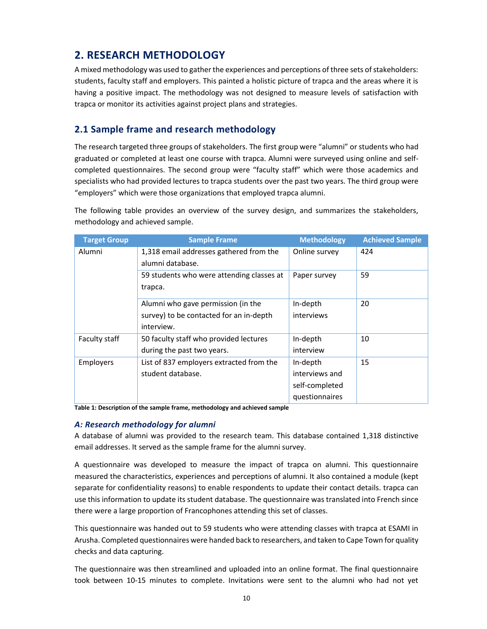# **2. RESEARCH METHODOLOGY**

A mixed methodology was used to gather the experiences and perceptions of three sets of stakeholders: students, faculty staff and employers. This painted a holistic picture of trapca and the areas where it is having a positive impact. The methodology was not designed to measure levels of satisfaction with trapca or monitor its activities against project plans and strategies.

### **2.1 Sample frame and research methodology**

The research targeted three groups of stakeholders. The first group were "alumni" or students who had graduated or completed at least one course with trapca. Alumni were surveyed using online and selfcompleted questionnaires. The second group were "faculty staff" which were those academics and specialists who had provided lectures to trapca students over the past two years. The third group were "employers" which were those organizations that employed trapca alumni.

The following table provides an overview of the survey design, and summarizes the stakeholders, methodology and achieved sample.

| <b>Target Group</b>                       | <b>Sample Frame</b>                      | <b>Methodology</b> | <b>Achieved Sample</b> |
|-------------------------------------------|------------------------------------------|--------------------|------------------------|
| Alumni                                    | 1,318 email addresses gathered from the  | Online survey      | 424                    |
|                                           | alumni database.                         |                    |                        |
| 59 students who were attending classes at |                                          | Paper survey       | 59                     |
|                                           | trapca.                                  |                    |                        |
|                                           | Alumni who gave permission (in the       | In-depth           | 20                     |
|                                           | survey) to be contacted for an in-depth  | interviews         |                        |
|                                           | interview.                               |                    |                        |
| Faculty staff                             | 50 faculty staff who provided lectures   | In-depth           | 10                     |
|                                           | during the past two years.               | interview          |                        |
| Employers                                 | List of 837 employers extracted from the | In-depth           | 15                     |
|                                           | student database.                        | interviews and     |                        |
|                                           |                                          | self-completed     |                        |
|                                           |                                          | questionnaires     |                        |

**Table 1: Description of the sample frame, methodology and achieved sample**

### *A: Research methodology for alumni*

A database of alumni was provided to the research team. This database contained 1,318 distinctive email addresses. It served as the sample frame for the alumni survey.

A questionnaire was developed to measure the impact of trapca on alumni. This questionnaire measured the characteristics, experiences and perceptions of alumni. It also contained a module (kept separate for confidentiality reasons) to enable respondents to update their contact details. trapca can use this information to update its student database. The questionnaire was translated into French since there were a large proportion of Francophones attending this set of classes.

This questionnaire was handed out to 59 students who were attending classes with trapca at ESAMI in Arusha. Completed questionnaires were handed back to researchers, and taken to Cape Town for quality checks and data capturing.

The questionnaire was then streamlined and uploaded into an online format. The final questionnaire took between 10-15 minutes to complete. Invitations were sent to the alumni who had not yet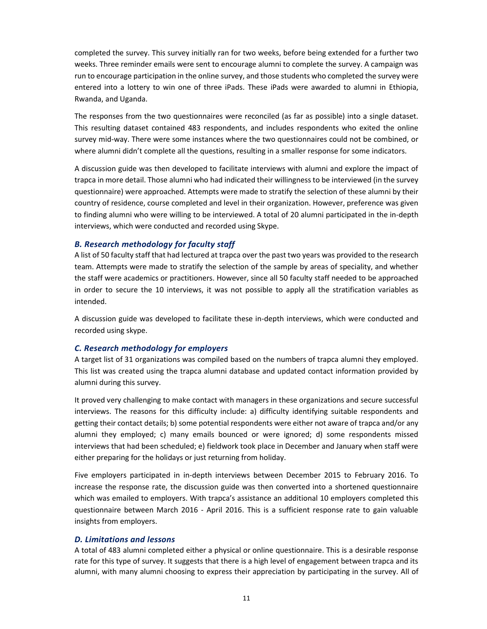completed the survey. This survey initially ran for two weeks, before being extended for a further two weeks. Three reminder emails were sent to encourage alumni to complete the survey. A campaign was run to encourage participation in the online survey, and those students who completed the survey were entered into a lottery to win one of three iPads. These iPads were awarded to alumni in Ethiopia, Rwanda, and Uganda.

The responses from the two questionnaires were reconciled (as far as possible) into a single dataset. This resulting dataset contained 483 respondents, and includes respondents who exited the online survey mid-way. There were some instances where the two questionnaires could not be combined, or where alumni didn't complete all the questions, resulting in a smaller response for some indicators.

A discussion guide was then developed to facilitate interviews with alumni and explore the impact of trapca in more detail. Those alumni who had indicated their willingness to be interviewed (in the survey questionnaire) were approached. Attempts were made to stratify the selection of these alumni by their country of residence, course completed and level in their organization. However, preference was given to finding alumni who were willing to be interviewed. A total of 20 alumni participated in the in-depth interviews, which were conducted and recorded using Skype.

#### *B. Research methodology for faculty staff*

A list of 50 faculty staff that had lectured at trapca over the past two years was provided to the research team. Attempts were made to stratify the selection of the sample by areas of speciality, and whether the staff were academics or practitioners. However, since all 50 faculty staff needed to be approached in order to secure the 10 interviews, it was not possible to apply all the stratification variables as intended.

A discussion guide was developed to facilitate these in-depth interviews, which were conducted and recorded using skype.

#### *C. Research methodology for employers*

A target list of 31 organizations was compiled based on the numbers of trapca alumni they employed. This list was created using the trapca alumni database and updated contact information provided by alumni during this survey.

It proved very challenging to make contact with managers in these organizations and secure successful interviews. The reasons for this difficulty include: a) difficulty identifying suitable respondents and getting their contact details; b) some potential respondents were either not aware of trapca and/or any alumni they employed; c) many emails bounced or were ignored; d) some respondents missed interviews that had been scheduled; e) fieldwork took place in December and January when staff were either preparing for the holidays or just returning from holiday.

Five employers participated in in-depth interviews between December 2015 to February 2016. To increase the response rate, the discussion guide was then converted into a shortened questionnaire which was emailed to employers. With trapca's assistance an additional 10 employers completed this questionnaire between March 2016 - April 2016. This is a sufficient response rate to gain valuable insights from employers.

#### *D. Limitations and lessons*

A total of 483 alumni completed either a physical or online questionnaire. This is a desirable response rate for this type of survey. It suggests that there is a high level of engagement between trapca and its alumni, with many alumni choosing to express their appreciation by participating in the survey. All of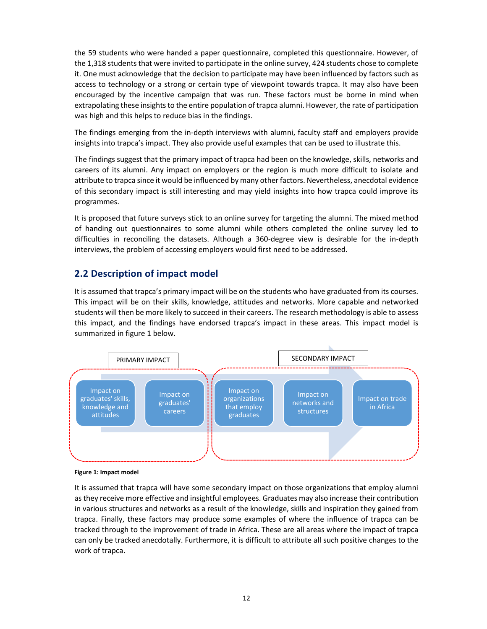the 59 students who were handed a paper questionnaire, completed this questionnaire. However, of the 1,318 students that were invited to participate in the online survey, 424 students chose to complete it. One must acknowledge that the decision to participate may have been influenced by factors such as access to technology or a strong or certain type of viewpoint towards trapca. It may also have been encouraged by the incentive campaign that was run. These factors must be borne in mind when extrapolating these insights to the entire population of trapca alumni. However, the rate of participation was high and this helps to reduce bias in the findings.

The findings emerging from the in-depth interviews with alumni, faculty staff and employers provide insights into trapca's impact. They also provide useful examples that can be used to illustrate this.

The findings suggest that the primary impact of trapca had been on the knowledge, skills, networks and careers of its alumni. Any impact on employers or the region is much more difficult to isolate and attribute to trapca since it would be influenced by many other factors. Nevertheless, anecdotal evidence of this secondary impact is still interesting and may yield insights into how trapca could improve its programmes.

It is proposed that future surveys stick to an online survey for targeting the alumni. The mixed method of handing out questionnaires to some alumni while others completed the online survey led to difficulties in reconciling the datasets. Although a 360-degree view is desirable for the in-depth interviews, the problem of accessing employers would first need to be addressed.

### **2.2 Description of impact model**

It is assumed that trapca's primary impact will be on the students who have graduated from its courses. This impact will be on their skills, knowledge, attitudes and networks. More capable and networked students will then be more likely to succeed in their careers. The research methodology is able to assess this impact, and the findings have endorsed trapca's impact in these areas. This impact model is summarized in figure 1 below.



**Figure 1: Impact model**

It is assumed that trapca will have some secondary impact on those organizations that employ alumni as they receive more effective and insightful employees. Graduates may also increase their contribution in various structures and networks as a result of the knowledge, skills and inspiration they gained from trapca. Finally, these factors may produce some examples of where the influence of trapca can be tracked through to the improvement of trade in Africa. These are all areas where the impact of trapca can only be tracked anecdotally. Furthermore, it is difficult to attribute all such positive changes to the work of trapca.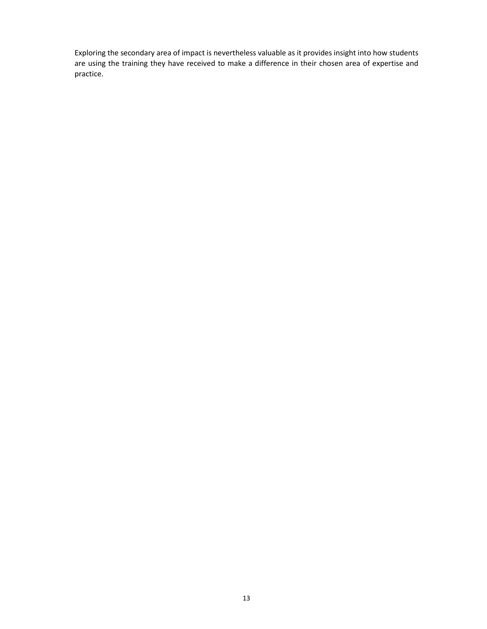Exploring the secondary area of impact is nevertheless valuable as it provides insight into how students are using the training they have received to make a difference in their chosen area of expertise and practice.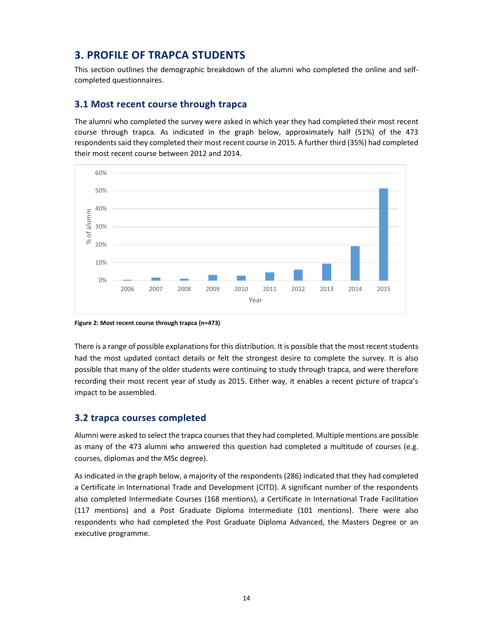# **3. PROFILE OF TRAPCA STUDENTS**

This section outlines the demographic breakdown of the alumni who completed the online and selfcompleted questionnaires.

### **3.1 Most recent course through trapca**

The alumni who completed the survey were asked in which year they had completed their most recent course through trapca. As indicated in the graph below, approximately half (51%) of the 473 respondents said they completed their most recent course in 2015. A further third (35%) had completed their most recent course between 2012 and 2014.



**Figure 2: Most recent course through trapca (n=473)** 

There is a range of possible explanations for this distribution. It is possible that the most recent students had the most updated contact details or felt the strongest desire to complete the survey. It is also possible that many of the older students were continuing to study through trapca, and were therefore recording their most recent year of study as 2015. Either way, it enables a recent picture of trapca's impact to be assembled.

### **3.2 trapca courses completed**

Alumni were asked to select the trapca courses that they had completed. Multiple mentions are possible as many of the 473 alumni who answered this question had completed a multitude of courses (e.g. courses, diplomas and the MSc degree).

As indicated in the graph below, a majority of the respondents (286) indicated that they had completed a Certificate in International Trade and Development (CITD). A significant number of the respondents also completed Intermediate Courses (168 mentions), a Certificate in International Trade Facilitation (117 mentions) and a Post Graduate Diploma Intermediate (101 mentions). There were also respondents who had completed the Post Graduate Diploma Advanced, the Masters Degree or an executive programme.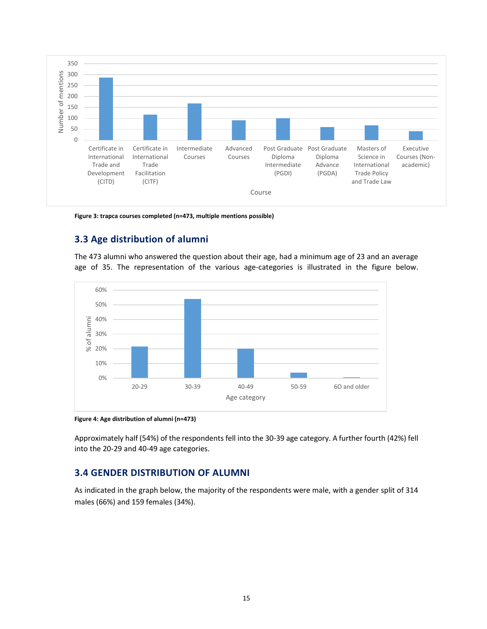

**Figure 3: trapca courses completed (n=473, multiple mentions possible)**

### **3.3 Age distribution of alumni**

The 473 alumni who answered the question about their age, had a minimum age of 23 and an average age of 35. The representation of the various age-categories is illustrated in the figure below.



**Figure 4: Age distribution of alumni (n=473)**

Approximately half (54%) of the respondents fell into the 30-39 age category. A further fourth (42%) fell into the 20-29 and 40-49 age categories.

### **3.4 GENDER DISTRIBUTION OF ALUMNI**

As indicated in the graph below, the majority of the respondents were male, with a gender split of 314 males (66%) and 159 females (34%).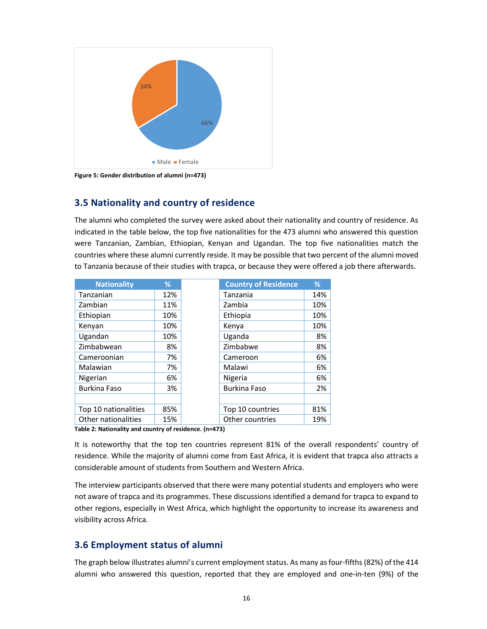

**Figure 5: Gender distribution of alumni (n=473)**

### **3.5 Nationality and country of residence**

The alumni who completed the survey were asked about their nationality and country of residence. As indicated in the table below, the top five nationalities for the 473 alumni who answered this question were Tanzanian, Zambian, Ethiopian, Kenyan and Ugandan. The top five nationalities match the countries where these alumni currently reside. It may be possible that two percent of the alumni moved to Tanzania because of their studies with trapca, or because they were offered a job there afterwards.

| <b>Nationality</b>   | ℅   | <b>Country of Residence</b> |
|----------------------|-----|-----------------------------|
| Tanzanian            | 12% | Tanzania                    |
| Zambian              | 11% | Zambia                      |
| Ethiopian            | 10% | Ethiopia                    |
| Kenyan               | 10% | Kenya                       |
| Ugandan              | 10% | Uganda                      |
| Zimbabwean           | 8%  | Zimbabwe                    |
| Cameroonian          | 7%  | Cameroon                    |
| Malawian             | 7%  | Malawi                      |
| Nigerian             | 6%  | Nigeria                     |
| <b>Burkina Faso</b>  | 3%  | <b>Burkina Faso</b>         |
|                      |     |                             |
| Top 10 nationalities | 85% | Top 10 countries            |
| Other nationalities  | 15% | Other countries             |

**Table 2: Nationality and country of residence. (n=473)**

It is noteworthy that the top ten countries represent 81% of the overall respondents' country of residence. While the majority of alumni come from East Africa, it is evident that trapca also attracts a considerable amount of students from Southern and Western Africa.

The interview participants observed that there were many potential students and employers who were not aware of trapca and its programmes. These discussions identified a demand for trapca to expand to other regions, especially in West Africa, which highlight the opportunity to increase its awareness and visibility across Africa.

### **3.6 Employment status of alumni**

The graph below illustrates alumni's current employment status. As many as four-fifths (82%) of the 414 alumni who answered this question, reported that they are employed and one-in-ten (9%) of the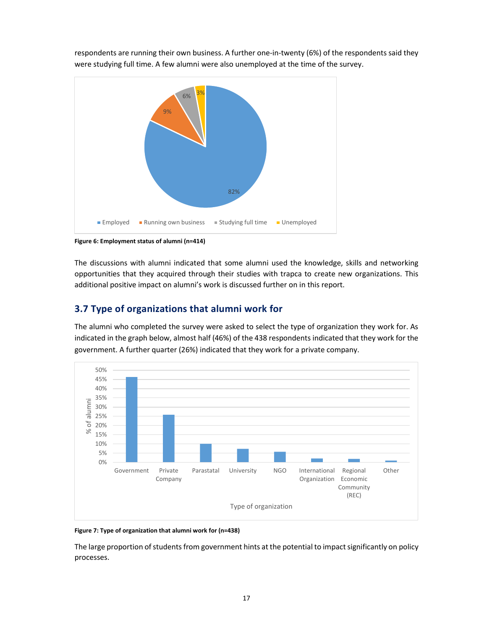

respondents are running their own business. A further one-in-twenty (6%) of the respondents said they were studying full time. A few alumni were also unemployed at the time of the survey.

**Figure 6: Employment status of alumni (n=414)**

The discussions with alumni indicated that some alumni used the knowledge, skills and networking opportunities that they acquired through their studies with trapca to create new organizations. This additional positive impact on alumni's work is discussed further on in this report.

### **3.7 Type of organizations that alumni work for**

The alumni who completed the survey were asked to select the type of organization they work for. As indicated in the graph below, almost half (46%) of the 438 respondents indicated that they work for the government. A further quarter (26%) indicated that they work for a private company.



**Figure 7: Type of organization that alumni work for (n=438)**

The large proportion of students from government hints at the potential to impact significantly on policy processes.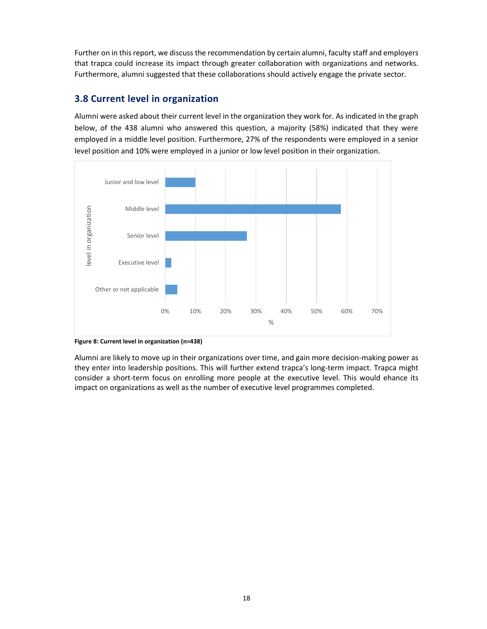Further on in this report, we discuss the recommendation by certain alumni, faculty staff and employers that trapca could increase its impact through greater collaboration with organizations and networks. Furthermore, alumni suggested that these collaborations should actively engage the private sector.

### **3.8 Current level in organization**

Alumni were asked about their current level in the organization they work for. As indicated in the graph below, of the 438 alumni who answered this question, a majority (58%) indicated that they were employed in a middle level position. Furthermore, 27% of the respondents were employed in a senior level position and 10% were employed in a junior or low level position in their organization.



**Figure 8: Current level in organization (n=438)**

Alumni are likely to move up in their organizations over time, and gain more decision-making power as they enter into leadership positions. This will further extend trapca's long-term impact. Trapca might consider a short-term focus on enrolling more people at the executive level. This would ehance its impact on organizations as well as the number of executive level programmes completed.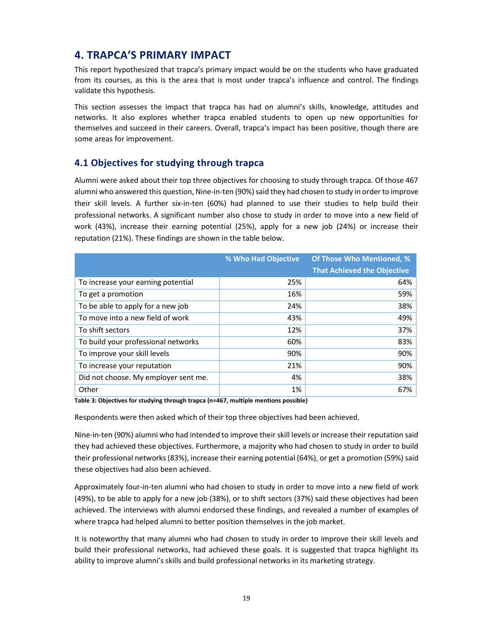# **4. TRAPCA'S PRIMARY IMPACT**

This report hypothesized that trapca's primary impact would be on the students who have graduated from its courses, as this is the area that is most under trapca's influence and control. The findings validate this hypothesis.

This section assesses the impact that trapca has had on alumni's skills, knowledge, attitudes and networks. It also explores whether trapca enabled students to open up new opportunities for themselves and succeed in their careers. Overall, trapca's impact has been positive, though there are some areas for improvement.

### **4.1 Objectives for studying through trapca**

Alumni were asked about their top three objectives for choosing to study through trapca. Of those 467 alumni who answered this question, Nine-in-ten (90%) said they had chosen to study in order to improve their skill levels. A further six-in-ten (60%) had planned to use their studies to help build their professional networks. A significant number also chose to study in order to move into a new field of work (43%), increase their earning potential (25%), apply for a new job (24%) or increase their reputation (21%). These findings are shown in the table below.

|                                      | % Who Had Objective | <b>Of Those Who Mentioned, %</b><br><b>That Achieved the Objective</b> |
|--------------------------------------|---------------------|------------------------------------------------------------------------|
| To increase your earning potential   | 25%                 | 64%                                                                    |
| To get a promotion                   | 16%                 | 59%                                                                    |
| To be able to apply for a new job    | 24%                 | 38%                                                                    |
| To move into a new field of work     | 43%                 | 49%                                                                    |
| To shift sectors                     | 12%                 | 37%                                                                    |
| To build your professional networks  | 60%                 | 83%                                                                    |
| To improve your skill levels         | 90%                 | 90%                                                                    |
| To increase your reputation          | 21%                 | 90%                                                                    |
| Did not choose. My employer sent me. | 4%                  | 38%                                                                    |
| Other                                | 1%                  | 67%                                                                    |

**Table 3: Objectives for studying through trapca (n=467, multiple mentions possible)**

Respondents were then asked which of their top three objectives had been achieved.

Nine-in-ten (90%) alumni who had intended to improve their skill levels or increase their reputation said they had achieved these objectives. Furthermore, a majority who had chosen to study in order to build their professional networks (83%), increase their earning potential (64%), or get a promotion (59%) said these objectives had also been achieved.

Approximately four-in-ten alumni who had chosen to study in order to move into a new field of work (49%), to be able to apply for a new job (38%), or to shift sectors (37%) said these objectives had been achieved. The interviews with alumni endorsed these findings, and revealed a number of examples of where trapca had helped alumni to better position themselves in the job market.

It is noteworthy that many alumni who had chosen to study in order to improve their skill levels and build their professional networks, had achieved these goals. It is suggested that trapca highlight its ability to improve alumni's skills and build professional networks in its marketing strategy.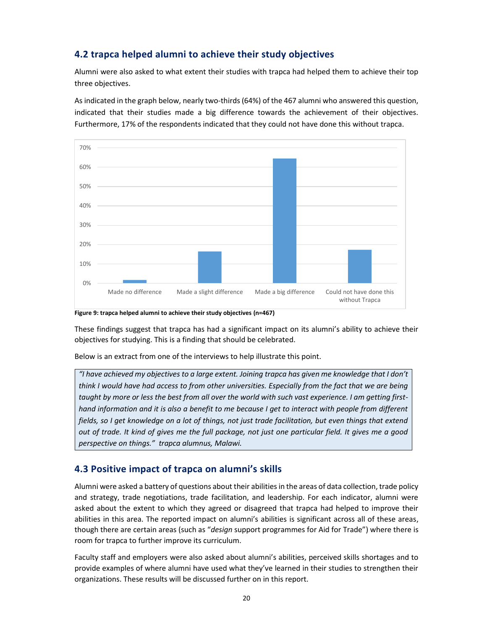### **4.2 trapca helped alumni to achieve their study objectives**

Alumni were also asked to what extent their studies with trapca had helped them to achieve their top three objectives.

As indicated in the graph below, nearly two-thirds (64%) of the 467 alumni who answered this question, indicated that their studies made a big difference towards the achievement of their objectives. Furthermore, 17% of the respondents indicated that they could not have done this without trapca.



**Figure 9: trapca helped alumni to achieve their study objectives (n=467)**

These findings suggest that trapca has had a significant impact on its alumni's ability to achieve their objectives for studying. This is a finding that should be celebrated.

Below is an extract from one of the interviews to help illustrate this point.

*"I have achieved my objectives to a large extent. Joining trapca has given me knowledge that I don't think I would have had access to from other universities. Especially from the fact that we are being taught by more or less the best from all over the world with such vast experience. I am getting firsthand information and it is also a benefit to me because I get to interact with people from different fields, so I get knowledge on a lot of things, not just trade facilitation, but even things that extend out of trade. It kind of gives me the full package, not just one particular field. It gives me a good perspective on things." trapca alumnus, Malawi.*

### **4.3 Positive impact of trapca on alumni's skills**

Alumni were asked a battery of questions about their abilities in the areas of data collection, trade policy and strategy, trade negotiations, trade facilitation, and leadership. For each indicator, alumni were asked about the extent to which they agreed or disagreed that trapca had helped to improve their abilities in this area. The reported impact on alumni's abilities is significant across all of these areas, though there are certain areas (such as "*design* support programmes for Aid for Trade") where there is room for trapca to further improve its curriculum.

Faculty staff and employers were also asked about alumni's abilities, perceived skills shortages and to provide examples of where alumni have used what they've learned in their studies to strengthen their organizations. These results will be discussed further on in this report.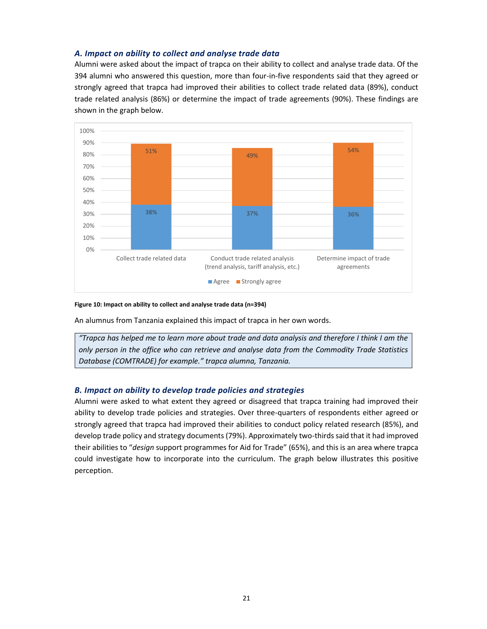#### *A. Impact on ability to collect and analyse trade data*

Alumni were asked about the impact of trapca on their ability to collect and analyse trade data. Of the 394 alumni who answered this question, more than four-in-five respondents said that they agreed or strongly agreed that trapca had improved their abilities to collect trade related data (89%), conduct trade related analysis (86%) or determine the impact of trade agreements (90%). These findings are shown in the graph below.



#### **Figure 10: Impact on ability to collect and analyse trade data (n=394)**

An alumnus from Tanzania explained this impact of trapca in her own words.

*"Trapca has helped me to learn more about trade and data analysis and therefore I think I am the only person in the office who can retrieve and analyse data from the Commodity Trade Statistics Database (COMTRADE) for example." trapca alumna, Tanzania.*

#### *B. Impact on ability to develop trade policies and strategies*

Alumni were asked to what extent they agreed or disagreed that trapca training had improved their ability to develop trade policies and strategies. Over three-quarters of respondents either agreed or strongly agreed that trapca had improved their abilities to conduct policy related research (85%), and develop trade policy and strategy documents (79%). Approximately two-thirds said that it had improved their abilities to "*design* support programmes for Aid for Trade" (65%), and this is an area where trapca could investigate how to incorporate into the curriculum. The graph below illustrates this positive perception.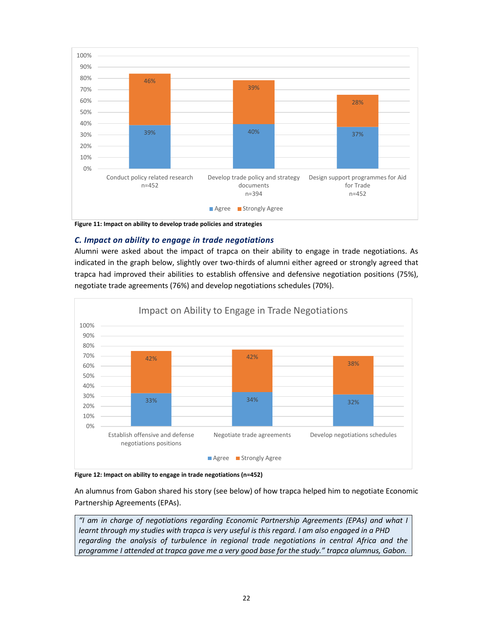

**Figure 11: Impact on ability to develop trade policies and strategies**

### *C. Impact on ability to engage in trade negotiations*

Alumni were asked about the impact of trapca on their ability to engage in trade negotiations. As indicated in the graph below, slightly over two-thirds of alumni either agreed or strongly agreed that trapca had improved their abilities to establish offensive and defensive negotiation positions (75%), negotiate trade agreements (76%) and develop negotiations schedules (70%).



**Figure 12: Impact on ability to engage in trade negotiations (n=452)**

An alumnus from Gabon shared his story (see below) of how trapca helped him to negotiate Economic Partnership Agreements (EPAs).

*"I am in charge of negotiations regarding Economic Partnership Agreements (EPAs) and what I learnt through my studies with trapca is very useful is this regard. I am also engaged in a PHD regarding the analysis of turbulence in regional trade negotiations in central Africa and the programme I attended at trapca gave me a very good base for the study." trapca alumnus, Gabon.*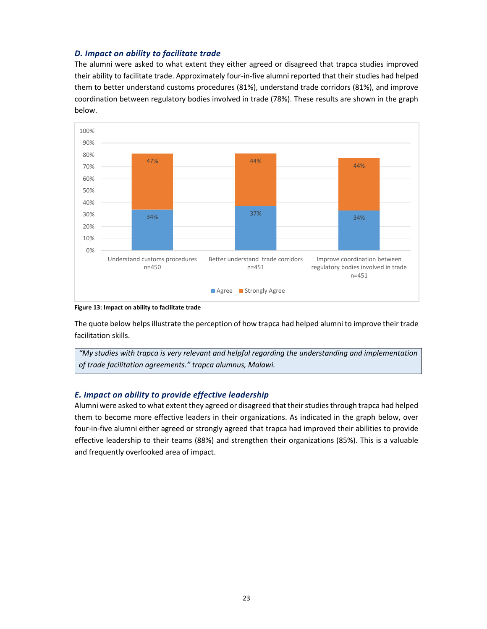### *D. Impact on ability to facilitate trade*

The alumni were asked to what extent they either agreed or disagreed that trapca studies improved their ability to facilitate trade. Approximately four-in-five alumni reported that their studies had helped them to better understand customs procedures (81%), understand trade corridors (81%), and improve coordination between regulatory bodies involved in trade (78%). These results are shown in the graph below.



**Figure 13: Impact on ability to facilitate trade**

The quote below helps illustrate the perception of how trapca had helped alumni to improve their trade facilitation skills.

*"My studies with trapca is very relevant and helpful regarding the understanding and implementation of trade facilitation agreements." trapca alumnus, Malawi.*

### *E. Impact on ability to provide effective leadership*

Alumni were asked to what extent they agreed or disagreed that their studies through trapca had helped them to become more effective leaders in their organizations. As indicated in the graph below, over four-in-five alumni either agreed or strongly agreed that trapca had improved their abilities to provide effective leadership to their teams (88%) and strengthen their organizations (85%). This is a valuable and frequently overlooked area of impact.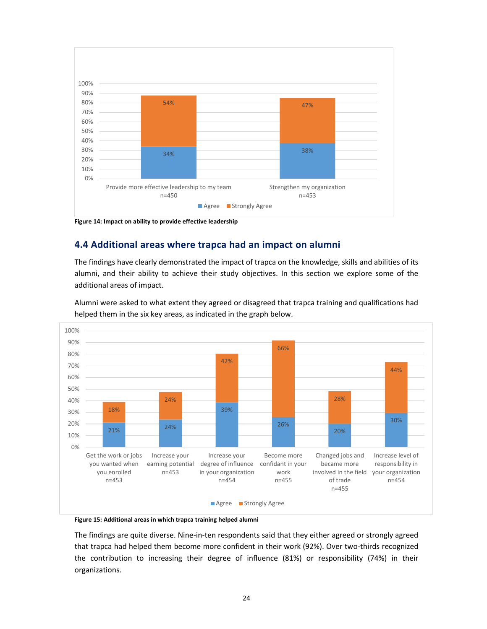

**Figure 14: Impact on ability to provide effective leadership**

### **4.4 Additional areas where trapca had an impact on alumni**

The findings have clearly demonstrated the impact of trapca on the knowledge, skills and abilities of its alumni, and their ability to achieve their study objectives. In this section we explore some of the additional areas of impact.



Alumni were asked to what extent they agreed or disagreed that trapca training and qualifications had helped them in the six key areas, as indicated in the graph below.

**Figure 15: Additional areas in which trapca training helped alumni**

The findings are quite diverse. Nine-in-ten respondents said that they either agreed or strongly agreed that trapca had helped them become more confident in their work (92%). Over two-thirds recognized the contribution to increasing their degree of influence (81%) or responsibility (74%) in their organizations.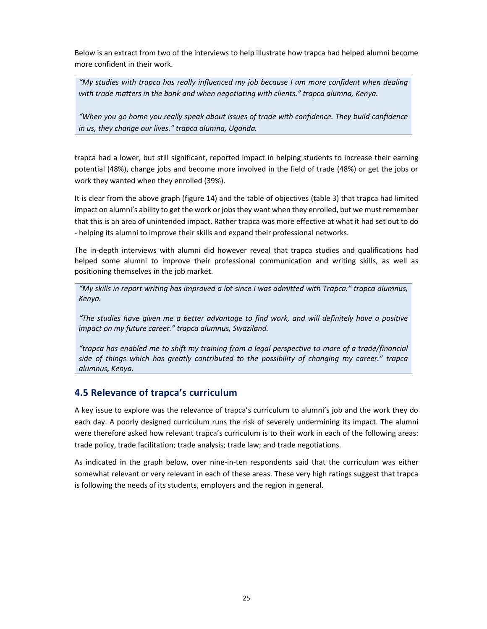Below is an extract from two of the interviews to help illustrate how trapca had helped alumni become more confident in their work.

*"My studies with trapca has really influenced my job because I am more confident when dealing with trade matters in the bank and when negotiating with clients." trapca alumna, Kenya.*

*"When you go home you really speak about issues of trade with confidence. They build confidence in us, they change our lives." trapca alumna, Uganda.* 

trapca had a lower, but still significant, reported impact in helping students to increase their earning potential (48%), change jobs and become more involved in the field of trade (48%) or get the jobs or work they wanted when they enrolled (39%).

It is clear from the above graph (figure 14) and the table of objectives (table 3) that trapca had limited impact on alumni's ability to get the work or jobs they want when they enrolled, but we must remember that this is an area of unintended impact. Rather trapca was more effective at what it had set out to do - helping its alumni to improve their skills and expand their professional networks.

The in-depth interviews with alumni did however reveal that trapca studies and qualifications had helped some alumni to improve their professional communication and writing skills, as well as positioning themselves in the job market.

*"My skills in report writing has improved a lot since I was admitted with Trapca." trapca alumnus, Kenya.*

*"The studies have given me a better advantage to find work, and will definitely have a positive impact on my future career." trapca alumnus, Swaziland.* 

*"trapca has enabled me to shift my training from a legal perspective to more of a trade/financial side of things which has greatly contributed to the possibility of changing my career." trapca alumnus, Kenya.*

### **4.5 Relevance of trapca's curriculum**

A key issue to explore was the relevance of trapca's curriculum to alumni's job and the work they do each day. A poorly designed curriculum runs the risk of severely undermining its impact. The alumni were therefore asked how relevant trapca's curriculum is to their work in each of the following areas: trade policy, trade facilitation; trade analysis; trade law; and trade negotiations.

As indicated in the graph below, over nine-in-ten respondents said that the curriculum was either somewhat relevant or very relevant in each of these areas. These very high ratings suggest that trapca is following the needs of its students, employers and the region in general.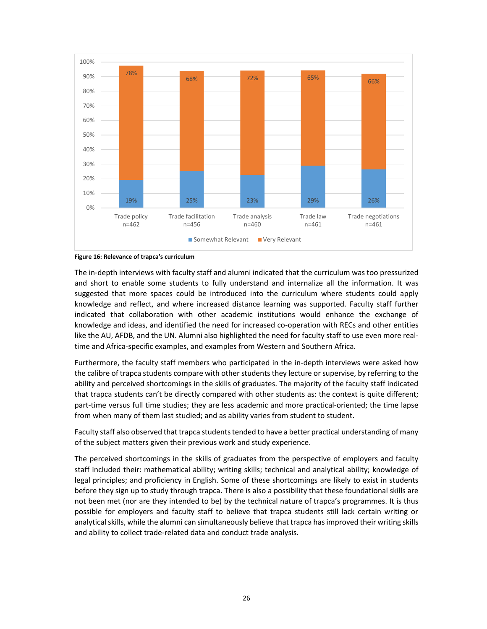



The in-depth interviews with faculty staff and alumni indicated that the curriculum was too pressurized and short to enable some students to fully understand and internalize all the information. It was suggested that more spaces could be introduced into the curriculum where students could apply knowledge and reflect, and where increased distance learning was supported. Faculty staff further indicated that collaboration with other academic institutions would enhance the exchange of knowledge and ideas, and identified the need for increased co-operation with RECs and other entities like the AU, AFDB, and the UN. Alumni also highlighted the need for faculty staff to use even more realtime and Africa-specific examples, and examples from Western and Southern Africa.

Furthermore, the faculty staff members who participated in the in-depth interviews were asked how the calibre of trapca students compare with other students they lecture or supervise, by referring to the ability and perceived shortcomings in the skills of graduates. The majority of the faculty staff indicated that trapca students can't be directly compared with other students as: the context is quite different; part-time versus full time studies; they are less academic and more practical-oriented; the time lapse from when many of them last studied; and as ability varies from student to student.

Faculty staff also observed that trapca students tended to have a better practical understanding of many of the subject matters given their previous work and study experience.

The perceived shortcomings in the skills of graduates from the perspective of employers and faculty staff included their: mathematical ability; writing skills; technical and analytical ability; knowledge of legal principles; and proficiency in English. Some of these shortcomings are likely to exist in students before they sign up to study through trapca. There is also a possibility that these foundational skills are not been met (nor are they intended to be) by the technical nature of trapca's programmes. It is thus possible for employers and faculty staff to believe that trapca students still lack certain writing or analytical skills, while the alumni can simultaneously believe that trapca has improved their writing skills and ability to collect trade-related data and conduct trade analysis.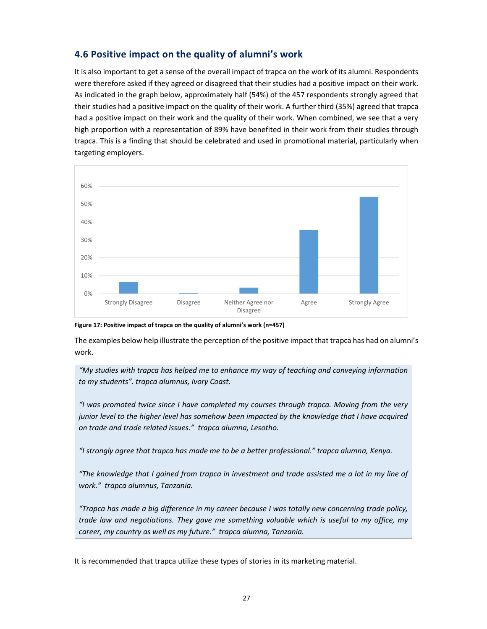### **4.6 Positive impact on the quality of alumni's work**

It is also important to get a sense of the overall impact of trapca on the work of its alumni. Respondents were therefore asked if they agreed or disagreed that their studies had a positive impact on their work. As indicated in the graph below, approximately half (54%) of the 457 respondents strongly agreed that their studies had a positive impact on the quality of their work. A further third (35%) agreed that trapca had a positive impact on their work and the quality of their work. When combined, we see that a very high proportion with a representation of 89% have benefited in their work from their studies through trapca. This is a finding that should be celebrated and used in promotional material, particularly when targeting employers.



#### **Figure 17: Positive impact of trapca on the quality of alumni's work (n=457)**

The examples below help illustrate the perception of the positive impact that trapca has had on alumni's work.

*"My studies with trapca has helped me to enhance my way of teaching and conveying information to my students". trapca alumnus, Ivory Coast.* 

*"I was promoted twice since I have completed my courses through trapca. Moving from the very junior level to the higher level has somehow been impacted by the knowledge that I have acquired on trade and trade related issues." trapca alumna, Lesotho.* 

*"I strongly agree that trapca has made me to be a better professional." trapca alumna, Kenya.*

*"The knowledge that I gained from trapca in investment and trade assisted me a lot in my line of work." trapca alumnus, Tanzania.* 

*"Trapca has made a big difference in my career because I was totally new concerning trade policy, trade law and negotiations. They gave me something valuable which is useful to my office, my career, my country as well as my future." trapca alumna, Tanzania.*

It is recommended that trapca utilize these types of stories in its marketing material.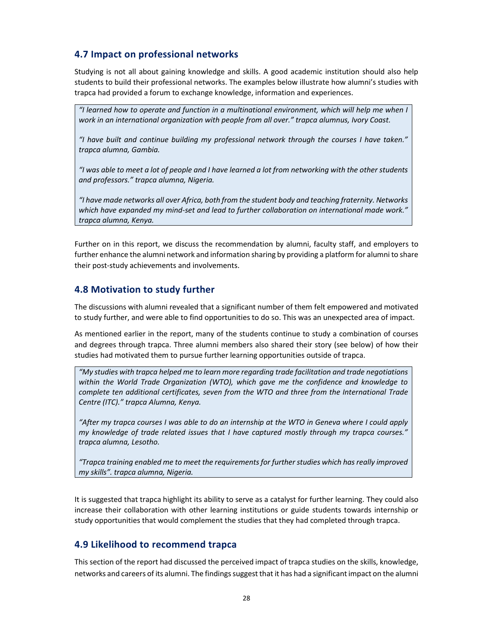### **4.7 Impact on professional networks**

Studying is not all about gaining knowledge and skills. A good academic institution should also help students to build their professional networks. The examples below illustrate how alumni's studies with trapca had provided a forum to exchange knowledge, information and experiences.

*"I learned how to operate and function in a multinational environment, which will help me when I work in an international organization with people from all over." trapca alumnus, Ivory Coast.* 

*"I have built and continue building my professional network through the courses I have taken." trapca alumna, Gambia.* 

*"I was able to meet a lot of people and I have learned a lot from networking with the other students and professors." trapca alumna, Nigeria.* 

*"I have made networks all over Africa, both from the student body and teaching fraternity. Networks*  which have expanded my mind-set and lead to further collaboration on international made work." *trapca alumna, Kenya.*

Further on in this report, we discuss the recommendation by alumni, faculty staff, and employers to further enhance the alumni network and information sharing by providing a platform for alumni to share their post-study achievements and involvements.

### **4.8 Motivation to study further**

The discussions with alumni revealed that a significant number of them felt empowered and motivated to study further, and were able to find opportunities to do so. This was an unexpected area of impact.

As mentioned earlier in the report, many of the students continue to study a combination of courses and degrees through trapca. Three alumni members also shared their story (see below) of how their studies had motivated them to pursue further learning opportunities outside of trapca.

*"My studies with trapca helped me to learn more regarding trade facilitation and trade negotiations within the World Trade Organization (WTO), which gave me the confidence and knowledge to complete ten additional certificates, seven from the WTO and three from the International Trade Centre (ITC)." trapca Alumna, Kenya.*

*"After my trapca courses I was able to do an internship at the WTO in Geneva where I could apply my knowledge of trade related issues that I have captured mostly through my trapca courses." trapca alumna, Lesotho.* 

*"Trapca training enabled me to meet the requirements for further studies which has really improved my skills". trapca alumna, Nigeria.* 

It is suggested that trapca highlight its ability to serve as a catalyst for further learning. They could also increase their collaboration with other learning institutions or guide students towards internship or study opportunities that would complement the studies that they had completed through trapca.

### **4.9 Likelihood to recommend trapca**

This section of the report had discussed the perceived impact of trapca studies on the skills, knowledge, networks and careers of its alumni. The findings suggest that it has had a significant impact on the alumni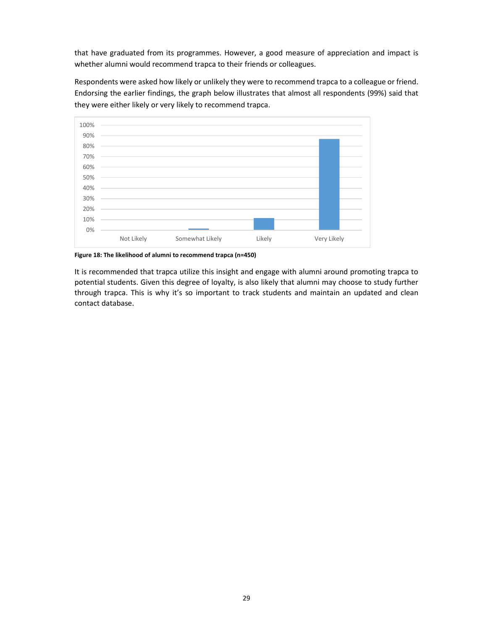that have graduated from its programmes. However, a good measure of appreciation and impact is whether alumni would recommend trapca to their friends or colleagues.

Respondents were asked how likely or unlikely they were to recommend trapca to a colleague or friend. Endorsing the earlier findings, the graph below illustrates that almost all respondents (99%) said that they were either likely or very likely to recommend trapca.



**Figure 18: The likelihood of alumni to recommend trapca (n=450)**

It is recommended that trapca utilize this insight and engage with alumni around promoting trapca to potential students. Given this degree of loyalty, is also likely that alumni may choose to study further through trapca. This is why it's so important to track students and maintain an updated and clean contact database.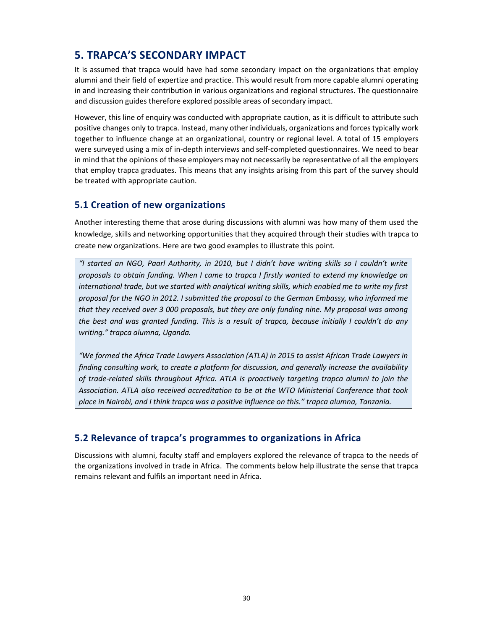# **5. TRAPCA'S SECONDARY IMPACT**

It is assumed that trapca would have had some secondary impact on the organizations that employ alumni and their field of expertize and practice. This would result from more capable alumni operating in and increasing their contribution in various organizations and regional structures. The questionnaire and discussion guides therefore explored possible areas of secondary impact.

However, this line of enquiry was conducted with appropriate caution, as it is difficult to attribute such positive changes only to trapca. Instead, many other individuals, organizations and forces typically work together to influence change at an organizational, country or regional level. A total of 15 employers were surveyed using a mix of in-depth interviews and self-completed questionnaires. We need to bear in mind that the opinions of these employers may not necessarily be representative of all the employers that employ trapca graduates. This means that any insights arising from this part of the survey should be treated with appropriate caution.

### **5.1 Creation of new organizations**

Another interesting theme that arose during discussions with alumni was how many of them used the knowledge, skills and networking opportunities that they acquired through their studies with trapca to create new organizations. Here are two good examples to illustrate this point.

*"I started an NGO, Paarl Authority, in 2010, but I didn't have writing skills so I couldn't write proposals to obtain funding. When I came to trapca I firstly wanted to extend my knowledge on international trade, but we started with analytical writing skills, which enabled me to write my first proposal for the NGO in 2012. I submitted the proposal to the German Embassy, who informed me that they received over 3 000 proposals, but they are only funding nine. My proposal was among the best and was granted funding. This is a result of trapca, because initially I couldn't do any writing." trapca alumna, Uganda.*

*"We formed the Africa Trade Lawyers Association (ATLA) in 2015 to assist African Trade Lawyers in finding consulting work, to create a platform for discussion, and generally increase the availability of trade-related skills throughout Africa. ATLA is proactively targeting trapca alumni to join the Association. ATLA also received accreditation to be at the WTO Ministerial Conference that took place in Nairobi, and I think trapca was a positive influence on this." trapca alumna, Tanzania.*

### **5.2 Relevance of trapca's programmes to organizations in Africa**

Discussions with alumni, faculty staff and employers explored the relevance of trapca to the needs of the organizations involved in trade in Africa. The comments below help illustrate the sense that trapca remains relevant and fulfils an important need in Africa.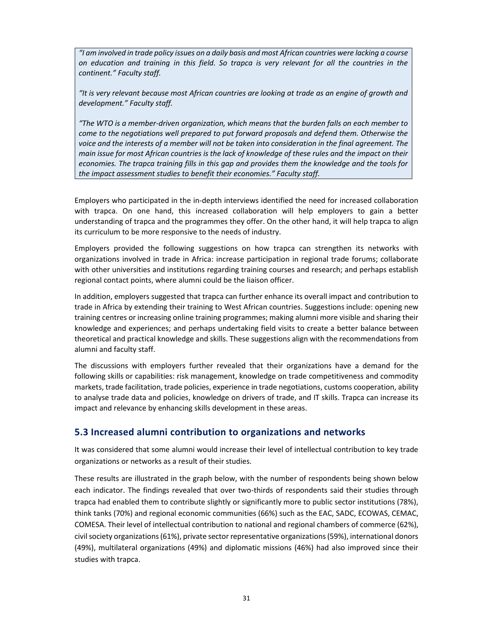*"I am involved in trade policy issues on a daily basis and most African countries were lacking a course on education and training in this field. So trapca is very relevant for all the countries in the continent." Faculty staff.* 

*"It is very relevant because most African countries are looking at trade as an engine of growth and development." Faculty staff.* 

*"The WTO is a member-driven organization, which means that the burden falls on each member to come to the negotiations well prepared to put forward proposals and defend them. Otherwise the voice and the interests of a member will not be taken into consideration in the final agreement. The main issue for most African countries is the lack of knowledge of these rules and the impact on their economies. The trapca training fills in this gap and provides them the knowledge and the tools for the impact assessment studies to benefit their economies." Faculty staff.*

Employers who participated in the in-depth interviews identified the need for increased collaboration with trapca. On one hand, this increased collaboration will help employers to gain a better understanding of trapca and the programmes they offer. On the other hand, it will help trapca to align its curriculum to be more responsive to the needs of industry.

Employers provided the following suggestions on how trapca can strengthen its networks with organizations involved in trade in Africa: increase participation in regional trade forums; collaborate with other universities and institutions regarding training courses and research; and perhaps establish regional contact points, where alumni could be the liaison officer.

In addition, employers suggested that trapca can further enhance its overall impact and contribution to trade in Africa by extending their training to West African countries. Suggestions include: opening new training centres or increasing online training programmes; making alumni more visible and sharing their knowledge and experiences; and perhaps undertaking field visits to create a better balance between theoretical and practical knowledge and skills. These suggestions align with the recommendations from alumni and faculty staff.

The discussions with employers further revealed that their organizations have a demand for the following skills or capabilities: risk management, knowledge on trade competitiveness and commodity markets, trade facilitation, trade policies, experience in trade negotiations, customs cooperation, ability to analyse trade data and policies, knowledge on drivers of trade, and IT skills. Trapca can increase its impact and relevance by enhancing skills development in these areas.

### **5.3 Increased alumni contribution to organizations and networks**

It was considered that some alumni would increase their level of intellectual contribution to key trade organizations or networks as a result of their studies.

These results are illustrated in the graph below, with the number of respondents being shown below each indicator. The findings revealed that over two-thirds of respondents said their studies through trapca had enabled them to contribute slightly or significantly more to public sector institutions (78%), think tanks (70%) and regional economic communities (66%) such as the EAC, SADC, ECOWAS, CEMAC, COMESA. Their level of intellectual contribution to national and regional chambers of commerce (62%), civil society organizations (61%), private sector representative organizations (59%), international donors (49%), multilateral organizations (49%) and diplomatic missions (46%) had also improved since their studies with trapca.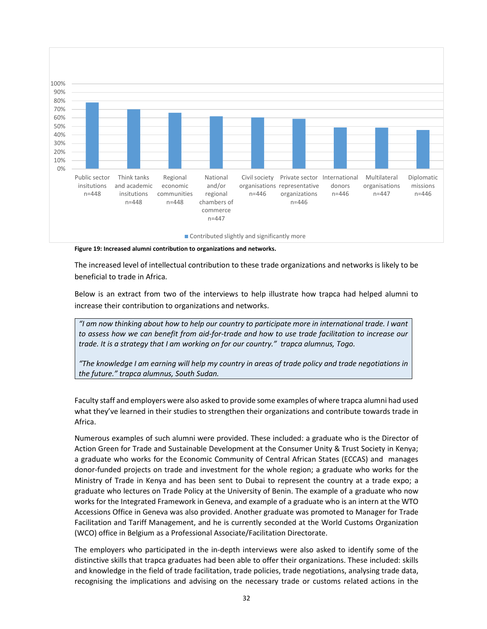

**Figure 19: Increased alumni contribution to organizations and networks.**

The increased level of intellectual contribution to these trade organizations and networks is likely to be beneficial to trade in Africa.

Below is an extract from two of the interviews to help illustrate how trapca had helped alumni to increase their contribution to organizations and networks.

*"I am now thinking about how to help our country to participate more in international trade. I want to assess how we can benefit from aid-for-trade and how to use trade facilitation to increase our trade. It is a strategy that I am working on for our country." trapca alumnus, Togo.*

*"The knowledge I am earning will help my country in areas of trade policy and trade negotiations in the future." trapca alumnus, South Sudan.* 

Faculty staff and employers were also asked to provide some examples of where trapca alumni had used what they've learned in their studies to strengthen their organizations and contribute towards trade in Africa.

Numerous examples of such alumni were provided. These included: a graduate who is the Director of Action Green for Trade and Sustainable Development at the Consumer Unity & Trust Society in Kenya; a graduate who works for the Economic Community of Central African States (ECCAS) and manages donor-funded projects on trade and investment for the whole region; a graduate who works for the Ministry of Trade in Kenya and has been sent to Dubai to represent the country at a trade expo; a graduate who lectures on Trade Policy at the University of Benin. The example of a graduate who now works for the Integrated Framework in Geneva, and example of a graduate who is an intern at the WTO Accessions Office in Geneva was also provided. Another graduate was promoted to Manager for Trade Facilitation and Tariff Management, and he is currently seconded at the World Customs Organization (WCO) office in Belgium as a Professional Associate/Facilitation Directorate.

The employers who participated in the in-depth interviews were also asked to identify some of the distinctive skills that trapca graduates had been able to offer their organizations. These included: skills and knowledge in the field of trade facilitation, trade policies, trade negotiations, analysing trade data, recognising the implications and advising on the necessary trade or customs related actions in the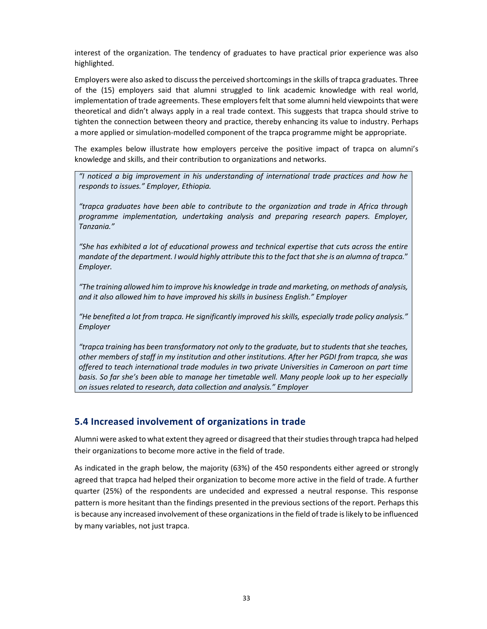interest of the organization. The tendency of graduates to have practical prior experience was also highlighted.

Employers were also asked to discuss the perceived shortcomings in the skills of trapca graduates. Three of the (15) employers said that alumni struggled to link academic knowledge with real world, implementation of trade agreements. These employers felt that some alumni held viewpoints that were theoretical and didn't always apply in a real trade context. This suggests that trapca should strive to tighten the connection between theory and practice, thereby enhancing its value to industry. Perhaps a more applied or simulation-modelled component of the trapca programme might be appropriate.

The examples below illustrate how employers perceive the positive impact of trapca on alumni's knowledge and skills, and their contribution to organizations and networks.

*"I noticed a big improvement in his understanding of international trade practices and how he responds to issues." Employer, Ethiopia.* 

*"trapca graduates have been able to contribute to the organization and trade in Africa through programme implementation, undertaking analysis and preparing research papers. Employer, Tanzania."* 

*"She has exhibited a lot of educational prowess and technical expertise that cuts across the entire mandate of the department. I would highly attribute this to the fact that she is an alumna of trapca.*" *Employer.* 

*"The training allowed him to improve his knowledge in trade and marketing, on methods of analysis, and it also allowed him to have improved his skills in business English." Employer*

*"He benefited a lot from trapca. He significantly improved his skills, especially trade policy analysis." Employer*

*"trapca training has been transformatory not only to the graduate, but to students that she teaches, other members of staff in my institution and other institutions. After her PGDI from trapca, she was offered to teach international trade modules in two private Universities in Cameroon on part time basis. So far she's been able to manage her timetable well. Many people look up to her especially on issues related to research, data collection and analysis." Employer*

### **5.4 Increased involvement of organizations in trade**

Alumni were asked to what extent they agreed or disagreed that their studies through trapca had helped their organizations to become more active in the field of trade.

As indicated in the graph below, the majority (63%) of the 450 respondents either agreed or strongly agreed that trapca had helped their organization to become more active in the field of trade. A further quarter (25%) of the respondents are undecided and expressed a neutral response. This response pattern is more hesitant than the findings presented in the previous sections of the report. Perhaps this is because any increased involvement of these organizations in the field of trade is likely to be influenced by many variables, not just trapca.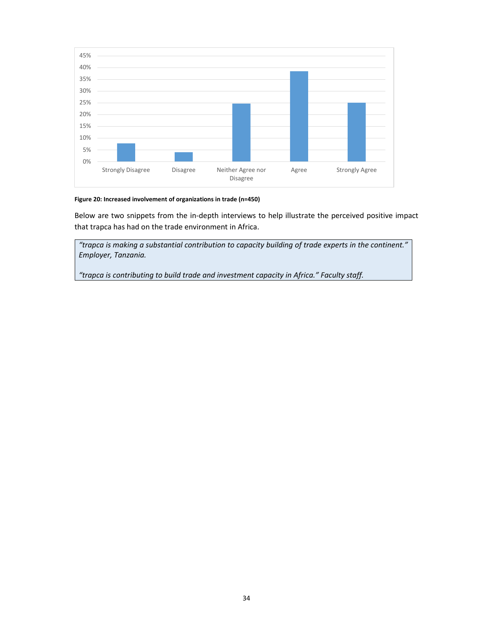

#### **Figure 20: Increased involvement of organizations in trade (n=450)**

Below are two snippets from the in-depth interviews to help illustrate the perceived positive impact that trapca has had on the trade environment in Africa.

*"trapca is making a substantial contribution to capacity building of trade experts in the continent." Employer, Tanzania.*

*"trapca is contributing to build trade and investment capacity in Africa." Faculty staff.*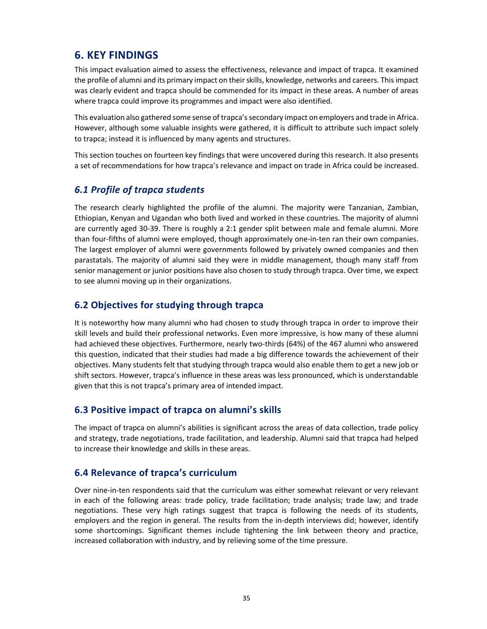# **6. KEY FINDINGS**

This impact evaluation aimed to assess the effectiveness, relevance and impact of trapca. It examined the profile of alumni and its primary impact on their skills, knowledge, networks and careers. This impact was clearly evident and trapca should be commended for its impact in these areas. A number of areas where trapca could improve its programmes and impact were also identified.

This evaluation also gathered some sense of trapca's secondary impact on employers and trade in Africa. However, although some valuable insights were gathered, it is difficult to attribute such impact solely to trapca; instead it is influenced by many agents and structures.

This section touches on fourteen key findings that were uncovered during this research. It also presents a set of recommendations for how trapca's relevance and impact on trade in Africa could be increased.

### *6.1 Profile of trapca students*

The research clearly highlighted the profile of the alumni. The majority were Tanzanian, Zambian, Ethiopian, Kenyan and Ugandan who both lived and worked in these countries. The majority of alumni are currently aged 30-39. There is roughly a 2:1 gender split between male and female alumni. More than four-fifths of alumni were employed, though approximately one-in-ten ran their own companies. The largest employer of alumni were governments followed by privately owned companies and then parastatals. The majority of alumni said they were in middle management, though many staff from senior management or junior positions have also chosen to study through trapca. Over time, we expect to see alumni moving up in their organizations.

### **6.2 Objectives for studying through trapca**

It is noteworthy how many alumni who had chosen to study through trapca in order to improve their skill levels and build their professional networks. Even more impressive, is how many of these alumni had achieved these objectives. Furthermore, nearly two-thirds (64%) of the 467 alumni who answered this question, indicated that their studies had made a big difference towards the achievement of their objectives. Many students felt that studying through trapca would also enable them to get a new job or shift sectors. However, trapca's influence in these areas was less pronounced, which is understandable given that this is not trapca's primary area of intended impact.

### **6.3 Positive impact of trapca on alumni's skills**

The impact of trapca on alumni's abilities is significant across the areas of data collection, trade policy and strategy, trade negotiations, trade facilitation, and leadership. Alumni said that trapca had helped to increase their knowledge and skills in these areas.

### **6.4 Relevance of trapca's curriculum**

Over nine-in-ten respondents said that the curriculum was either somewhat relevant or very relevant in each of the following areas: trade policy, trade facilitation; trade analysis; trade law; and trade negotiations. These very high ratings suggest that trapca is following the needs of its students, employers and the region in general. The results from the in-depth interviews did; however, identify some shortcomings. Significant themes include tightening the link between theory and practice, increased collaboration with industry, and by relieving some of the time pressure.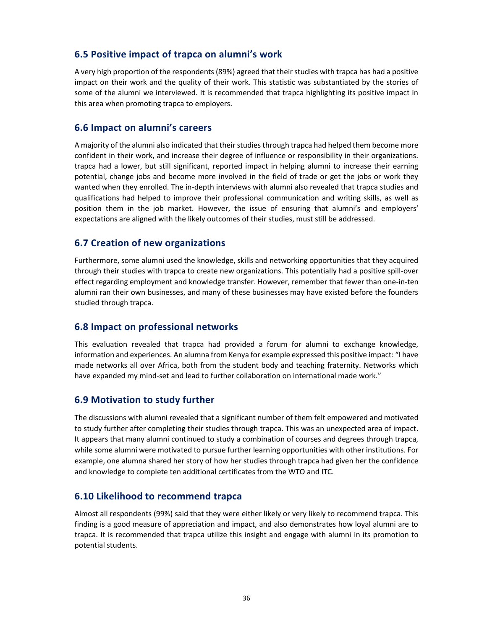### **6.5 Positive impact of trapca on alumni's work**

A very high proportion of the respondents (89%) agreed that their studies with trapca has had a positive impact on their work and the quality of their work. This statistic was substantiated by the stories of some of the alumni we interviewed. It is recommended that trapca highlighting its positive impact in this area when promoting trapca to employers.

### **6.6 Impact on alumni's careers**

A majority of the alumni also indicated that their studies through trapca had helped them become more confident in their work, and increase their degree of influence or responsibility in their organizations. trapca had a lower, but still significant, reported impact in helping alumni to increase their earning potential, change jobs and become more involved in the field of trade or get the jobs or work they wanted when they enrolled. The in-depth interviews with alumni also revealed that trapca studies and qualifications had helped to improve their professional communication and writing skills, as well as position them in the job market. However, the issue of ensuring that alumni's and employers' expectations are aligned with the likely outcomes of their studies, must still be addressed.

### **6.7 Creation of new organizations**

Furthermore, some alumni used the knowledge, skills and networking opportunities that they acquired through their studies with trapca to create new organizations. This potentially had a positive spill-over effect regarding employment and knowledge transfer. However, remember that fewer than one-in-ten alumni ran their own businesses, and many of these businesses may have existed before the founders studied through trapca.

### **6.8 Impact on professional networks**

This evaluation revealed that trapca had provided a forum for alumni to exchange knowledge, information and experiences. An alumna from Kenya for example expressed this positive impact: "I have made networks all over Africa, both from the student body and teaching fraternity. Networks which have expanded my mind-set and lead to further collaboration on international made work."

### **6.9 Motivation to study further**

The discussions with alumni revealed that a significant number of them felt empowered and motivated to study further after completing their studies through trapca. This was an unexpected area of impact. It appears that many alumni continued to study a combination of courses and degrees through trapca, while some alumni were motivated to pursue further learning opportunities with other institutions. For example, one alumna shared her story of how her studies through trapca had given her the confidence and knowledge to complete ten additional certificates from the WTO and ITC.

### **6.10 Likelihood to recommend trapca**

Almost all respondents (99%) said that they were either likely or very likely to recommend trapca. This finding is a good measure of appreciation and impact, and also demonstrates how loyal alumni are to trapca. It is recommended that trapca utilize this insight and engage with alumni in its promotion to potential students.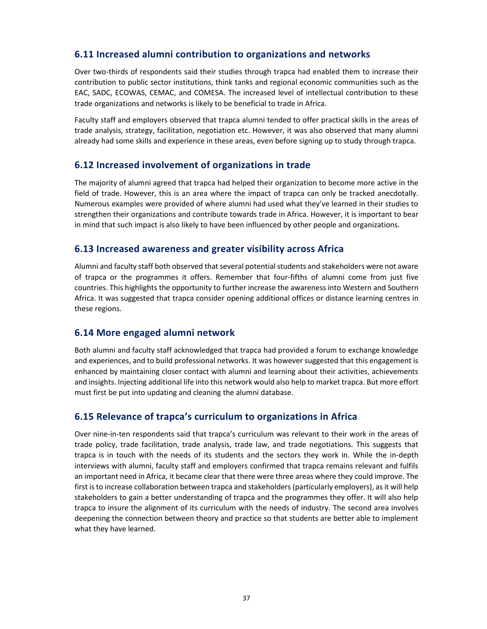## **6.11 Increased alumni contribution to organizations and networks**

Over two-thirds of respondents said their studies through trapca had enabled them to increase their contribution to public sector institutions, think tanks and regional economic communities such as the EAC, SADC, ECOWAS, CEMAC, and COMESA. The increased level of intellectual contribution to these trade organizations and networks is likely to be beneficial to trade in Africa.

Faculty staff and employers observed that trapca alumni tended to offer practical skills in the areas of trade analysis, strategy, facilitation, negotiation etc. However, it was also observed that many alumni already had some skills and experience in these areas, even before signing up to study through trapca.

## **6.12 Increased involvement of organizations in trade**

The majority of alumni agreed that trapca had helped their organization to become more active in the field of trade. However, this is an area where the impact of trapca can only be tracked anecdotally. Numerous examples were provided of where alumni had used what they've learned in their studies to strengthen their organizations and contribute towards trade in Africa. However, it is important to bear in mind that such impact is also likely to have been influenced by other people and organizations.

## **6.13 Increased awareness and greater visibility across Africa**

Alumni and faculty staff both observed that several potential students and stakeholders were not aware of trapca or the programmes it offers. Remember that four-fifths of alumni come from just five countries. This highlights the opportunity to further increase the awareness into Western and Southern Africa. It was suggested that trapca consider opening additional offices or distance learning centres in these regions.

## **6.14 More engaged alumni network**

Both alumni and faculty staff acknowledged that trapca had provided a forum to exchange knowledge and experiences, and to build professional networks. It was however suggested that this engagement is enhanced by maintaining closer contact with alumni and learning about their activities, achievements and insights. Injecting additional life into this network would also help to market trapca. But more effort must first be put into updating and cleaning the alumni database.

## **6.15 Relevance of trapca's curriculum to organizations in Africa**

Over nine-in-ten respondents said that trapca's curriculum was relevant to their work in the areas of trade policy, trade facilitation, trade analysis, trade law, and trade negotiations. This suggests that trapca is in touch with the needs of its students and the sectors they work in. While the in-depth interviews with alumni, faculty staff and employers confirmed that trapca remains relevant and fulfils an important need in Africa, it became clear that there were three areas where they could improve. The first is to increase collaboration between trapca and stakeholders (particularly employers), as it will help stakeholders to gain a better understanding of trapca and the programmes they offer. It will also help trapca to insure the alignment of its curriculum with the needs of industry. The second area involves deepening the connection between theory and practice so that students are better able to implement what they have learned.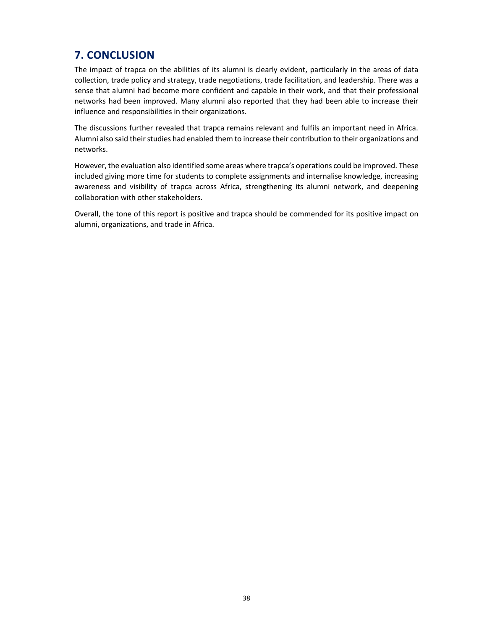## **7. CONCLUSION**

The impact of trapca on the abilities of its alumni is clearly evident, particularly in the areas of data collection, trade policy and strategy, trade negotiations, trade facilitation, and leadership. There was a sense that alumni had become more confident and capable in their work, and that their professional networks had been improved. Many alumni also reported that they had been able to increase their influence and responsibilities in their organizations.

The discussions further revealed that trapca remains relevant and fulfils an important need in Africa. Alumni also said their studies had enabled them to increase their contribution to their organizations and networks.

However, the evaluation also identified some areas where trapca's operations could be improved. These included giving more time for students to complete assignments and internalise knowledge, increasing awareness and visibility of trapca across Africa, strengthening its alumni network, and deepening collaboration with other stakeholders.

Overall, the tone of this report is positive and trapca should be commended for its positive impact on alumni, organizations, and trade in Africa.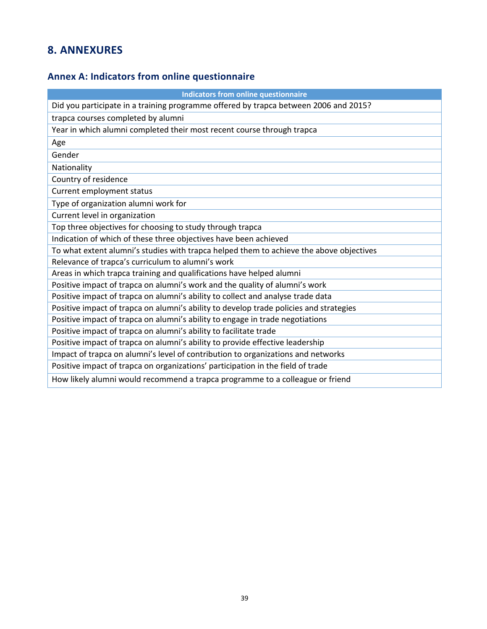## **8. ANNEXURES**

## **Annex A: Indicators from online questionnaire**

| <b>Indicators from online questionnaire</b>                                             |
|-----------------------------------------------------------------------------------------|
| Did you participate in a training programme offered by trapca between 2006 and 2015?    |
| trapca courses completed by alumni                                                      |
| Year in which alumni completed their most recent course through trapca                  |
| Age                                                                                     |
| Gender                                                                                  |
| Nationality                                                                             |
| Country of residence                                                                    |
| Current employment status                                                               |
| Type of organization alumni work for                                                    |
| Current level in organization                                                           |
| Top three objectives for choosing to study through trapca                               |
| Indication of which of these three objectives have been achieved                        |
| To what extent alumni's studies with trapca helped them to achieve the above objectives |
| Relevance of trapca's curriculum to alumni's work                                       |
| Areas in which trapca training and qualifications have helped alumni                    |
| Positive impact of trapca on alumni's work and the quality of alumni's work             |
| Positive impact of trapca on alumni's ability to collect and analyse trade data         |
| Positive impact of trapca on alumni's ability to develop trade policies and strategies  |
| Positive impact of trapca on alumni's ability to engage in trade negotiations           |
| Positive impact of trapca on alumni's ability to facilitate trade                       |
| Positive impact of trapca on alumni's ability to provide effective leadership           |
| Impact of trapca on alumni's level of contribution to organizations and networks        |
| Positive impact of trapca on organizations' participation in the field of trade         |
| How likely alumni would recommend a trapca programme to a colleague or friend           |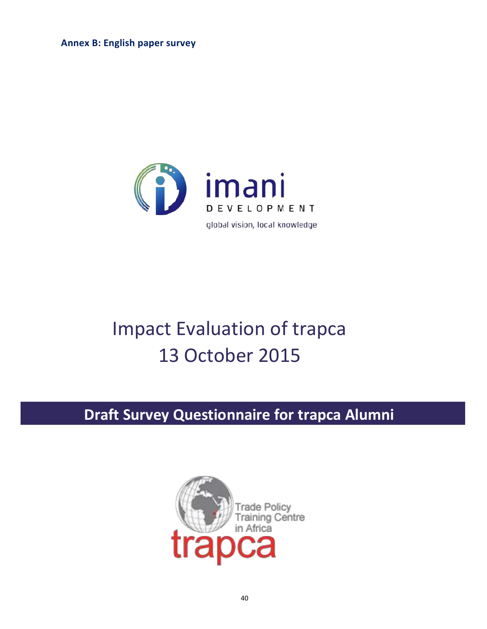**Annex B: English paper survey**



# Impact Evaluation of trapca 13 October 2015

# **Draft Survey Questionnaire for trapca Alumni**

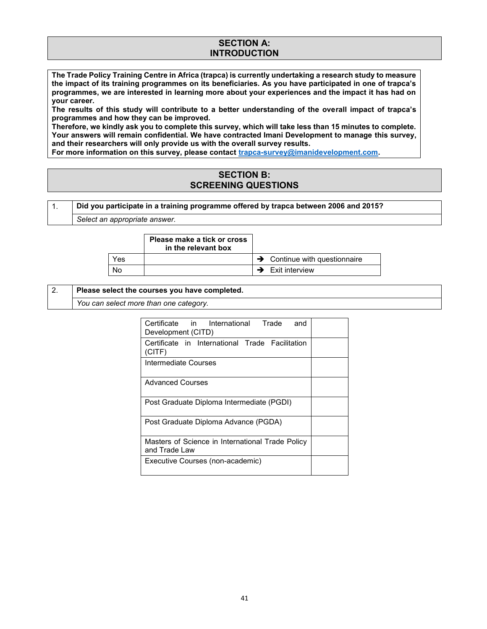### **SECTION A: INTRODUCTION**

**The Trade Policy Training Centre in Africa (trapca) is currently undertaking a research study to measure the impact of its training programmes on its beneficiaries. As you have participated in one of trapca's programmes, we are interested in learning more about your experiences and the impact it has had on your career.**

**The results of this study will contribute to a better understanding of the overall impact of trapca's programmes and how they can be improved.**

**Therefore, we kindly ask you to complete this survey, which will take less than 15 minutes to complete. Your answers will remain confidential. We have contracted Imani Development to manage this survey, and their researchers will only provide us with the overall survey results.**

**For more information on this survey, please contact trapca-survey@imanidevelopment.com.**

### **SECTION B: SCREENING QUESTIONS**

| Did you participate in a training programme offered by trapca between 2006 and 2015? |
|--------------------------------------------------------------------------------------|
|                                                                                      |

*Select an appropriate answer.*

|     | Please make a tick or cross<br>in the relevant box |                                           |
|-----|----------------------------------------------------|-------------------------------------------|
| Yes |                                                    | $\rightarrow$ Continue with questionnaire |
| Nο  |                                                    | $\rightarrow$ Exit interview              |

### 2. **Please select the courses you have completed.**

*You can select more than one category.*

| Certificate in International Trade<br>and<br>Development (CITD)   |  |
|-------------------------------------------------------------------|--|
| Certificate in International Trade Facilitation<br>(CITE)         |  |
| Intermediate Courses                                              |  |
| <b>Advanced Courses</b>                                           |  |
| Post Graduate Diploma Intermediate (PGDI)                         |  |
| Post Graduate Diploma Advance (PGDA)                              |  |
| Masters of Science in International Trade Policy<br>and Trade Law |  |
| Executive Courses (non-academic)                                  |  |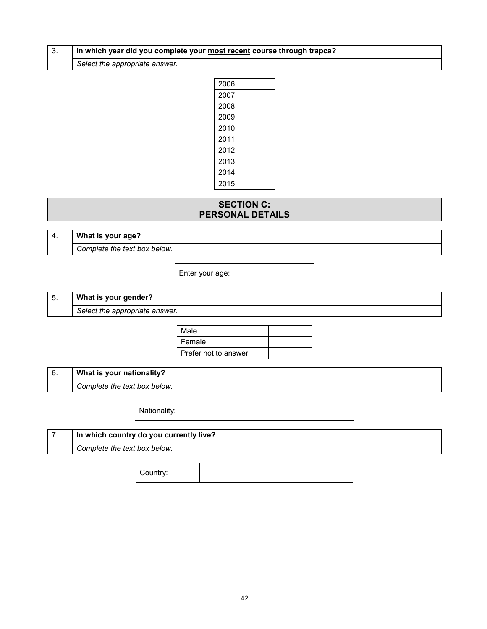### 3. **In which year did you complete your most recent course through trapca?**

*Select the appropriate answer.*

| 2006 |  |
|------|--|
| 2007 |  |
| 2008 |  |
| 2009 |  |
| 2010 |  |
| 2011 |  |
| 2012 |  |
| 2013 |  |
| 2014 |  |
| 2015 |  |

## **SECTION C: PERSONAL DETAILS**

| Δ<br>᠇. | What is your age?            |
|---------|------------------------------|
|         | Complete the text box below. |

Enter your age:

## 5. **What is your gender?** *Select the appropriate answer.*

| Male                 |  |
|----------------------|--|
| Female               |  |
| Prefer not to answer |  |

| U. | What is your nationality?    |
|----|------------------------------|
|    | Complete the text box below. |

Nationality:

| In which country do you currently live? |
|-----------------------------------------|
| Complete the text box below.            |
|                                         |

Country: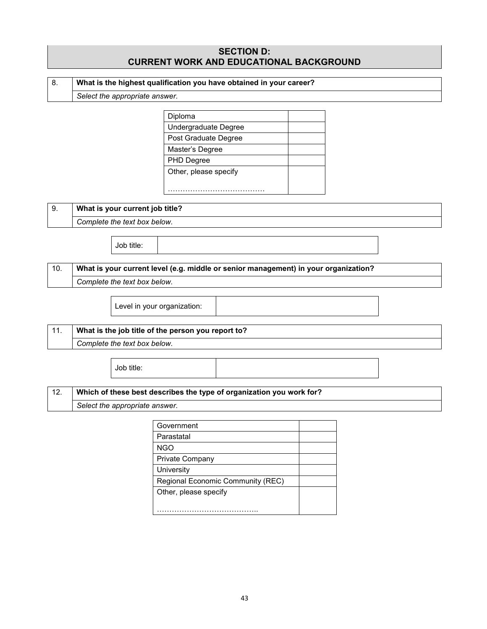|     |                                                                     |                                | <b>SECTION D:</b><br><b>CURRENT WORK AND EDUCATIONAL BACKGROUND</b>                 |  |  |
|-----|---------------------------------------------------------------------|--------------------------------|-------------------------------------------------------------------------------------|--|--|
| 8.  | What is the highest qualification you have obtained in your career? |                                |                                                                                     |  |  |
|     |                                                                     | Select the appropriate answer. |                                                                                     |  |  |
|     |                                                                     |                                |                                                                                     |  |  |
|     |                                                                     |                                | Diploma                                                                             |  |  |
|     |                                                                     |                                | Undergraduate Degree                                                                |  |  |
|     |                                                                     |                                | Post Graduate Degree                                                                |  |  |
|     |                                                                     |                                | Master's Degree                                                                     |  |  |
|     |                                                                     |                                | PHD Degree                                                                          |  |  |
|     |                                                                     |                                | Other, please specify                                                               |  |  |
|     |                                                                     |                                |                                                                                     |  |  |
| 9.  | What is your current job title?                                     |                                |                                                                                     |  |  |
|     | Complete the text box below.                                        |                                |                                                                                     |  |  |
|     |                                                                     | Job title:                     |                                                                                     |  |  |
| 10. |                                                                     |                                | What is your current level (e.g. middle or senior management) in your organization? |  |  |
|     |                                                                     | Complete the text box below.   |                                                                                     |  |  |
|     |                                                                     |                                |                                                                                     |  |  |
|     |                                                                     |                                | Level in your organization:                                                         |  |  |
| 11. |                                                                     |                                | What is the job title of the person you report to?                                  |  |  |
|     |                                                                     | Complete the text box below.   |                                                                                     |  |  |
|     |                                                                     |                                |                                                                                     |  |  |
|     |                                                                     | Job title:                     |                                                                                     |  |  |
|     |                                                                     |                                |                                                                                     |  |  |

## 12. **Which of these best describes the type of organization you work for?**

*Select the appropriate answer.*

Г

| Government                        |  |
|-----------------------------------|--|
| Parastatal                        |  |
| <b>NGO</b>                        |  |
| Private Company                   |  |
| University                        |  |
| Regional Economic Community (REC) |  |
| Other, please specify             |  |
|                                   |  |
|                                   |  |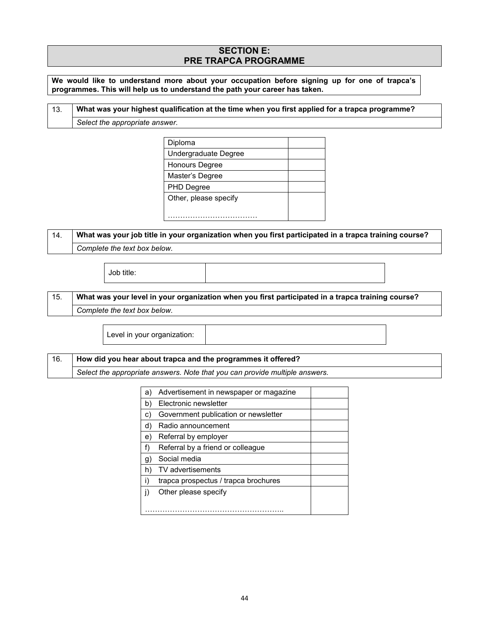## **SECTION E: PRE TRAPCA PROGRAMME**

**We would like to understand more about your occupation before signing up for one of trapca's programmes. This will help us to understand the path your career has taken.**

| -13. | What was your highest qualification at the time when you first applied for a trapca programme? |
|------|------------------------------------------------------------------------------------------------|
|      | Select the appropriate answer.                                                                 |

| Diploma               |  |
|-----------------------|--|
| Undergraduate Degree  |  |
| Honours Degree        |  |
| Master's Degree       |  |
| PHD Degree            |  |
| Other, please specify |  |
|                       |  |
|                       |  |

## 14. **What was your job title in your organization when you first participated in a trapca training course?** *Complete the text box below.*

Job title:

15. **What was your level in your organization when you first participated in a trapca training course?** *Complete the text box below.*

Level in your organization:

16. **How did you hear about trapca and the programmes it offered?**

*Select the appropriate answers. Note that you can provide multiple answers.*

| a) | Advertisement in newspaper or magazine |  |
|----|----------------------------------------|--|
| b) | Electronic newsletter                  |  |
| C) | Government publication or newsletter   |  |
| d) | Radio announcement                     |  |
| e) | Referral by employer                   |  |
| f) | Referral by a friend or colleague      |  |
| g. | Social media                           |  |
| h) | <b>TV</b> advertisements               |  |
| i) | trapca prospectus / trapca brochures   |  |
|    | Other please specify                   |  |
|    |                                        |  |
|    |                                        |  |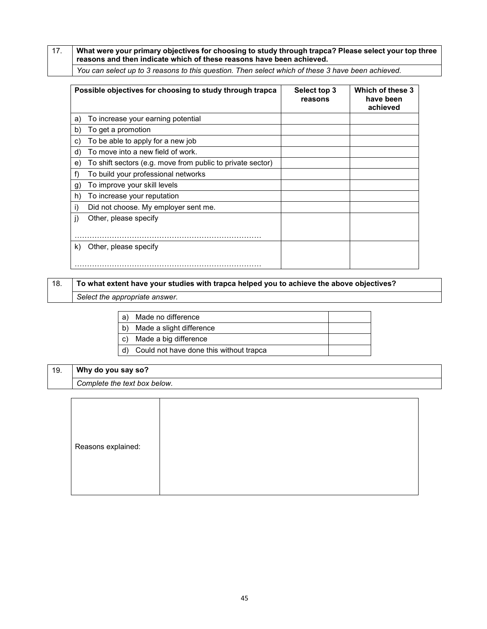17. **What were your primary objectives for choosing to study through trapca? Please select your top three reasons and then indicate which of these reasons have been achieved.**

*You can select up to 3 reasons to this question. Then select which of these 3 have been achieved.*

| Possible objectives for choosing to study through trapca         | Select top 3<br>reasons | Which of these 3<br>have been<br>achieved |
|------------------------------------------------------------------|-------------------------|-------------------------------------------|
| To increase your earning potential<br>a)                         |                         |                                           |
| To get a promotion<br>b)                                         |                         |                                           |
| To be able to apply for a new job<br>C)                          |                         |                                           |
| To move into a new field of work.<br>d)                          |                         |                                           |
| To shift sectors (e.g. move from public to private sector)<br>e) |                         |                                           |
| f)<br>To build your professional networks                        |                         |                                           |
| To improve your skill levels<br>g)                               |                         |                                           |
| h)<br>To increase your reputation                                |                         |                                           |
| i)<br>Did not choose. My employer sent me.                       |                         |                                           |
| j)<br>Other, please specify                                      |                         |                                           |
|                                                                  |                         |                                           |
| Other, please specify<br>k)                                      |                         |                                           |
|                                                                  |                         |                                           |

## 18. **To what extent have your studies with trapca helped you to achieve the above objectives?**  *Select the appropriate answer.*

| a)   | Made no difference                      |  |
|------|-----------------------------------------|--|
| b)   | Made a slight difference                |  |
| C)   | Made a big difference                   |  |
| . d) | Could not have done this without trapca |  |

## 19. **Why do you say so?** *Complete the text box below.*

| Reasons explained: |
|--------------------|
|--------------------|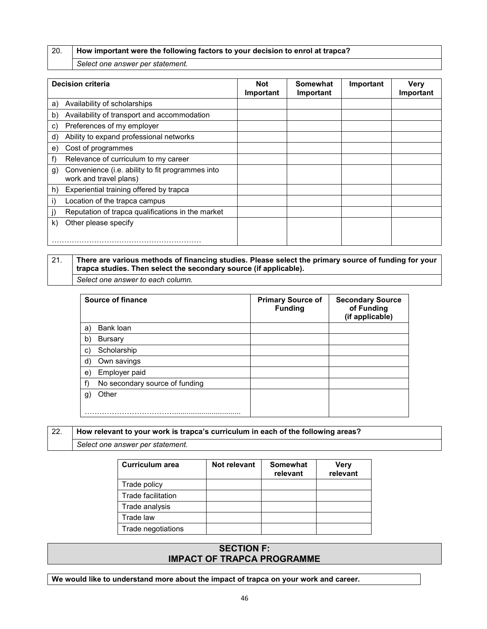20. **How important were the following factors to your decision to enrol at trapca?**

*Select one answer per statement.*

| <b>Decision criteria</b>                                                         | <b>Not</b><br>Important | Somewhat<br>Important | Important | Verv<br>Important |
|----------------------------------------------------------------------------------|-------------------------|-----------------------|-----------|-------------------|
| Availability of scholarships<br>a)                                               |                         |                       |           |                   |
| Availability of transport and accommodation<br>b)                                |                         |                       |           |                   |
| Preferences of my employer<br>C)                                                 |                         |                       |           |                   |
| Ability to expand professional networks<br>d)                                    |                         |                       |           |                   |
| Cost of programmes<br>e)                                                         |                         |                       |           |                   |
| Relevance of curriculum to my career<br>f)                                       |                         |                       |           |                   |
| Convenience (i.e. ability to fit programmes into<br>g)<br>work and travel plans) |                         |                       |           |                   |
| Experiential training offered by trapca<br>h)                                    |                         |                       |           |                   |
| Location of the trapca campus<br>i)                                              |                         |                       |           |                   |
| Reputation of trapca qualifications in the market                                |                         |                       |           |                   |
| Other please specify<br>k)                                                       |                         |                       |           |                   |
|                                                                                  |                         |                       |           |                   |

## 21. **There are various methods of financing studies. Please select the primary source of funding for your trapca studies. Then select the secondary source (if applicable).**

*Select one answer to each column.*

|    | Source of finance              | <b>Primary Source of</b><br><b>Funding</b> | <b>Secondary Source</b><br>of Funding<br>(if applicable) |
|----|--------------------------------|--------------------------------------------|----------------------------------------------------------|
| a) | Bank loan                      |                                            |                                                          |
| b) | <b>Bursary</b>                 |                                            |                                                          |
| C) | Scholarship                    |                                            |                                                          |
| d) | Own savings                    |                                            |                                                          |
| e) | Employer paid                  |                                            |                                                          |
| f  | No secondary source of funding |                                            |                                                          |
| g) | Other                          |                                            |                                                          |
|    |                                |                                            |                                                          |

## 22. **How relevant to your work is trapca's curriculum in each of the following areas?**

*Select one answer per statement.*

| Curriculum area    | Not relevant | <b>Somewhat</b><br>relevant | <b>Very</b><br>relevant |
|--------------------|--------------|-----------------------------|-------------------------|
| Trade policy       |              |                             |                         |
| Trade facilitation |              |                             |                         |
| Trade analysis     |              |                             |                         |
| Trade law          |              |                             |                         |
| Trade negotiations |              |                             |                         |

## **SECTION F: IMPACT OF TRAPCA PROGRAMME**

**We would like to understand more about the impact of trapca on your work and career.**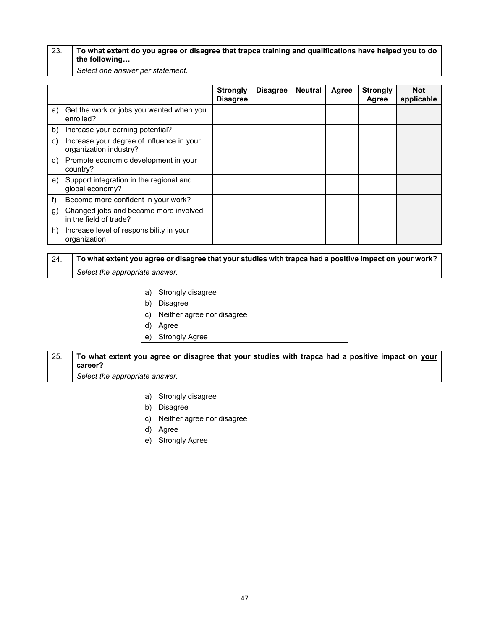### 23. **To what extent do you agree or disagree that trapca training and qualifications have helped you to do the following…**

*Select one answer per statement.*

|    |                                                                     | <b>Strongly</b><br><b>Disagree</b> | <b>Disagree</b> | <b>Neutral</b> | Agree | <b>Strongly</b><br>Agree | <b>Not</b><br>applicable |
|----|---------------------------------------------------------------------|------------------------------------|-----------------|----------------|-------|--------------------------|--------------------------|
| a) | Get the work or jobs you wanted when you<br>enrolled?               |                                    |                 |                |       |                          |                          |
| b) | Increase your earning potential?                                    |                                    |                 |                |       |                          |                          |
| C) | Increase your degree of influence in your<br>organization industry? |                                    |                 |                |       |                          |                          |
| d) | Promote economic development in your<br>country?                    |                                    |                 |                |       |                          |                          |
| e) | Support integration in the regional and<br>global economy?          |                                    |                 |                |       |                          |                          |
| f) | Become more confident in your work?                                 |                                    |                 |                |       |                          |                          |
| g) | Changed jobs and became more involved<br>in the field of trade?     |                                    |                 |                |       |                          |                          |
| h) | Increase level of responsibility in your<br>organization            |                                    |                 |                |       |                          |                          |

## 24. **To what extent you agree or disagree that your studies with trapca had a positive impact on your work?** *Select the appropriate answer.*

| a) | Strongly disagree          |  |
|----|----------------------------|--|
|    | <b>Disagree</b>            |  |
| C) | Neither agree nor disagree |  |
|    | Agree                      |  |
| e) | <b>Strongly Agree</b>      |  |

## 25. **To what extent you agree or disagree that your studies with trapca had a positive impact on your career?**

*Select the appropriate answer.*

|    | a) Strongly disagree       |  |
|----|----------------------------|--|
|    | <b>Disagree</b>            |  |
| C) | Neither agree nor disagree |  |
|    | Agree                      |  |
| e) | Strongly Agree             |  |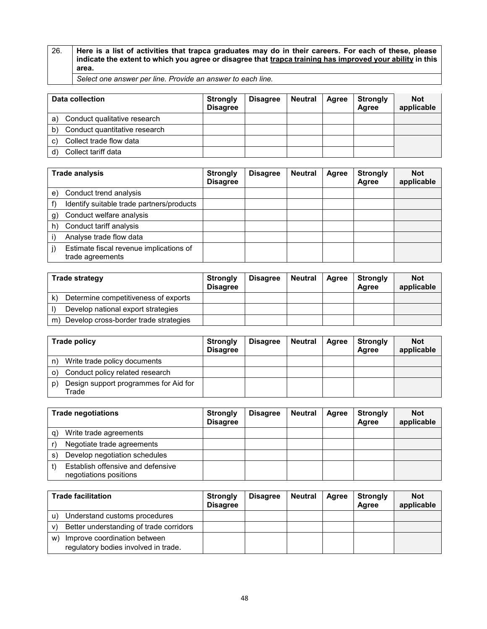26. **Here is a list of activities that trapca graduates may do in their careers. For each of these, please indicate the extent to which you agree or disagree that trapca training has improved your ability in this area.**

*Select one answer per line. Provide an answer to each line.*

| Data collection                     | <b>Strongly</b><br><b>Disagree</b> | <b>Disagree</b> | <b>Neutral</b> | Agree | <b>Strongly</b><br>Aaree | <b>Not</b><br>applicable |
|-------------------------------------|------------------------------------|-----------------|----------------|-------|--------------------------|--------------------------|
| Conduct qualitative research<br>a)  |                                    |                 |                |       |                          |                          |
| Conduct quantitative research<br>b) |                                    |                 |                |       |                          |                          |
| Collect trade flow data<br>C)       |                                    |                 |                |       |                          |                          |
| Collect tariff data                 |                                    |                 |                |       |                          |                          |

| Trade analysis |                                                             | <b>Strongly</b><br><b>Disagree</b> | <b>Disagree</b> | <b>Neutral</b> | Agree | <b>Strongly</b><br>Agree | <b>Not</b><br>applicable |
|----------------|-------------------------------------------------------------|------------------------------------|-----------------|----------------|-------|--------------------------|--------------------------|
| e)             | Conduct trend analysis                                      |                                    |                 |                |       |                          |                          |
|                | Identify suitable trade partners/products                   |                                    |                 |                |       |                          |                          |
| $\mathbf{g}$   | Conduct welfare analysis                                    |                                    |                 |                |       |                          |                          |
| h)             | Conduct tariff analysis                                     |                                    |                 |                |       |                          |                          |
|                | Analyse trade flow data                                     |                                    |                 |                |       |                          |                          |
|                | Estimate fiscal revenue implications of<br>trade agreements |                                    |                 |                |       |                          |                          |

| <b>Trade strategy</b>                                | <b>Strongly</b><br><b>Disagree</b> | <b>Disagree</b> | Neutral | Agree | <b>Strongly</b><br>Agree | <b>Not</b><br>applicable |
|------------------------------------------------------|------------------------------------|-----------------|---------|-------|--------------------------|--------------------------|
| Determine competitiveness of exports<br>$\mathsf{k}$ |                                    |                 |         |       |                          |                          |
| Develop national export strategies                   |                                    |                 |         |       |                          |                          |
| Develop cross-border trade strategies<br>m)          |                                    |                 |         |       |                          |                          |

| Trade policy                                         | <b>Strongly</b><br><b>Disagree</b> | <b>Disagree</b> | Neutral | Agree | <b>Strongly</b><br>Agree | <b>Not</b><br>applicable |
|------------------------------------------------------|------------------------------------|-----------------|---------|-------|--------------------------|--------------------------|
| Write trade policy documents<br>n)                   |                                    |                 |         |       |                          |                          |
| Conduct policy related research<br>$\Omega$          |                                    |                 |         |       |                          |                          |
| Design support programmes for Aid for<br>p)<br>Trade |                                    |                 |         |       |                          |                          |

| <b>Trade negotiations</b> |                                                             | <b>Strongly</b><br><b>Disagree</b> | <b>Disagree</b> | <b>Neutral</b> | Agree | <b>Strongly</b><br>Agree | <b>Not</b><br>applicable |
|---------------------------|-------------------------------------------------------------|------------------------------------|-----------------|----------------|-------|--------------------------|--------------------------|
| a)                        | Write trade agreements                                      |                                    |                 |                |       |                          |                          |
|                           | Negotiate trade agreements                                  |                                    |                 |                |       |                          |                          |
| S.                        | Develop negotiation schedules                               |                                    |                 |                |       |                          |                          |
|                           | Establish offensive and defensive<br>negotiations positions |                                    |                 |                |       |                          |                          |

| <b>Trade facilitation</b>                                                  | Strongly<br><b>Disagree</b> | <b>Disagree</b> | Neutral | Agree | <b>Strongly</b><br>Agree | <b>Not</b><br>applicable |
|----------------------------------------------------------------------------|-----------------------------|-----------------|---------|-------|--------------------------|--------------------------|
| Understand customs procedures                                              |                             |                 |         |       |                          |                          |
| Better understanding of trade corridors<br>v)                              |                             |                 |         |       |                          |                          |
| Improve coordination between<br>W)<br>regulatory bodies involved in trade. |                             |                 |         |       |                          |                          |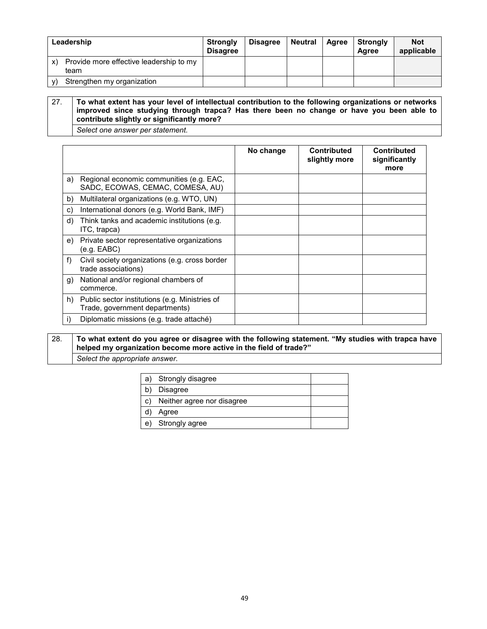| Leadership                                            | <b>Strongly</b><br><b>Disagree</b> | <b>Disagree</b> | Neutral | Agree | Strongly<br>Agree | <b>Not</b><br>applicable |
|-------------------------------------------------------|------------------------------------|-----------------|---------|-------|-------------------|--------------------------|
| Provide more effective leadership to my<br>X)<br>team |                                    |                 |         |       |                   |                          |
| Strengthen my organization                            |                                    |                 |         |       |                   |                          |

27. **To what extent has your level of intellectual contribution to the following organizations or networks improved since studying through trapca? Has there been no change or have you been able to contribute slightly or significantly more?** 

*Select one answer per statement.*

|    |                                                                                  | No change | <b>Contributed</b><br>slightly more | <b>Contributed</b><br>significantly<br>more |
|----|----------------------------------------------------------------------------------|-----------|-------------------------------------|---------------------------------------------|
| a) | Regional economic communities (e.g. EAC,<br>SADC, ECOWAS, CEMAC, COMESA, AU)     |           |                                     |                                             |
| b) | Multilateral organizations (e.g. WTO, UN)                                        |           |                                     |                                             |
| C) | International donors (e.g. World Bank, IMF)                                      |           |                                     |                                             |
| d) | Think tanks and academic institutions (e.g.<br>ITC, trapca)                      |           |                                     |                                             |
| e) | Private sector representative organizations<br>(e.g. EABC)                       |           |                                     |                                             |
| f) | Civil society organizations (e.g. cross border<br>trade associations)            |           |                                     |                                             |
| g) | National and/or regional chambers of<br>commerce.                                |           |                                     |                                             |
| h) | Public sector institutions (e.g. Ministries of<br>Trade, government departments) |           |                                     |                                             |
| i) | Diplomatic missions (e.g. trade attaché)                                         |           |                                     |                                             |

28. **To what extent do you agree or disagree with the following statement. "My studies with trapca have helped my organization become more active in the field of trade?"**

*Select the appropriate answer.*

| a) | Strongly disagree          |  |
|----|----------------------------|--|
|    | Disagree                   |  |
| C) | Neither agree nor disagree |  |
|    | Agree                      |  |
| e) | Strongly agree             |  |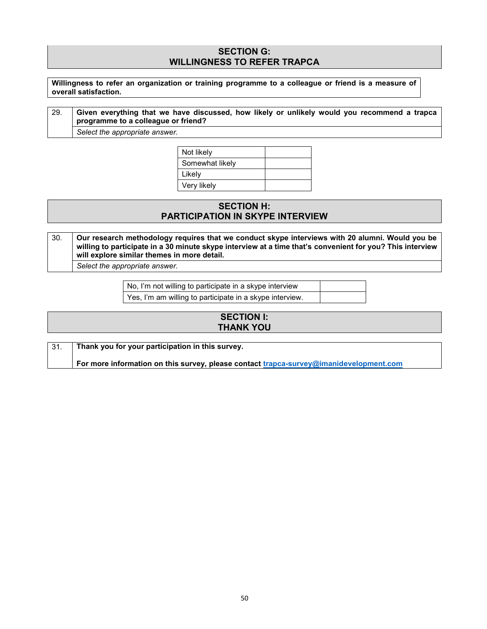### **SECTION G: WILLINGNESS TO REFER TRAPCA**

**Willingness to refer an organization or training programme to a colleague or friend is a measure of overall satisfaction.**

29. **Given everything that we have discussed, how likely or unlikely would you recommend a trapca programme to a colleague or friend?**

*Select the appropriate answer.*

Not likely Somewhat likely Likely Very likely

## **SECTION H: PARTICIPATION IN SKYPE INTERVIEW**

30. **Our research methodology requires that we conduct skype interviews with 20 alumni. Would you be willing to participate in a 30 minute skype interview at a time that's convenient for you? This interview will explore similar themes in more detail.**

*Select the appropriate answer.*

No, I'm not willing to participate in a skype interview

Yes, I'm am willing to participate in a skype interview.

| <b>SECTION I:</b> |  |
|-------------------|--|
| <b>THANK YOU</b>  |  |
|                   |  |

| Thank you for your participation in this survey.                                       |
|----------------------------------------------------------------------------------------|
| For more information on this survey, please contact trapca-survey@imanidevelopment.com |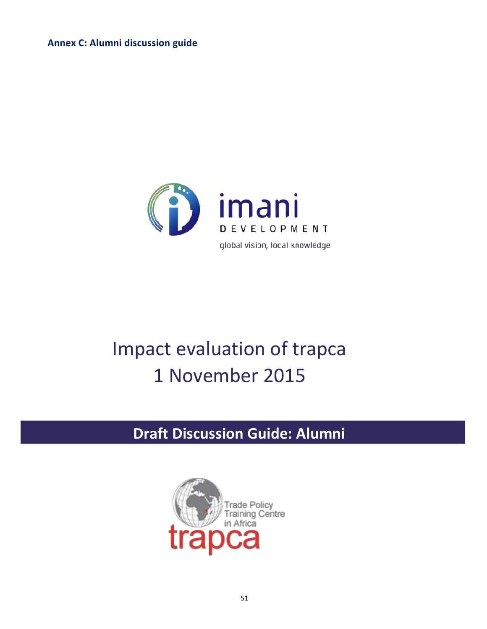**Annex C: Alumni discussion guide**



## Impact evaluation of trapca 1 November 2015

# **Draft Discussion Guide: Alumni**

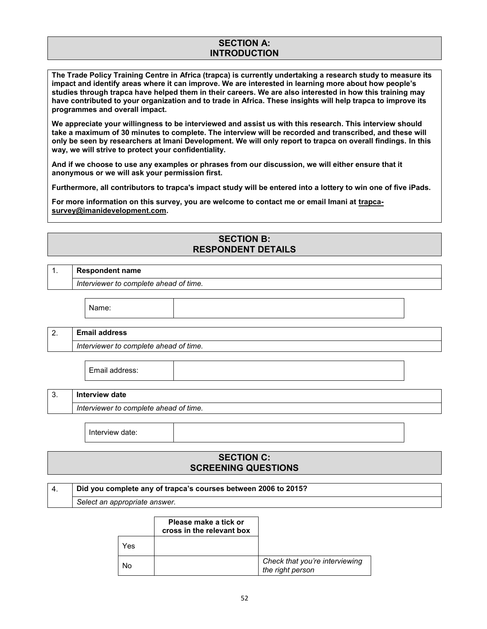## **SECTION A: INTRODUCTION**

**The Trade Policy Training Centre in Africa (trapca) is currently undertaking a research study to measure its impact and identify areas where it can improve. We are interested in learning more about how people's studies through trapca have helped them in their careers. We are also interested in how this training may have contributed to your organization and to trade in Africa. These insights will help trapca to improve its programmes and overall impact.** 

**We appreciate your willingness to be interviewed and assist us with this research. This interview should take a maximum of 30 minutes to complete. The interview will be recorded and transcribed, and these will only be seen by researchers at Imani Development. We will only report to trapca on overall findings. In this way, we will strive to protect your confidentiality.** 

**And if we choose to use any examples or phrases from our discussion, we will either ensure that it anonymous or we will ask your permission first.**

**Furthermore, all contributors to trapca's impact study will be entered into a lottery to win one of five iPads.**

**For more information on this survey, you are welcome to contact me or email Imani at trapcasurvey@imanidevelopment.com.**

## **SECTION B: RESPONDENT DETAILS**

## 1. **Respondent name**

*Interviewer to complete ahead of time.*

Name:

## 2. **Email address**

*Interviewer to complete ahead of time.*

Email address:

#### 3. **Interview date**

*Interviewer to complete ahead of time.*

Interview date:

## **SECTION C: SCREENING QUESTIONS**

#### 4. **Did you complete any of trapca's courses between 2006 to 2015?**

*Select an appropriate answer.*

|     | Please make a tick or<br>cross in the relevant box |                                                    |
|-----|----------------------------------------------------|----------------------------------------------------|
| res |                                                    |                                                    |
| NΩ  |                                                    | Check that you're interviewing<br>the right person |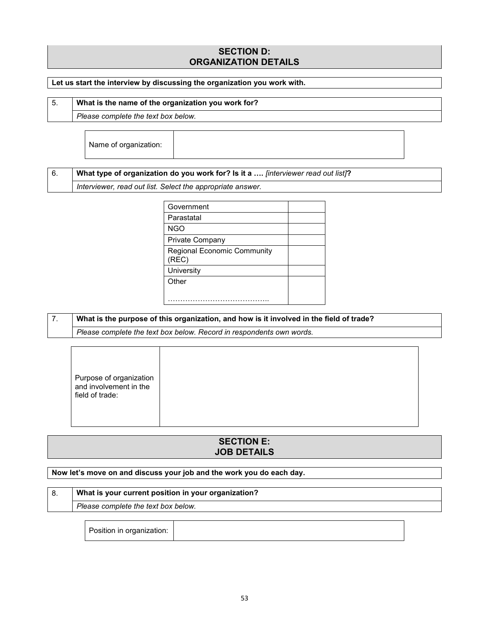## **SECTION D: ORGANIZATION DETAILS**

### **Let us start the interview by discussing the organization you work with.**

| $\vert 5.$ | What is the name of the organization you work for? |
|------------|----------------------------------------------------|
|            |                                                    |

*Please complete the text box below.*

Name of organization:

### 6. **What type of organization do you work for? Is it a ….** *[interviewer read out list]***?**

*Interviewer, read out list. Select the appropriate answer.*

| Government                                  |  |
|---------------------------------------------|--|
| Parastatal                                  |  |
| <b>NGO</b>                                  |  |
| Private Company                             |  |
| <b>Regional Economic Community</b><br>(REC) |  |
| University                                  |  |
| Other                                       |  |
|                                             |  |
|                                             |  |

### 7. **What is the purpose of this organization, and how is it involved in the field of trade?**

*Please complete the text box below. Record in respondents own words.*

| Purpose of organization |  |
|-------------------------|--|
|                         |  |

## **SECTION E: JOB DETAILS**

#### **Now let's move on and discuss your job and the work you do each day.**

## 8. **What is your current position in your organization?**

*Please complete the text box below.*

Position in organization: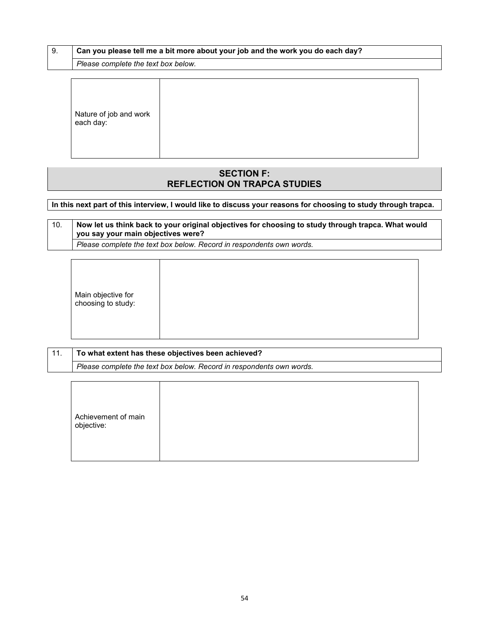|  | Can you please tell me a bit more about your job and the work you do each day? |
|--|--------------------------------------------------------------------------------|
|  | Plasse complete the text hay below                                             |

*Please complete the text box below.*

Nature of job and work each day:

## **SECTION F: REFLECTION ON TRAPCA STUDIES**

**In this next part of this interview, I would like to discuss your reasons for choosing to study through trapca.** 

## 10. **Now let us think back to your original objectives for choosing to study through trapca. What would you say your main objectives were?**

*Please complete the text box below. Record in respondents own words.*

| Main objective for<br>choosing to study: |
|------------------------------------------|
|------------------------------------------|

| 11. | To what extent has these objectives been achieved?                   |
|-----|----------------------------------------------------------------------|
|     | Please complete the text box below. Record in respondents own words. |
|     |                                                                      |

|--|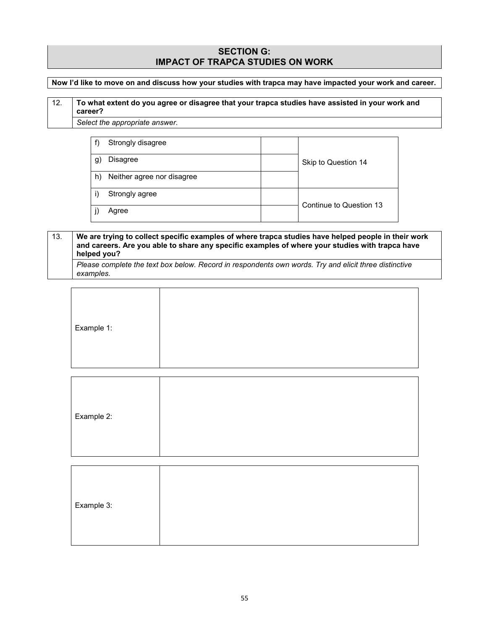### **SECTION G: IMPACT OF TRAPCA STUDIES ON WORK**

**Now I'd like to move on and discuss how your studies with trapca may have impacted your work and career.**

## 12. **To what extent do you agree or disagree that your trapca studies have assisted in your work and career?**

*Select the appropriate answer.*

|    | Strongly disagree          |                         |
|----|----------------------------|-------------------------|
| g) | <b>Disagree</b>            | Skip to Question 14     |
| h) | Neither agree nor disagree |                         |
|    | Strongly agree             |                         |
|    | Agree                      | Continue to Question 13 |

## 13. **We are trying to collect specific examples of where trapca studies have helped people in their work and careers. Are you able to share any specific examples of where your studies with trapca have helped you?**

*Please complete the text box below. Record in respondents own words. Try and elicit three distinctive examples.*

| Example 1: |  |
|------------|--|
|            |  |

| Example 2: |  |  |
|------------|--|--|
|            |  |  |

| Example 3: |  |
|------------|--|
|            |  |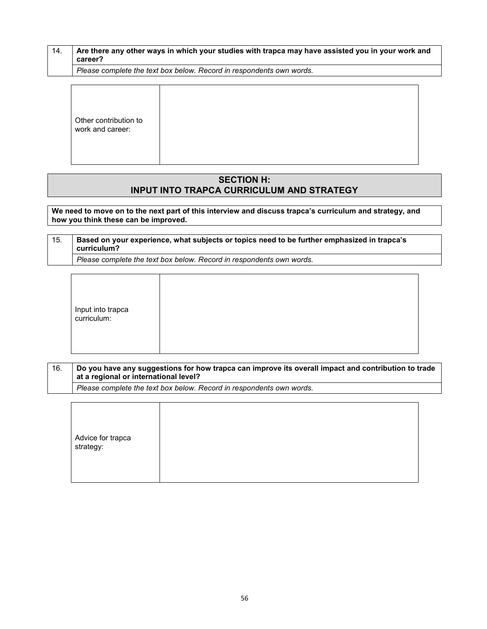| Are there any other ways in which your studies with trapca may have assisted you in your work and<br>career? |
|--------------------------------------------------------------------------------------------------------------|
| Please complete the text box below. Record in respondents own words.                                         |

Other contribution to work and career:

### **SECTION H: INPUT INTO TRAPCA CURRICULUM AND STRATEGY**

**We need to move on to the next part of this interview and discuss trapca's curriculum and strategy, and how you think these can be improved.** 

15. **Based on your experience, what subjects or topics need to be further emphasized in trapca's curriculum?** *Please complete the text box below. Record in respondents own words.*

Input into trapca curriculum:

16. **Do you have any suggestions for how trapca can improve its overall impact and contribution to trade at a regional or international level?**

*Please complete the text box below. Record in respondents own words.*

|--|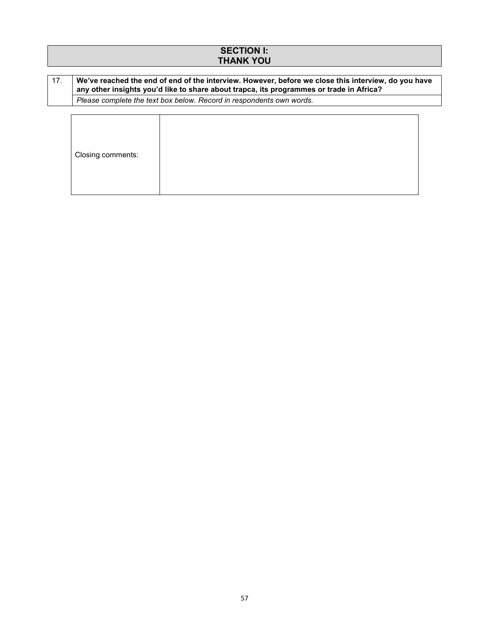## **SECTION I: THANK YOU**

### 17. **We've reached the end of end of the interview. However, before we close this interview, do you have any other insights you'd like to share about trapca, its programmes or trade in Africa?**

*Please complete the text box below. Record in respondents own words.*

| Closing comments: |  |  |
|-------------------|--|--|
|                   |  |  |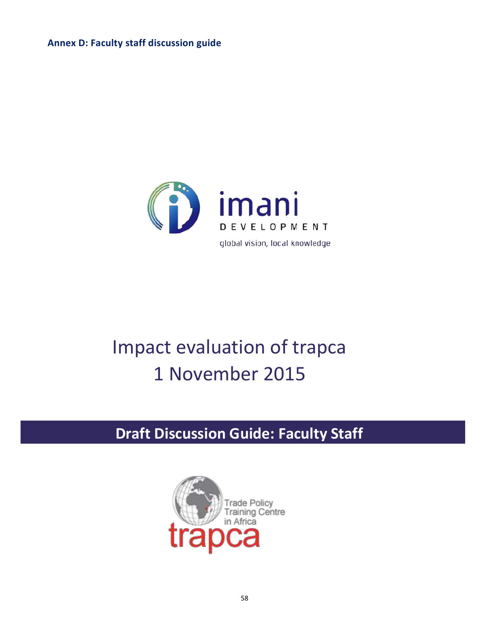**Annex D: Faculty staff discussion guide**



## Impact evaluation of trapca 1 November 2015

# **Draft Discussion Guide: Faculty Staff**

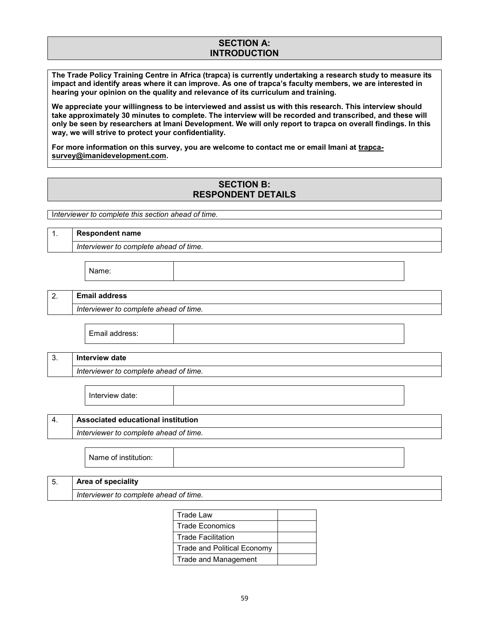## **SECTION A: INTRODUCTION**

**The Trade Policy Training Centre in Africa (trapca) is currently undertaking a research study to measure its impact and identify areas where it can improve. As one of trapca's faculty members, we are interested in hearing your opinion on the quality and relevance of its curriculum and training.** 

**We appreciate your willingness to be interviewed and assist us with this research. This interview should take approximately 30 minutes to complete. The interview will be recorded and transcribed, and these will only be seen by researchers at Imani Development. We will only report to trapca on overall findings. In this way, we will strive to protect your confidentiality.**

**For more information on this survey, you are welcome to contact me or email Imani at trapcasurvey@imanidevelopment.com.**

## **SECTION B: RESPONDENT DETAILS**

I*nterviewer to complete this section ahead of time.*

| $\mathbf{1}$ .<br><b>Respondent name</b> |                                            |  |  |
|------------------------------------------|--------------------------------------------|--|--|
|                                          | Interviewer to complete ahead of time.     |  |  |
|                                          | Name:                                      |  |  |
| 2.                                       | <b>Email address</b>                       |  |  |
|                                          | Interviewer to complete ahead of time.     |  |  |
|                                          | Email address:                             |  |  |
| 3.                                       | <b>Interview date</b>                      |  |  |
|                                          | Interviewer to complete ahead of time.     |  |  |
|                                          | Interview date:                            |  |  |
| 4.                                       | Associated educational institution         |  |  |
| Interviewer to complete ahead of time.   |                                            |  |  |
|                                          | Name of institution:                       |  |  |
| 5.                                       | Area of speciality                         |  |  |
|                                          | Interviewer to complete ahead of time.     |  |  |
|                                          | <b>Trade Law</b><br><b>Trade Economics</b> |  |  |
|                                          | <b>Trade Facilitation</b>                  |  |  |
|                                          | <b>Trade and Political Economy</b>         |  |  |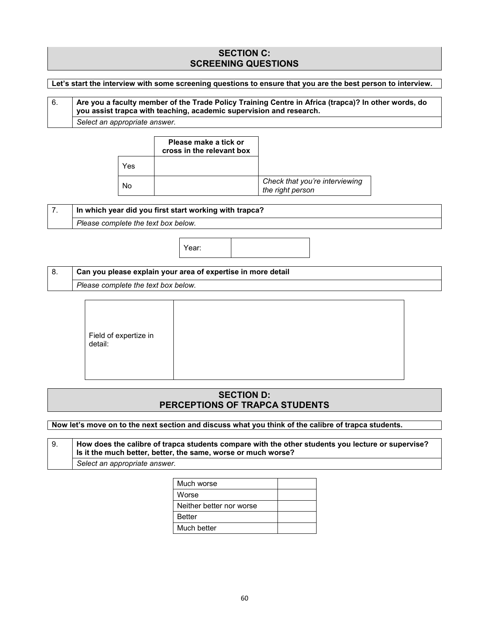## **SECTION C: SCREENING QUESTIONS**

#### **Let's start the interview with some screening questions to ensure that you are the best person to interview.**

## 6. **Are you a faculty member of the Trade Policy Training Centre in Africa (trapca)? In other words, do you assist trapca with teaching, academic supervision and research.** *Select an appropriate answer.*

|     | Please make a tick or<br>cross in the relevant box |                                                    |
|-----|----------------------------------------------------|----------------------------------------------------|
| Yes |                                                    |                                                    |
| N٥  |                                                    | Check that you're interviewing<br>the right person |

#### 7. **In which year did you first start working with trapca?**

*Please complete the text box below.*



## 8. **Can you please explain your area of expertise in more detail** *Please complete the text box below.*

| Field of expertize in<br>detail: |  |
|----------------------------------|--|
|----------------------------------|--|

## **SECTION D: PERCEPTIONS OF TRAPCA STUDENTS**

**Now let's move on to the next section and discuss what you think of the calibre of trapca students.**

9. **How does the calibre of trapca students compare with the other students you lecture or supervise? Is it the much better, better, the same, worse or much worse?** *Select an appropriate answer.*

| Much worse               |  |
|--------------------------|--|
| Worse                    |  |
| Neither better nor worse |  |
| Better                   |  |
| Much better              |  |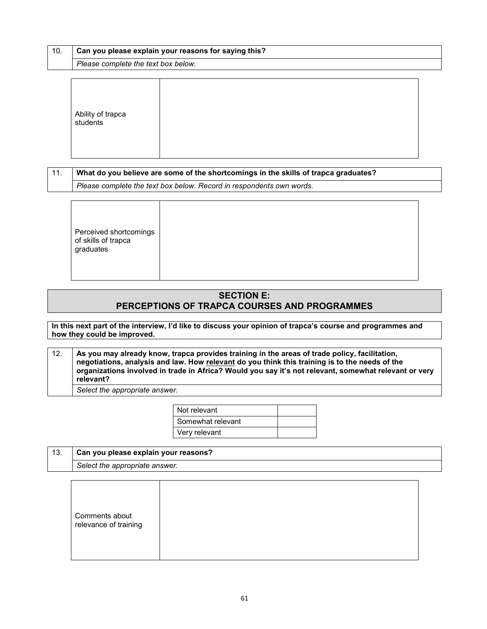| 10. | Can you please explain your reasons for saying this? |  |  |  |  |  |  |
|-----|------------------------------------------------------|--|--|--|--|--|--|
|     | Please complete the text box below.                  |  |  |  |  |  |  |
|     |                                                      |  |  |  |  |  |  |
|     |                                                      |  |  |  |  |  |  |

| Ability of trapca<br>students |  |  |
|-------------------------------|--|--|
|-------------------------------|--|--|

| $\vert$ 11. | What do you believe are some of the shortcomings in the skills of trapca graduates? |
|-------------|-------------------------------------------------------------------------------------|
|             | Please complete the text box below. Record in respondents own words.                |

Perceived shortcomings of skills of trapca graduates

## **SECTION E: PERCEPTIONS OF TRAPCA COURSES AND PROGRAMMES**

**In this next part of the interview, I'd like to discuss your opinion of trapca's course and programmes and how they could be improved.**

| 12. | As you may already know, trapca provides training in the areas of trade policy, facilitation,         |
|-----|-------------------------------------------------------------------------------------------------------|
|     | negotiations, analysis and law. How relevant do you think this training is to the needs of the        |
|     | organizations involved in trade in Africa? Would you say it's not relevant, somewhat relevant or very |
|     | relevant?                                                                                             |
|     |                                                                                                       |

*Select the appropriate answer.*

| Not relevant      |  |
|-------------------|--|
| Somewhat relevant |  |
| Very relevant     |  |

| 13. | Can you please explain your reasons? |  |  |
|-----|--------------------------------------|--|--|
|     | Select the appropriate answer.       |  |  |
|     |                                      |  |  |
|     |                                      |  |  |

|--|--|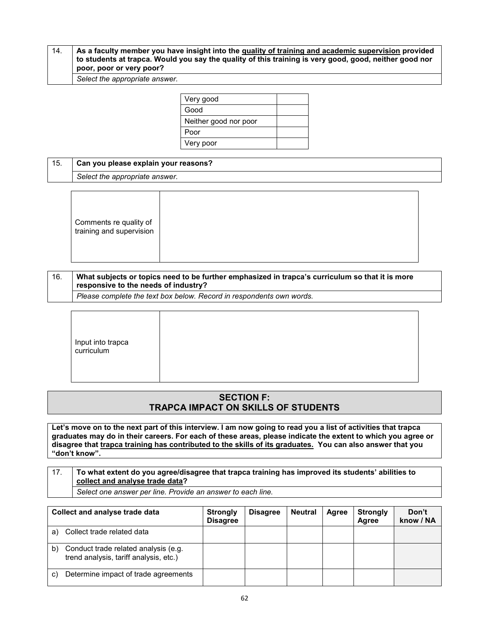#### 14. **As a faculty member you have insight into the quality of training and academic supervision provided to students at trapca. Would you say the quality of this training is very good, good, neither good nor poor, poor or very poor?**

*Select the appropriate answer.*

| Very good             |  |
|-----------------------|--|
| Good                  |  |
| Neither good nor poor |  |
| Poor                  |  |
| Very poor             |  |

| 15. | Can you please explain your reasons? |
|-----|--------------------------------------|
|     | Select the appropriate answer.       |
|     |                                      |

|--|--|

| 16. | What subjects or topics need to be further emphasized in trapca's curriculum so that it is more<br>responsive to the needs of industry? |
|-----|-----------------------------------------------------------------------------------------------------------------------------------------|
|     | Please complete the text hox below. Record in respondents own words                                                                     |

*Please complete the text box below. Record in respondents own words.*

| Input into trapca |  |
|-------------------|--|
| curriculum        |  |
|                   |  |

## **SECTION F: TRAPCA IMPACT ON SKILLS OF STUDENTS**

**Let's move on to the next part of this interview. I am now going to read you a list of activities that trapca graduates may do in their careers. For each of these areas, please indicate the extent to which you agree or disagree that trapca training has contributed to the skills of its graduates. You can also answer that you "don't know".**

## 17. **To what extent do you agree/disagree that trapca training has improved its students' abilities to collect and analyse trade data?**

*Select one answer per line. Provide an answer to each line.*

| Collect and analyse trade data |                                                                                | <b>Strongly</b><br><b>Disagree</b> | <b>Disagree</b> | <b>Neutral</b> | Agree | <b>Strongly</b><br>Aaree | Don't<br>know / NA |
|--------------------------------|--------------------------------------------------------------------------------|------------------------------------|-----------------|----------------|-------|--------------------------|--------------------|
| a)                             | Collect trade related data                                                     |                                    |                 |                |       |                          |                    |
| b)                             | Conduct trade related analysis (e.g.<br>trend analysis, tariff analysis, etc.) |                                    |                 |                |       |                          |                    |
| C)                             | Determine impact of trade agreements                                           |                                    |                 |                |       |                          |                    |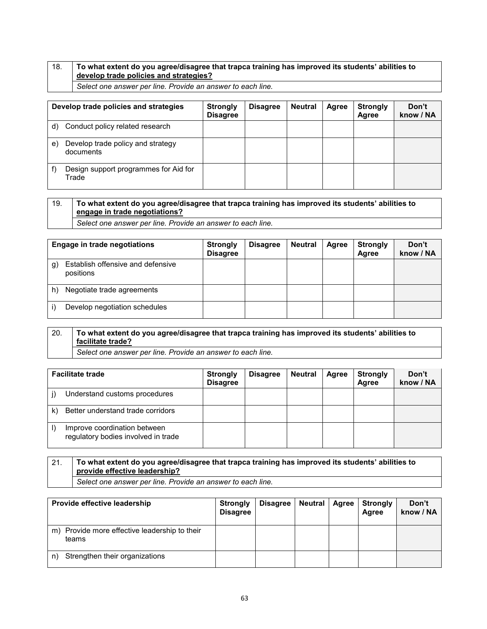## 18. **To what extent do you agree/disagree that trapca training has improved its students' abilities to develop trade policies and strategies?**

*Select one answer per line. Provide an answer to each line.*

| Develop trade policies and strategies |                                                | <b>Strongly</b><br><b>Disagree</b> | <b>Disagree</b> | <b>Neutral</b> | Agree | <b>Strongly</b><br>Agree | Don't<br>know / NA |
|---------------------------------------|------------------------------------------------|------------------------------------|-----------------|----------------|-------|--------------------------|--------------------|
| d)                                    | Conduct policy related research                |                                    |                 |                |       |                          |                    |
| e)                                    | Develop trade policy and strategy<br>documents |                                    |                 |                |       |                          |                    |
|                                       | Design support programmes for Aid for<br>Trade |                                    |                 |                |       |                          |                    |

## 19. **To what extent do you agree/disagree that trapca training has improved its students' abilities to engage in trade negotiations?**

*Select one answer per line. Provide an answer to each line.*

| <b>Engage in trade negotiations</b> |                                                | <b>Strongly</b><br><b>Disagree</b> | <b>Disagree</b> | <b>Neutral</b> | Agree | <b>Strongly</b><br>Agree | Don't<br>know / NA |
|-------------------------------------|------------------------------------------------|------------------------------------|-----------------|----------------|-------|--------------------------|--------------------|
| g)                                  | Establish offensive and defensive<br>positions |                                    |                 |                |       |                          |                    |
| h)                                  | Negotiate trade agreements                     |                                    |                 |                |       |                          |                    |
|                                     | Develop negotiation schedules                  |                                    |                 |                |       |                          |                    |

## 20. **To what extent do you agree/disagree that trapca training has improved its students' abilities to facilitate trade?**

*Select one answer per line. Provide an answer to each line.*

| <b>Facilitate trade</b> |                                                                     | <b>Strongly</b><br><b>Disagree</b> | <b>Disagree</b> | <b>Neutral</b> | Agree | <b>Strongly</b><br>Agree | Don't<br>know / NA |
|-------------------------|---------------------------------------------------------------------|------------------------------------|-----------------|----------------|-------|--------------------------|--------------------|
|                         | Understand customs procedures                                       |                                    |                 |                |       |                          |                    |
| k)                      | Better understand trade corridors                                   |                                    |                 |                |       |                          |                    |
| I)                      | Improve coordination between<br>regulatory bodies involved in trade |                                    |                 |                |       |                          |                    |

## 21. **To what extent do you agree/disagree that trapca training has improved its students' abilities to provide effective leadership?**

*Select one answer per line. Provide an answer to each line.*

| Provide effective leadership                              | <b>Strongly</b><br><b>Disagree</b> | <b>Disagree</b> | Neutral | Agree | <b>Strongly</b><br>Agree | Don't<br>know / NA |
|-----------------------------------------------------------|------------------------------------|-----------------|---------|-------|--------------------------|--------------------|
| Provide more effective leadership to their<br>m)<br>teams |                                    |                 |         |       |                          |                    |
| Strengthen their organizations<br>n)                      |                                    |                 |         |       |                          |                    |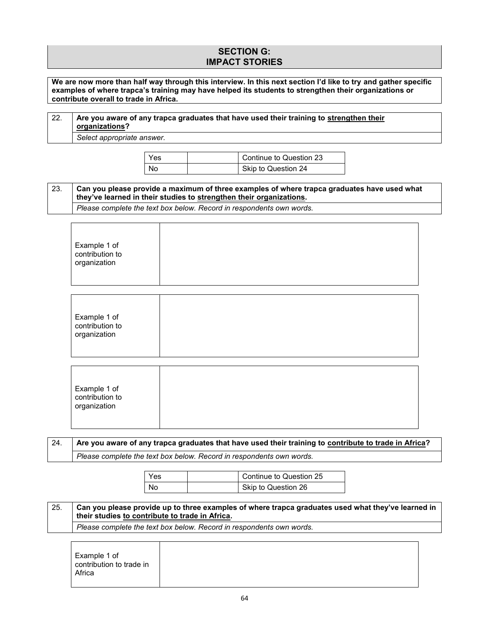## **SECTION G: IMPACT STORIES**

**We are now more than half way through this interview. In this next section I'd like to try and gather specific examples of where trapca's training may have helped its students to strengthen their organizations or contribute overall to trade in Africa.**

| 22. | Are you aware of any trapca graduates that have used their training to strengthen their<br>organizations?                                                          |     |  |                                                                      |                                                                                                    |  |  |  |  |  |
|-----|--------------------------------------------------------------------------------------------------------------------------------------------------------------------|-----|--|----------------------------------------------------------------------|----------------------------------------------------------------------------------------------------|--|--|--|--|--|
|     | Select appropriate answer.                                                                                                                                         |     |  |                                                                      |                                                                                                    |  |  |  |  |  |
|     |                                                                                                                                                                    | Yes |  | Continue to Question 23                                              |                                                                                                    |  |  |  |  |  |
|     |                                                                                                                                                                    | No  |  | Skip to Question 24                                                  |                                                                                                    |  |  |  |  |  |
| 23. | Can you please provide a maximum of three examples of where trapca graduates have used what<br>they've learned in their studies to strengthen their organizations. |     |  |                                                                      |                                                                                                    |  |  |  |  |  |
|     |                                                                                                                                                                    |     |  | Please complete the text box below. Record in respondents own words. |                                                                                                    |  |  |  |  |  |
|     | Example 1 of<br>contribution to<br>organization                                                                                                                    |     |  |                                                                      |                                                                                                    |  |  |  |  |  |
|     | Example 1 of<br>contribution to<br>organization                                                                                                                    |     |  |                                                                      |                                                                                                    |  |  |  |  |  |
|     | Example 1 of<br>contribution to<br>organization                                                                                                                    |     |  |                                                                      |                                                                                                    |  |  |  |  |  |
| 24. | Are you aware of any trapca graduates that have used their training to contribute to trade in Africa?                                                              |     |  |                                                                      |                                                                                                    |  |  |  |  |  |
|     |                                                                                                                                                                    |     |  | Please complete the text box below. Record in respondents own words. |                                                                                                    |  |  |  |  |  |
|     |                                                                                                                                                                    | Yes |  | Continue to Question 25                                              |                                                                                                    |  |  |  |  |  |
|     |                                                                                                                                                                    | No  |  | Skip to Question 26                                                  |                                                                                                    |  |  |  |  |  |
| 25. | their studies to contribute to trade in Africa.                                                                                                                    |     |  |                                                                      | Can you please provide up to three examples of where trapca graduates used what they've learned in |  |  |  |  |  |
|     | Please complete the text box below. Record in respondents own words.                                                                                               |     |  |                                                                      |                                                                                                    |  |  |  |  |  |

|--|--|--|

٦

 $\Gamma$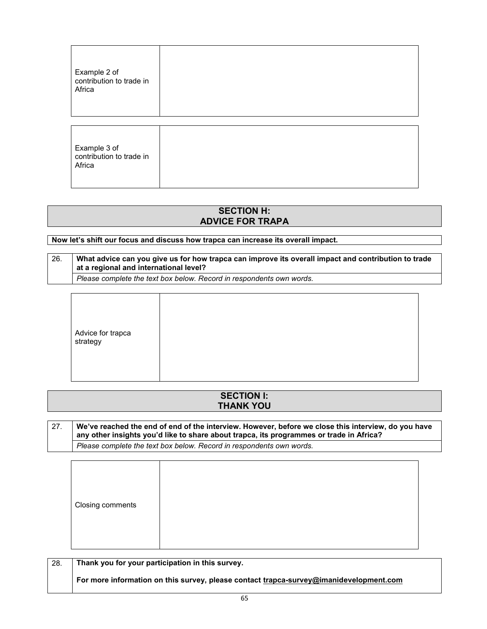| Example 2 of<br>contribution to trade in<br>Africa |  |
|----------------------------------------------------|--|
| Example 3 of<br>contribution to trade in<br>Africa |  |

## **SECTION H: ADVICE FOR TRAPA**

## **Now let's shift our focus and discuss how trapca can increase its overall impact.**

| 26. | What advice can you give us for how trapca can improve its overall impact and contribution to trade<br>at a regional and international level? |
|-----|-----------------------------------------------------------------------------------------------------------------------------------------------|
|     | Please complete the text box below. Record in respondents own words.                                                                          |

|--|--|--|--|

| <b>SECTION I:</b> |  |
|-------------------|--|
| <b>THANK YOU</b>  |  |
|                   |  |

| 27. | We've reached the end of end of the interview. However, before we close this interview, do you have |  |
|-----|-----------------------------------------------------------------------------------------------------|--|
|     | any other insights you'd like to share about trapca, its programmes or trade in Africa?             |  |
|     | Please complete the text box below. Record in respondents own words.                                |  |

| Closing comments |  |  |  |  |  |
|------------------|--|--|--|--|--|
|------------------|--|--|--|--|--|

| -28. | Thank you for your participation in this survey.                                       |
|------|----------------------------------------------------------------------------------------|
|      | For more information on this survey, please contact trapca-survey@imanidevelopment.com |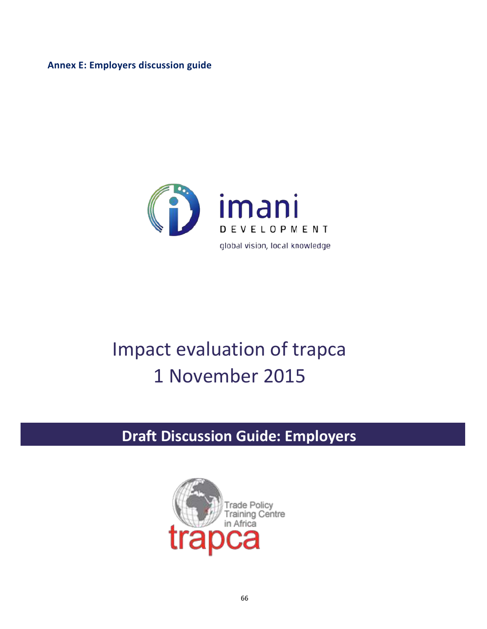**Annex E: Employers discussion guide**



## Impact evaluation of trapca 1 November 2015

# **Draft Discussion Guide: Employers**

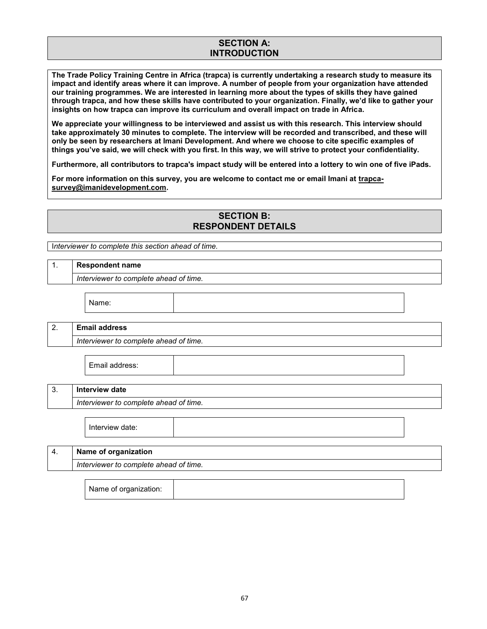## **SECTION A: INTRODUCTION**

**The Trade Policy Training Centre in Africa (trapca) is currently undertaking a research study to measure its impact and identify areas where it can improve. A number of people from your organization have attended our training programmes. We are interested in learning more about the types of skills they have gained through trapca, and how these skills have contributed to your organization. Finally, we'd like to gather your insights on how trapca can improve its curriculum and overall impact on trade in Africa.** 

**We appreciate your willingness to be interviewed and assist us with this research. This interview should take approximately 30 minutes to complete. The interview will be recorded and transcribed, and these will only be seen by researchers at Imani Development. And where we choose to cite specific examples of things you've said, we will check with you first. In this way, we will strive to protect your confidentiality.** 

**Furthermore, all contributors to trapca's impact study will be entered into a lottery to win one of five iPads.**

**For more information on this survey, you are welcome to contact me or email Imani at trapcasurvey@imanidevelopment.com.**

### **SECTION B: RESPONDENT DETAILS**

I*nterviewer to complete this section ahead of time.*

### 1. **Respondent name**

*Interviewer to complete ahead of time.*

Name:

## 2. **Email address** *Interviewer to complete ahead of time.*

Email address:

## 3. **Interview date**

*Interviewer to complete ahead of time.*

Interview date:

| 4. | Name of organization                   |
|----|----------------------------------------|
|    | Interviewer to complete ahead of time. |
|    |                                        |

Name of organization: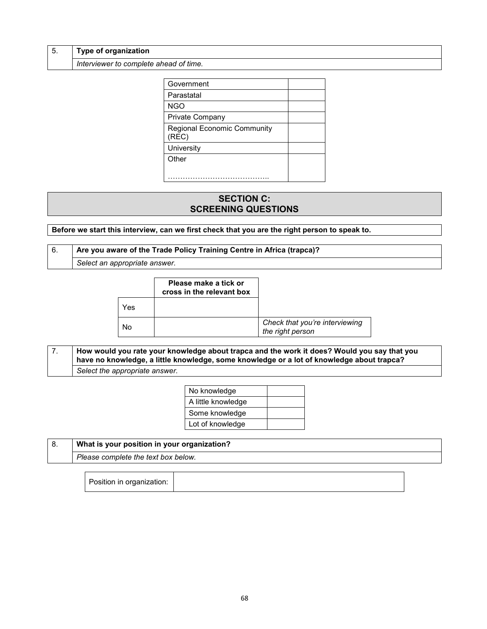|  | <b>Type of organization</b>            |
|--|----------------------------------------|
|  | Interviewer to complete ahead of time. |

| Government                                  |  |
|---------------------------------------------|--|
| Parastatal                                  |  |
| <b>NGO</b>                                  |  |
| Private Company                             |  |
| <b>Regional Economic Community</b><br>(REC) |  |
| University                                  |  |
| Other                                       |  |
|                                             |  |

## **SECTION C: SCREENING QUESTIONS**

**Before we start this interview, can we first check that you are the right person to speak to.**

### 6. **Are you aware of the Trade Policy Training Centre in Africa (trapca)?**

*Select an appropriate answer.*

|     | Please make a tick or<br>cross in the relevant box |                                                    |
|-----|----------------------------------------------------|----------------------------------------------------|
| Yes |                                                    |                                                    |
| N٥  |                                                    | Check that you're interviewing<br>the right person |

7. **How would you rate your knowledge about trapca and the work it does? Would you say that you have no knowledge, a little knowledge, some knowledge or a lot of knowledge about trapca?** *Select the appropriate answer.*

| No knowledge       |  |
|--------------------|--|
| A little knowledge |  |
| Some knowledge     |  |
| Lot of knowledge   |  |

| What is your position in your organization? |  |  |  |  |
|---------------------------------------------|--|--|--|--|
| Please complete the text box below.         |  |  |  |  |

Position in organization: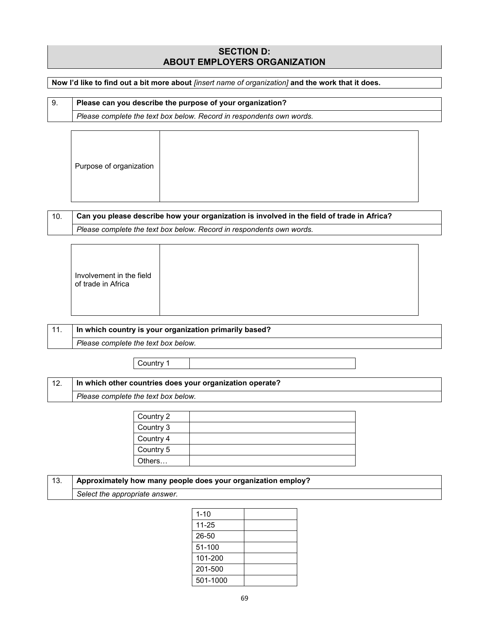## **SECTION D: ABOUT EMPLOYERS ORGANIZATION**

**Now I'd like to find out a bit more about** *[insert name of organization]* **and the work that it does.**

| Please can you describe the purpose of your organization? |                                                                      |  |  |  |
|-----------------------------------------------------------|----------------------------------------------------------------------|--|--|--|
|                                                           | Please complete the text box below. Record in respondents own words. |  |  |  |

| Purpose of organization |  |  |
|-------------------------|--|--|
|                         |  |  |

| Can you please describe how your organization is involved in the field of trade in Africa? |
|--------------------------------------------------------------------------------------------|
| Please complete the text box below. Record in respondents own words.                       |

| $-11.$ | In which country is your organization primarily based? |
|--------|--------------------------------------------------------|
|        | Please complete the text box below.                    |
|        |                                                        |

Country 1

| . 10<br>In which other countries does your organization operate?<br>14. |                                     |  |  |
|-------------------------------------------------------------------------|-------------------------------------|--|--|
|                                                                         | Please complete the text box below. |  |  |

| Country 2 |  |
|-----------|--|
| Country 3 |  |
| Country 4 |  |
| Country 5 |  |
| Others    |  |

| $-13.$ | Approximately how many people does your organization employ? |
|--------|--------------------------------------------------------------|
|        | Select the appropriate answer.                               |

| $1 - 10$  |  |
|-----------|--|
| $11 - 25$ |  |
| 26-50     |  |
| 51-100    |  |
| 101-200   |  |
| 201-500   |  |
| 501-1000  |  |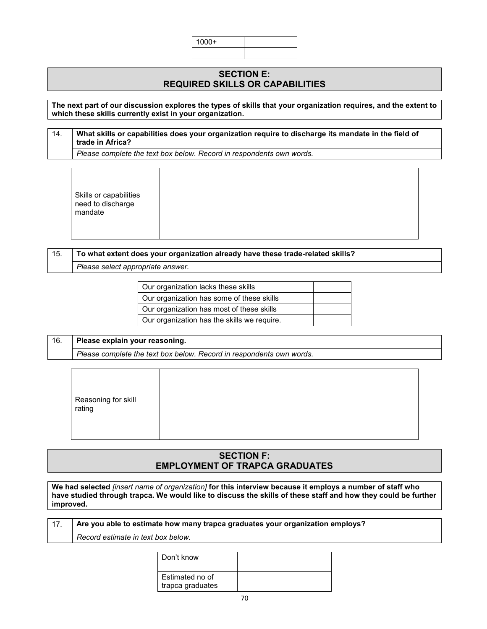| 100 <sub>o</sub> |  |
|------------------|--|
|                  |  |

### **SECTION E: REQUIRED SKILLS OR CAPABILITIES**

#### **The next part of our discussion explores the types of skills that your organization requires, and the extent to which these skills currently exist in your organization.**

## 14. **What skills or capabilities does your organization require to discharge its mandate in the field of trade in Africa?** *Please complete the text box below. Record in respondents own words.*

Skills or capabilities need to discharge mandate

## 15. **To what extent does your organization already have these trade-related skills?**

*Please select appropriate answer.*

| Our organization lacks these skills         |  |
|---------------------------------------------|--|
| Our organization has some of these skills   |  |
| Our organization has most of these skills   |  |
| Our organization has the skills we require. |  |

## 16. **Please explain your reasoning.** *Please complete the text box below. Record in respondents own words.*

| Reasoning for skill<br>rating |
|-------------------------------|
|-------------------------------|

## **SECTION F: EMPLOYMENT OF TRAPCA GRADUATES**

**We had selected** *[insert name of organization]* **for this interview because it employs a number of staff who have studied through trapca. We would like to discuss the skills of these staff and how they could be further improved.**

### 17. **Are you able to estimate how many trapca graduates your organization employs?**

*Record estimate in text box below.*

| Don't know                          |  |
|-------------------------------------|--|
| Estimated no of<br>trapca graduates |  |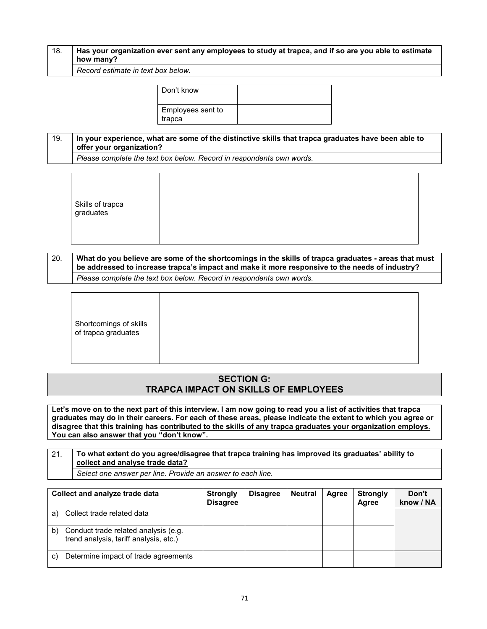| 18. | Has your organization ever sent any employees to study at trapca, and if so are you able to estimate<br>how many? |
|-----|-------------------------------------------------------------------------------------------------------------------|
|     |                                                                                                                   |

*Record estimate in text box below.*

| Don't know                  |  |
|-----------------------------|--|
| Employees sent to<br>trapca |  |

## 19. **In your experience, what are some of the distinctive skills that trapca graduates have been able to offer your organization?**

*Please complete the text box below. Record in respondents own words.*

|--|

### 20. **What do you believe are some of the shortcomings in the skills of trapca graduates - areas that must be addressed to increase trapca's impact and make it more responsive to the needs of industry?** *Please complete the text box below. Record in respondents own words.*

## **SECTION G: TRAPCA IMPACT ON SKILLS OF EMPLOYEES**

**Let's move on to the next part of this interview. I am now going to read you a list of activities that trapca graduates may do in their careers. For each of these areas, please indicate the extent to which you agree or disagree that this training has contributed to the skills of any trapca graduates your organization employs. You can also answer that you "don't know".**

### 21. **To what extent do you agree/disagree that trapca training has improved its graduates' ability to collect and analyse trade data?** *Select one answer per line. Provide an answer to each line.*

| Collect and analyze trade data |                                                                                | <b>Strongly</b><br><b>Disagree</b> | <b>Disagree</b> | <b>Neutral</b> | Agree | <b>Strongly</b><br>Agree | Don't<br>know / NA |
|--------------------------------|--------------------------------------------------------------------------------|------------------------------------|-----------------|----------------|-------|--------------------------|--------------------|
| a)                             | Collect trade related data                                                     |                                    |                 |                |       |                          |                    |
| b)                             | Conduct trade related analysis (e.g.<br>trend analysis, tariff analysis, etc.) |                                    |                 |                |       |                          |                    |
| C)                             | Determine impact of trade agreements                                           |                                    |                 |                |       |                          |                    |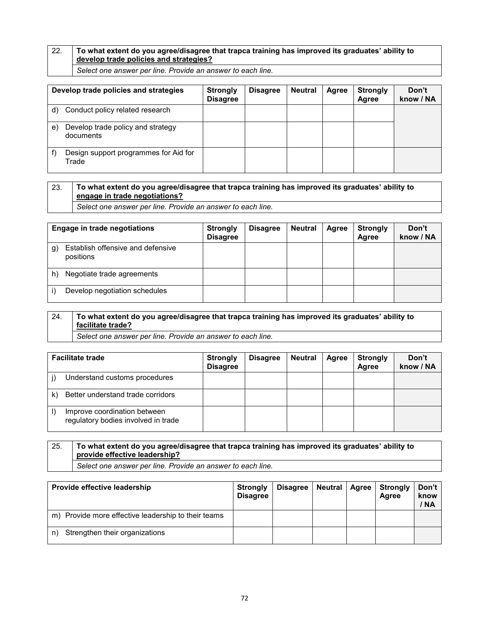## 22. **To what extent do you agree/disagree that trapca training has improved its graduates' ability to develop trade policies and strategies?**

*Select one answer per line. Provide an answer to each line.*

| Develop trade policies and strategies |                                                | <b>Strongly</b><br><b>Disagree</b> | <b>Disagree</b> | <b>Neutral</b> | Agree | <b>Strongly</b><br>Agree | Don't<br>know / NA |
|---------------------------------------|------------------------------------------------|------------------------------------|-----------------|----------------|-------|--------------------------|--------------------|
| d)                                    | Conduct policy related research                |                                    |                 |                |       |                          |                    |
| e)                                    | Develop trade policy and strategy<br>documents |                                    |                 |                |       |                          |                    |
|                                       | Design support programmes for Aid for<br>Trade |                                    |                 |                |       |                          |                    |

## 23. **To what extent do you agree/disagree that trapca training has improved its graduates' ability to engage in trade negotiations?**

*Select one answer per line. Provide an answer to each line.*

| Engage in trade negotiations |                                                | <b>Strongly</b><br><b>Disagree</b> | <b>Disagree</b> | <b>Neutral</b> | Agree | <b>Strongly</b><br>Agree | Don't<br>know / NA |
|------------------------------|------------------------------------------------|------------------------------------|-----------------|----------------|-------|--------------------------|--------------------|
| g)                           | Establish offensive and defensive<br>positions |                                    |                 |                |       |                          |                    |
| h)                           | Negotiate trade agreements                     |                                    |                 |                |       |                          |                    |
|                              | Develop negotiation schedules                  |                                    |                 |                |       |                          |                    |

### 24. **To what extent do you agree/disagree that trapca training has improved its graduates' ability to facilitate trade?**

*Select one answer per line. Provide an answer to each line.*

| <b>Facilitate trade</b> |                                                                     | <b>Strongly</b><br><b>Disagree</b> | <b>Disagree</b> | <b>Neutral</b> | Agree | Strongly<br>Agree | Don't<br>know / NA |
|-------------------------|---------------------------------------------------------------------|------------------------------------|-----------------|----------------|-------|-------------------|--------------------|
|                         | Understand customs procedures                                       |                                    |                 |                |       |                   |                    |
| k)                      | Better understand trade corridors                                   |                                    |                 |                |       |                   |                    |
| I)                      | Improve coordination between<br>regulatory bodies involved in trade |                                    |                 |                |       |                   |                    |

## 25. **To what extent do you agree/disagree that trapca training has improved its graduates' ability to provide effective leadership?**

*Select one answer per line. Provide an answer to each line.*

| Provide effective leadership                        | <b>Strongly</b><br><b>Disagree</b> | <b>Disagree</b> | Neutral | <b>Agree</b> | <b>Strongly</b><br>Agree | Don't<br>know<br>/ NA |
|-----------------------------------------------------|------------------------------------|-----------------|---------|--------------|--------------------------|-----------------------|
| m) Provide more effective leadership to their teams |                                    |                 |         |              |                          |                       |
| Strengthen their organizations<br>n)                |                                    |                 |         |              |                          |                       |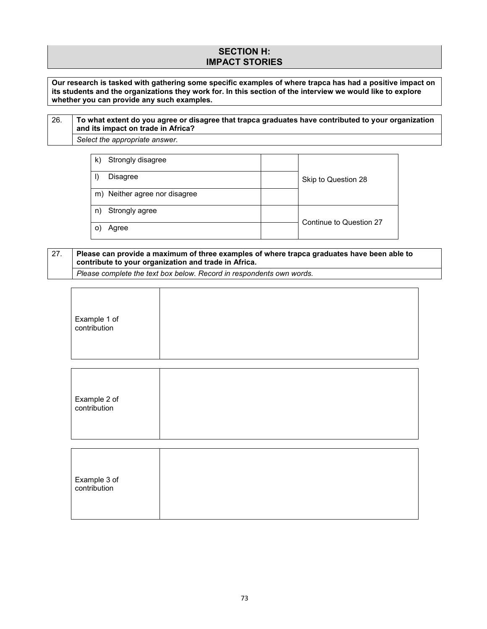#### **SECTION H: IMPACT STORIES**

**Our research is tasked with gathering some specific examples of where trapca has had a positive impact on its students and the organizations they work for. In this section of the interview we would like to explore whether you can provide any such examples.**

#### 26. **To what extent do you agree or disagree that trapca graduates have contributed to your organization and its impact on trade in Africa?** *Select the appropriate answer.*

| Strongly disagree<br>k)       |                         |
|-------------------------------|-------------------------|
| Disagree                      | Skip to Question 28     |
| m) Neither agree nor disagree |                         |
| Strongly agree<br>n)          | Continue to Question 27 |
| Agree                         |                         |

### 27. **Please can provide a maximum of three examples of where trapca graduates have been able to contribute to your organization and trade in Africa.**

*Please complete the text box below. Record in respondents own words.*

| Example 1 of<br>contribution |  |
|------------------------------|--|
|                              |  |

| Example 2 of<br>contribution |
|------------------------------|
|                              |

| Example 3 of<br>contribution |  |  |  |
|------------------------------|--|--|--|
|                              |  |  |  |
|                              |  |  |  |
|                              |  |  |  |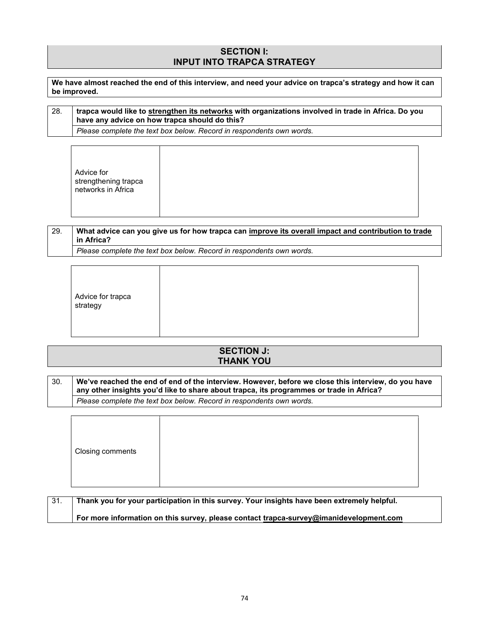#### **SECTION I: INPUT INTO TRAPCA STRATEGY**

**We have almost reached the end of this interview, and need your advice on trapca's strategy and how it can be improved.** 

| trapca would like to <u>strengthen its networks</u> with organizations involved in trade in Africa. Do you<br>28.<br>have any advice on how trapca should do this? |                                                                      |
|--------------------------------------------------------------------------------------------------------------------------------------------------------------------|----------------------------------------------------------------------|
|                                                                                                                                                                    | Please complete the text box below. Record in respondents own words. |

Τ

 $\Gamma$ 

|--|--|

٦

#### 29. **What advice can you give us for how trapca can improve its overall impact and contribution to trade in Africa?** *Please complete the text box below. Record in respondents own words.*

| Advice for trapca<br>strategy |  |  |  |  |
|-------------------------------|--|--|--|--|
|-------------------------------|--|--|--|--|

#### **SECTION J: THANK YOU**

30. **We've reached the end of end of the interview. However, before we close this interview, do you have any other insights you'd like to share about trapca, its programmes or trade in Africa?** *Please complete the text box below. Record in respondents own words.*

| Closing comments |  |  |
|------------------|--|--|
|------------------|--|--|

| 31. | Thank you for your participation in this survey. Your insights have been extremely helpful. |
|-----|---------------------------------------------------------------------------------------------|
|     | For more information on this survey, please contact trapca-survey@imanidevelopment.com      |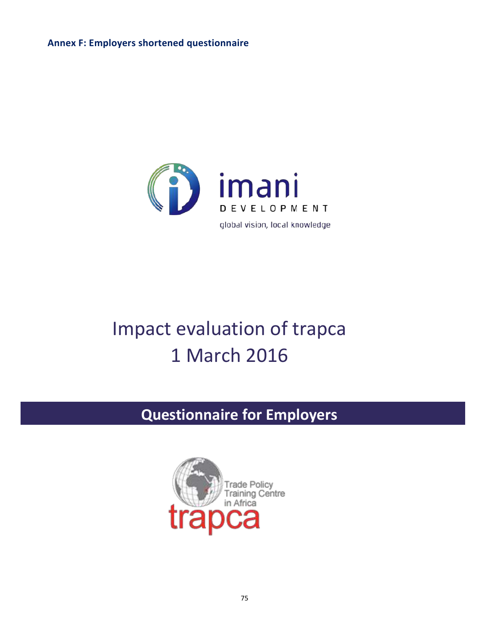**Annex F: Employers shortened questionnaire**



# Impact evaluation of trapca 1 March 2016

# **Questionnaire for Employers**

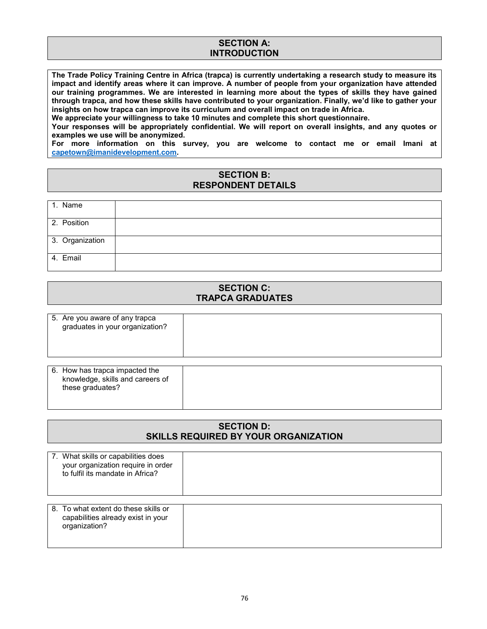#### **SECTION A: INTRODUCTION**

**The Trade Policy Training Centre in Africa (trapca) is currently undertaking a research study to measure its impact and identify areas where it can improve. A number of people from your organization have attended our training programmes. We are interested in learning more about the types of skills they have gained through trapca, and how these skills have contributed to your organization. Finally, we'd like to gather your insights on how trapca can improve its curriculum and overall impact on trade in Africa.** 

**We appreciate your willingness to take 10 minutes and complete this short questionnaire.** 

**Your responses will be appropriately confidential. We will report on overall insights, and any quotes or examples we use will be anonymized.**

**For more information on this survey, you are welcome to contact me or email Imani at capetown@imanidevelopment.com.**

#### **SECTION B: RESPONDENT DETAILS**

| 1. Name         |  |
|-----------------|--|
| 2. Position     |  |
| 3. Organization |  |
| 4. Email        |  |

#### **SECTION C: TRAPCA GRADUATES**

| 5. Are you aware of any trapca<br>graduates in your organization?                      |  |
|----------------------------------------------------------------------------------------|--|
| 6. How has trapca impacted the<br>knowledge, skills and careers of<br>these graduates? |  |

#### **SECTION D: SKILLS REQUIRED BY YOUR ORGANIZATION**

| 7. What skills or capabilities does<br>your organization require in order<br>to fulfil its mandate in Africa? |  |
|---------------------------------------------------------------------------------------------------------------|--|
| 8. To what extent do these skills or<br>capabilities already exist in your<br>organization?                   |  |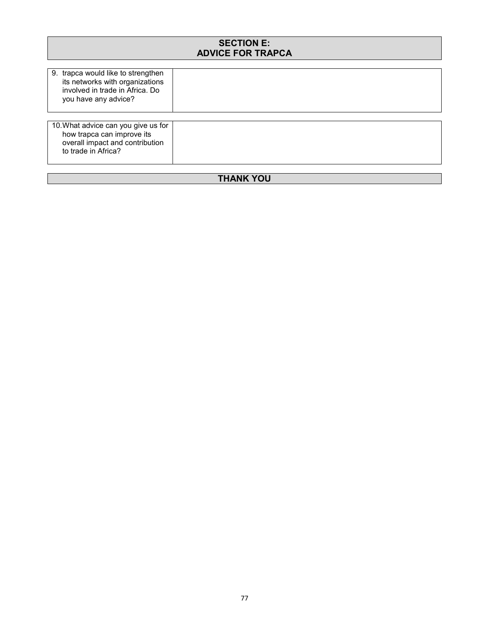| <b>SECTION E:</b><br><b>ADVICE FOR TRAPCA</b>                                                                                    |  |  |  |
|----------------------------------------------------------------------------------------------------------------------------------|--|--|--|
| 9. trapca would like to strengthen<br>its networks with organizations<br>involved in trade in Africa. Do<br>you have any advice? |  |  |  |
| 10. What advice can you give us for<br>how trapca can improve its<br>overall impact and contribution<br>to trade in Africa?      |  |  |  |
| THANK YOU                                                                                                                        |  |  |  |

#### **THANK YOU**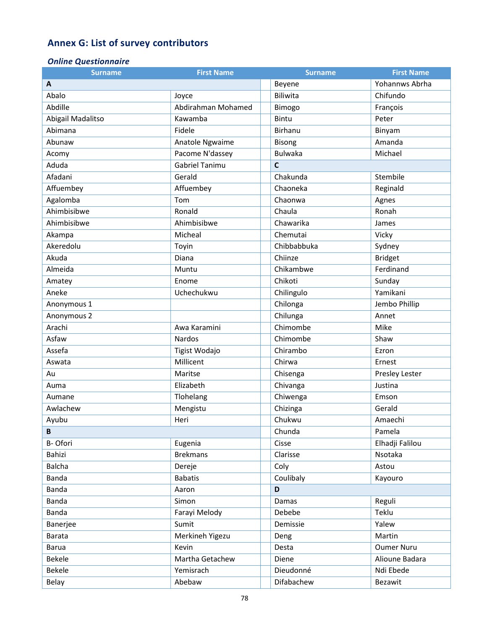## **Annex G: List of survey contributors**

#### *Online Questionnaire*

| <b>Surname</b>    | <b>First Name</b>  | <b>Surname</b>       | <b>First Name</b> |
|-------------------|--------------------|----------------------|-------------------|
| A                 |                    | Beyene               | Yohannws Abrha    |
| Abalo             | Joyce              | Biliwita             | Chifundo          |
| Abdille           | Abdirahman Mohamed | Bimogo               | François          |
| Abigail Madalitso | Kawamba            | <b>Bintu</b>         | Peter             |
| Abimana           | Fidele             | <b>Birhanu</b>       | Binyam            |
| Abunaw            | Anatole Ngwaime    | <b>Bisong</b>        | Amanda            |
| Acomy             | Pacome N'dassey    | <b>Bulwaka</b>       | Michael           |
| Aduda             | Gabriel Tanimu     | C                    |                   |
| Afadani           | Gerald             | Chakunda<br>Stembile |                   |
| Affuembey         | Affuembey          | Chaoneka             | Reginald          |
| Agalomba          | Tom                | Chaonwa              | Agnes             |
| Ahimbisibwe       | Ronald             | Chaula               | Ronah             |
| Ahimbisibwe       | Ahimbisibwe        | Chawarika            | James             |
| Akampa            | Micheal            | Chemutai             | Vicky             |
| Akeredolu         | Toyin              | Chibbabbuka          | Sydney            |
| Akuda             | Diana              | Chiinze              | <b>Bridget</b>    |
| Almeida           | Muntu              | Chikambwe            | Ferdinand         |
| Amatey            | Enome              | Chikoti              | Sunday            |
| Aneke             | Uchechukwu         | Chilingulo           | Yamikani          |
| Anonymous 1       |                    | Chilonga             | Jembo Phillip     |
| Anonymous 2       |                    | Chilunga             | Annet             |
| Arachi            | Awa Karamini       | Chimombe             | Mike              |
| Asfaw             | Nardos             | Chimombe             | Shaw              |
| Assefa            | Tigist Wodajo      | Chirambo             | Ezron             |
| Aswata            | Millicent          | Chirwa               | Ernest            |
| Au                | Maritse            | Chisenga             | Presley Lester    |
| Auma              | Elizabeth          | Chivanga             | Justina           |
| Aumane            | Tlohelang          | Chiwenga             | Emson             |
| Awlachew          | Mengistu           | Chizinga             | Gerald            |
| Ayubu             | Heri               | Chukwu               | Amaechi           |
| B                 |                    | Chunda               | Pamela            |
| B-Ofori           | Eugenia            | Cisse                | Elhadji Falilou   |
| Bahizi            | <b>Brekmans</b>    | Clarisse             | Nsotaka           |
| <b>Balcha</b>     | Dereje             | Coly                 | Astou             |
| Banda             | <b>Babatis</b>     | Coulibaly            | Kayouro           |
| Banda             | Aaron              | D                    |                   |
| Banda             | Simon              | Damas                | Reguli            |
| Banda             | Farayi Melody      | Debebe               | Teklu             |
| Banerjee          | Sumit              | Demissie             | Yalew             |
| Barata            | Merkineh Yigezu    | Deng                 | Martin            |
| Barua             | Kevin              | Desta                | <b>Oumer Nuru</b> |
| Bekele            | Martha Getachew    | Diene                | Alioune Badara    |
| <b>Bekele</b>     | Yemisrach          | Dieudonné            | Ndi Ebede         |
| Belay             | Abebaw             | Difabachew           | Bezawit           |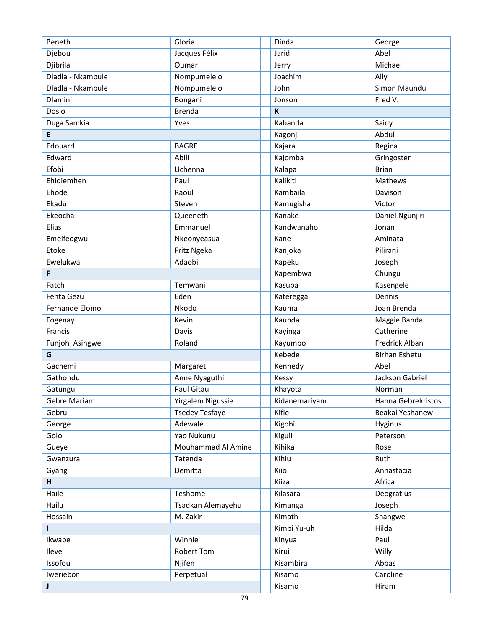| Beneth            | Gloria                | Dinda         | George               |
|-------------------|-----------------------|---------------|----------------------|
| Djebou            | Jacques Félix         | Jaridi        | Abel                 |
| Djibrila          | Oumar                 | Jerry         | Michael              |
| Dladla - Nkambule | Nompumelelo           | Joachim       | Ally                 |
| Dladla - Nkambule | Nompumelelo           | John          | Simon Maundu         |
| Dlamini           | Bongani               | Jonson        | Fred V.              |
| Dosio             | <b>Brenda</b>         | K             |                      |
| Duga Samkia       | Yves                  | Kabanda       | Saidy                |
| E                 |                       | Kagonji       | Abdul                |
| Edouard           | <b>BAGRE</b>          | Kajara        | Regina               |
| Edward            | Abili                 | Kajomba       | Gringoster           |
| Efobi             | Uchenna               | Kalapa        | <b>Brian</b>         |
| Ehidiemhen        | Paul                  | Kalikiti      | Mathews              |
| Ehode             | Raoul                 | Kambaila      | Davison              |
| Ekadu             | Steven                | Kamugisha     | Victor               |
| Ekeocha           | Queeneth              | Kanake        | Daniel Ngunjiri      |
| Elias             | Emmanuel              | Kandwanaho    | Jonan                |
| Emeifeogwu        | Nkeonyeasua           | Kane          | Aminata              |
| Etoke             | Fritz Ngeka           | Kanjoka       | Pilirani             |
| Ewelukwa          | Adaobi                | Kapeku        |                      |
|                   |                       |               | Joseph               |
| F                 |                       | Kapembwa      | Chungu               |
| Fatch             | Temwani               | Kasuba        | Kasengele            |
| Fenta Gezu        | Eden                  | Kateregga     | Dennis               |
| Fernande Elomo    | Nkodo                 | Kauma         | Joan Brenda          |
| Fogenay           | Kevin                 | Kaunda        | Maggie Banda         |
| Francis           | Davis                 | Kayinga       | Catherine            |
| Funjoh Asingwe    | Roland                | Kayumbo       | Fredrick Alban       |
| G                 |                       | Kebede        | <b>Birhan Eshetu</b> |
| Gachemi           | Margaret              | Kennedy       | Abel                 |
| Gathondu          | Anne Nyaguthi         | Kessy         | Jackson Gabriel      |
| Gatungu           | Paul Gitau            | Khayota       | Norman               |
| Gebre Mariam      | Yirgalem Nigussie     | Kidanemariyam | Hanna Gebrekristos   |
| Gebru             | <b>Tsedey Tesfaye</b> | Kifle         | Beakal Yeshanew      |
| George            | Adewale               | Kigobi        | Hyginus              |
| Golo              | Yao Nukunu            | Kiguli        | Peterson             |
| Gueye             | Mouhammad Al Amine    | Kihika        | Rose                 |
| Gwanzura          | Tatenda               | Kihiu         | Ruth                 |
| Gyang             | Demitta               | Kiio          | Annastacia           |
| H.                |                       | Kiiza         | Africa               |
| Haile             | Teshome               | Kilasara      | Deogratius           |
| Hailu             | Tsadkan Alemayehu     | Kimanga       | Joseph               |
| Hossain           | M. Zakir              | Kimath        | Shangwe              |
| L                 |                       | Kimbi Yu-uh   | Hilda                |
| Ikwabe            | Winnie                | Kinyua        | Paul                 |
| Ileve             | <b>Robert Tom</b>     | Kirui         | Willy                |
| Issofou           | Njifen                | Kisambira     | Abbas                |
| Iweriebor         | Perpetual             | Kisamo        | Caroline             |
| J                 |                       | Kisamo        | Hiram                |
|                   |                       |               |                      |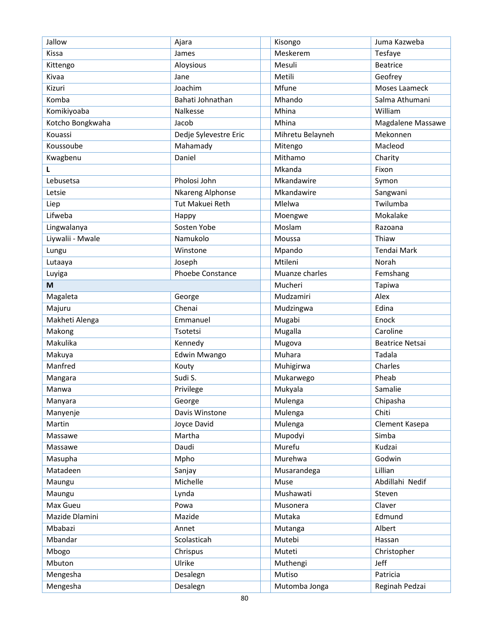| Jallow           | Ajara                 | Kisongo          | Juma Kazweba           |
|------------------|-----------------------|------------------|------------------------|
| Kissa            | James                 | Meskerem         | Tesfaye                |
| Kittengo         | Aloysious             | Mesuli           | Beatrice               |
| Kivaa            | Jane                  | Metili           | Geofrey                |
| Kizuri           | Joachim               | Mfune            | Moses Laameck          |
| Komba            | Bahati Johnathan      | Mhando           | Salma Athumani         |
| Komikiyoaba      | Nalkesse              | Mhina            | William                |
| Kotcho Bongkwaha | Jacob                 | Mhina            | Magdalene Massawe      |
| Kouassi          | Dedje Sylevestre Eric | Mihretu Belayneh | Mekonnen               |
| Koussoube        | Mahamady              | Mitengo          | Macleod                |
| Kwagbenu         | Daniel                | Mithamo          | Charity                |
| L                |                       | Mkanda           | Fixon                  |
| Lebusetsa        | Pholosi John          | Mkandawire       | Symon                  |
| Letsie           | Nkareng Alphonse      | Mkandawire       | Sangwani               |
| Liep             | Tut Makuei Reth       | Mlelwa           | Twilumba               |
| Lifweba          | Happy                 | Moengwe          | Mokalake               |
| Lingwalanya      | Sosten Yobe           | Moslam           | Razoana                |
| Liywalii - Mwale | Namukolo              | Moussa           | Thiaw                  |
| Lungu            | Winstone              | Mpando           | <b>Tendai Mark</b>     |
| Lutaaya          | Joseph                | Mtileni          | Norah                  |
| Luyiga           | Phoebe Constance      | Muanze charles   | Femshang               |
| M                |                       | Mucheri          | Tapiwa                 |
| Magaleta         | George                | Mudzamiri        | Alex                   |
| Majuru           | Chenai                | Mudzingwa        | Edina                  |
| Makheti Alenga   | Emmanuel              | Mugabi           | Enock                  |
| Makong           | Tsotetsi              | Mugalla          | Caroline               |
| Makulika         | Kennedy               | Mugova           | <b>Beatrice Netsai</b> |
| Makuya           | Edwin Mwango          | Muhara           | Tadala                 |
| Manfred          | Kouty                 | Muhigirwa        | Charles                |
| Mangara          | Sudi S.               | Mukarwego        | Pheab                  |
| Manwa            | Privilege             | Mukyala          | Samalie                |
| Manyara          | George                | Mulenga          | Chipasha               |
| Manyenje         | Davis Winstone        | Mulenga          | Chiti                  |
| Martin           | Joyce David           | Mulenga          | Clement Kasepa         |
| Massawe          | Martha                | Mupodyi          | Simba                  |
| Massawe          | Daudi                 | Murefu           | Kudzai                 |
| Masupha          | Mpho                  | Murehwa          | Godwin                 |
| Matadeen         | Sanjay                | Musarandega      | Lillian                |
| Maungu           | Michelle              | Muse             | Abdillahi Nedif        |
| Maungu           | Lynda                 | Mushawati        | Steven                 |
| Max Gueu         | Powa                  | Musonera         | Claver                 |
| Mazide Dlamini   | Mazide                | Mutaka           | Edmund                 |
| Mbabazi          | Annet                 | Mutanga          | Albert                 |
| Mbandar          | Scolasticah           | Mutebi           | Hassan                 |
| Mbogo            | Chrispus              | Muteti           | Christopher            |
| Mbuton           | Ulrike                | Muthengi         | Jeff                   |
| Mengesha         | Desalegn              | Mutiso           | Patricia               |
| Mengesha         | Desalegn              | Mutomba Jonga    | Reginah Pedzai         |
|                  |                       |                  |                        |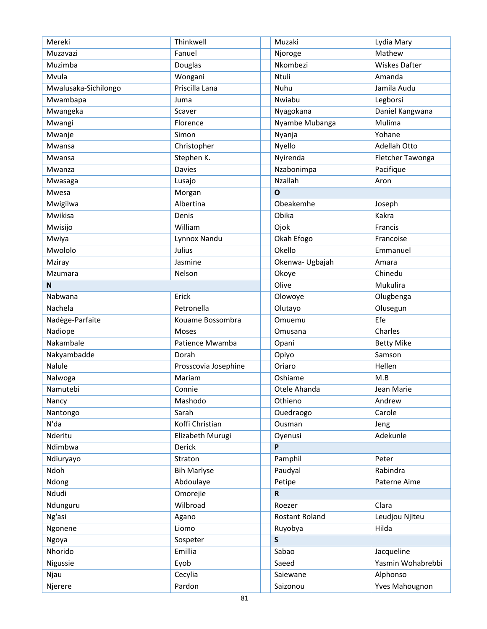| Mereki               | Thinkwell            | Muzaki          | Lydia Mary           |
|----------------------|----------------------|-----------------|----------------------|
| Muzavazi             | Fanuel               | Njoroge         | Mathew               |
| Muzimba              | Douglas              | Nkombezi        | <b>Wiskes Dafter</b> |
| Mvula                | Wongani              | Ntuli           | Amanda               |
| Mwalusaka-Sichilongo | Priscilla Lana       | Nuhu            | Jamila Audu          |
| Mwambapa             | Juma                 | Nwiabu          | Legborsi             |
| Mwangeka             | Scaver               | Nyagokana       | Daniel Kangwana      |
| Mwangi               | Florence             | Nyambe Mubanga  | Mulima               |
| Mwanje               | Simon                | Nyanja          | Yohane               |
| Mwansa               | Christopher          | Nyello          | Adellah Otto         |
| Mwansa               | Stephen K.           | Nyirenda        | Fletcher Tawonga     |
| Mwanza               | Davies               | Nzabonimpa      | Pacifique            |
| Mwasaga              | Lusajo               | Nzallah         | Aron                 |
| Mwesa                | Morgan               | $\Omega$        |                      |
| Mwigilwa             | Albertina            | Obeakemhe       | Joseph               |
| Mwikisa              | Denis                | Obika           | Kakra                |
| Mwisijo              | William              | Ojok            | Francis              |
| Mwiya                | Lynnox Nandu         | Okah Efogo      | Francoise            |
| Mwololo              | Julius               | Okello          | Emmanuel             |
| Mziray               | Jasmine              | Okenwa- Ugbajah | Amara                |
| Mzumara              | Nelson               | Okoye           | Chinedu              |
| N                    |                      | Olive           | Mukulira             |
| Nabwana              | Erick                | Olowoye         | Olugbenga            |
| Nachela              | Petronella           | Olutayo         | Olusegun             |
| Nadège-Parfaite      | Kouame Bossombra     | Omuemu          | Efe                  |
| Nadiope              | Moses                | Omusana         | Charles              |
| Nakambale            | Patience Mwamba      | Opani           | <b>Betty Mike</b>    |
| Nakyambadde          | Dorah                | Opiyo           | Samson               |
| Nalule               | Prosscovia Josephine | Oriaro          | Hellen               |
| Nalwoga              | Mariam               | Oshiame         | M.B                  |
| Namutebi             | Connie               | Otele Ahanda    | Jean Marie           |
| Nancy                | Mashodo              | Othieno         | Andrew               |
| Nantongo             | Sarah                | Ouedraogo       | Carole               |
| N'da                 | Koffi Christian      | Ousman          | Jeng                 |
| Nderitu              | Elizabeth Murugi     | Oyenusi         | Adekunle             |
| Ndimbwa              | Derick               | P               |                      |
| Ndiuryayo            | Straton              | Pamphil         | Peter                |
| Ndoh                 | <b>Bih Marlyse</b>   | Paudyal         | Rabindra             |
| Ndong                | Abdoulaye            | Petipe          | Paterne Aime         |
| Ndudi                | Omorejie             | $\mathsf{R}$    |                      |
| Ndunguru             | Wilbroad             | Roezer          | Clara                |
| Ng'asi               | Agano                | Rostant Roland  | Leudjou Njiteu       |
| Ngonene              | Liomo                | Ruyobya         | Hilda                |
| Ngoya                | Sospeter             | $\mathsf{s}$    |                      |
| Nhorido              | Emillia              | Sabao           | Jacqueline           |
| Nigussie             | Eyob                 | Saeed           | Yasmin Wohabrebbi    |
| Njau                 | Cecylia              | Saiewane        | Alphonso             |
| Njerere              | Pardon               | Saizonou        | Yves Mahougnon       |
|                      |                      |                 |                      |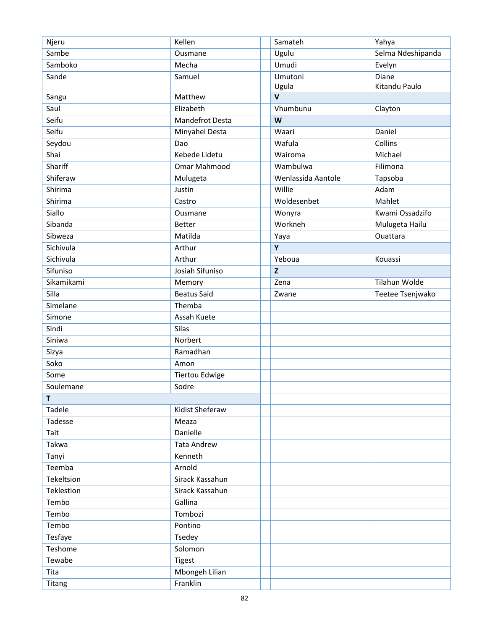| Njeru        | Kellen                | Samateh            | Yahya             |
|--------------|-----------------------|--------------------|-------------------|
| Sambe        | Ousmane               | Ugulu              | Selma Ndeshipanda |
| Samboko      | Mecha                 | Umudi              | Evelyn            |
| Sande        | Samuel                | Umutoni            | Diane             |
|              |                       | Ugula              | Kitandu Paulo     |
| Sangu        | Matthew               | $\mathsf{V}$       |                   |
| Saul         | Elizabeth             | Vhumbunu           | Clayton           |
| Seifu        | Mandefrot Desta       | W                  |                   |
| Seifu        | Minyahel Desta        | Waari              | Daniel            |
| Seydou       | Dao                   | Wafula             | Collins           |
| Shai         | Kebede Lidetu         | Wairoma            | Michael           |
| Shariff      | Omar Mahmood          | Wambulwa           | Filimona          |
| Shiferaw     | Mulugeta              | Wenlassida Aantole | Tapsoba           |
| Shirima      | Justin                | Willie             | Adam              |
| Shirima      | Castro                | Woldesenbet        | Mahlet            |
| Siallo       | Ousmane               | Wonyra             | Kwami Ossadzifo   |
| Sibanda      | <b>Better</b>         | Workneh            | Mulugeta Hailu    |
| Sibweza      | Matilda               | Yaya               | Ouattara          |
| Sichivula    | Arthur                | Y                  |                   |
| Sichivula    | Arthur                | Yeboua             | Kouassi           |
| Sifuniso     | Josiah Sifuniso       | $\mathbf{Z}$       |                   |
| Sikamikami   | Memory                | Zena               | Tilahun Wolde     |
| Silla        | <b>Beatus Said</b>    | Zwane              | Teetee Tsenjwako  |
| Simelane     | Themba                |                    |                   |
| Simone       | Assah Kuete           |                    |                   |
| Sindi        | Silas                 |                    |                   |
| Siniwa       | Norbert               |                    |                   |
| Sizya        | Ramadhan              |                    |                   |
| Soko         | Amon                  |                    |                   |
| Some         | <b>Tiertou Edwige</b> |                    |                   |
| Soulemane    | Sodre                 |                    |                   |
| $\mathsf{T}$ |                       |                    |                   |
| Tadele       | Kidist Sheferaw       |                    |                   |
| Tadesse      | Meaza                 |                    |                   |
| Tait         | Danielle              |                    |                   |
| Takwa        | <b>Tata Andrew</b>    |                    |                   |
| Tanyi        | Kenneth               |                    |                   |
| Teemba       | Arnold                |                    |                   |
| Tekeltsion   | Sirack Kassahun       |                    |                   |
| Teklestion   | Sirack Kassahun       |                    |                   |
| Tembo        | Gallina               |                    |                   |
| Tembo        | Tombozi               |                    |                   |
| Tembo        | Pontino               |                    |                   |
| Tesfaye      | Tsedey                |                    |                   |
| Teshome      | Solomon               |                    |                   |
| Tewabe       | <b>Tigest</b>         |                    |                   |
| Tita         | Mbongeh Lilian        |                    |                   |
| Titang       | Franklin              |                    |                   |
|              |                       |                    |                   |